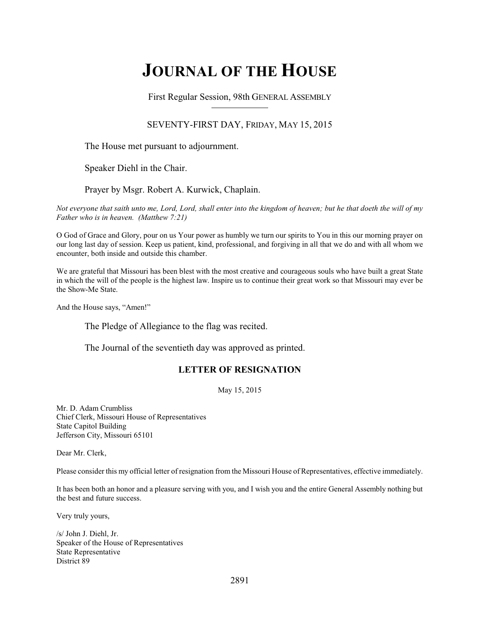# **JOURNAL OF THE HOUSE**

First Regular Session, 98th GENERAL ASSEMBLY

### SEVENTY-FIRST DAY, FRIDAY, MAY 15, 2015

The House met pursuant to adjournment.

Speaker Diehl in the Chair.

Prayer by Msgr. Robert A. Kurwick, Chaplain.

*Not everyone that saith unto me, Lord, Lord, shall enter into the kingdom of heaven; but he that doeth the will of my Father who is in heaven. (Matthew 7:21)*

O God of Grace and Glory, pour on us Your power as humbly we turn our spirits to You in this our morning prayer on our long last day of session. Keep us patient, kind, professional, and forgiving in all that we do and with all whom we encounter, both inside and outside this chamber.

We are grateful that Missouri has been blest with the most creative and courageous souls who have built a great State in which the will of the people is the highest law. Inspire us to continue their great work so that Missouri may ever be the Show-Me State.

And the House says, "Amen!"

The Pledge of Allegiance to the flag was recited.

The Journal of the seventieth day was approved as printed.

### **LETTER OF RESIGNATION**

May 15, 2015

Mr. D. Adam Crumbliss Chief Clerk, Missouri House of Representatives State Capitol Building Jefferson City, Missouri 65101

Dear Mr. Clerk,

Please consider this my official letter of resignation from the Missouri House of Representatives, effective immediately.

It has been both an honor and a pleasure serving with you, and I wish you and the entire General Assembly nothing but the best and future success.

Very truly yours,

/s/ John J. Diehl, Jr. Speaker of the House of Representatives State Representative District 89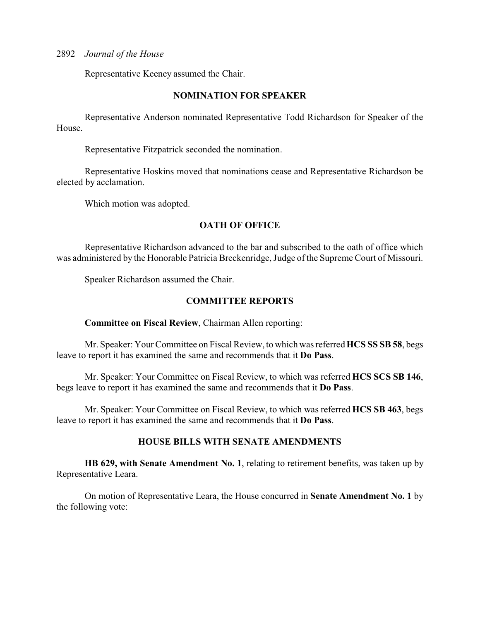Representative Keeney assumed the Chair.

### **NOMINATION FOR SPEAKER**

Representative Anderson nominated Representative Todd Richardson for Speaker of the House.

Representative Fitzpatrick seconded the nomination.

Representative Hoskins moved that nominations cease and Representative Richardson be elected by acclamation.

Which motion was adopted.

### **OATH OF OFFICE**

Representative Richardson advanced to the bar and subscribed to the oath of office which was administered by the Honorable Patricia Breckenridge, Judge of the Supreme Court of Missouri.

Speaker Richardson assumed the Chair.

### **COMMITTEE REPORTS**

### **Committee on Fiscal Review**, Chairman Allen reporting:

Mr. Speaker: Your Committee on Fiscal Review, to which was referred **HCS SS SB 58**, begs leave to report it has examined the same and recommends that it **Do Pass**.

Mr. Speaker: Your Committee on Fiscal Review, to which was referred **HCS SCS SB 146**, begs leave to report it has examined the same and recommends that it **Do Pass**.

Mr. Speaker: Your Committee on Fiscal Review, to which was referred **HCS SB 463**, begs leave to report it has examined the same and recommends that it **Do Pass**.

### **HOUSE BILLS WITH SENATE AMENDMENTS**

**HB 629, with Senate Amendment No. 1**, relating to retirement benefits, was taken up by Representative Leara.

On motion of Representative Leara, the House concurred in **Senate Amendment No. 1** by the following vote: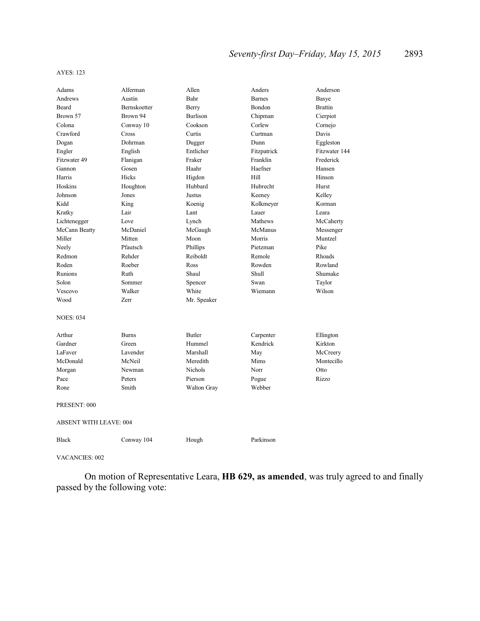#### AYES: 123

| Adams                         | Alferman            | Allen              | Anders        | Anderson       |  |
|-------------------------------|---------------------|--------------------|---------------|----------------|--|
| Andrews                       | Austin              | Bahr               | <b>Barnes</b> | Basye          |  |
| <b>Beard</b>                  | <b>Bernskoetter</b> | Berry              | Bondon        | <b>Brattin</b> |  |
| Brown 57                      | Brown 94            | <b>Burlison</b>    | Chipman       | Cierpiot       |  |
| Colona                        | Conway 10           | Cookson            | Corlew        | Cornejo        |  |
| Crawford                      | Cross               | Curtis             | Curtman       | Davis          |  |
| Dogan                         | Dohrman             | Dugger             | Dunn          | Eggleston      |  |
| Engler                        | English             | Entlicher          | Fitzpatrick   | Fitzwater 144  |  |
| Fitzwater 49                  | Flanigan            | Fraker             | Franklin      | Frederick      |  |
| Gannon                        | Gosen               | Haahr              | Haefner       | Hansen         |  |
| Harris                        | Hicks               | Higdon             | Hill          | Hinson         |  |
| Hoskins                       | Houghton            | Hubbard            | Hubrecht      | Hurst          |  |
| Johnson                       | Jones               | Justus             | Keeney        | Kelley         |  |
| Kidd                          | King                | Koenig             | Kolkmeyer     | Korman         |  |
| Kratky                        | Lair                | Lant               | Lauer         | Leara          |  |
| Lichtenegger                  | Love                | Lynch              | Mathews       | McCaherty      |  |
| McCann Beatty                 | McDaniel            | McGaugh            | McManus       | Messenger      |  |
| Miller                        | Mitten              | Moon               | Morris        | Muntzel        |  |
| Neely                         | Pfautsch            | Phillips           | Pietzman      | Pike           |  |
| Redmon                        | Rehder              | Reiboldt           | Remole        | Rhoads         |  |
| Roden                         | Roeber              | Ross               | Rowden        | Rowland        |  |
| Runions                       | Ruth                | Shaul              | Shull         | Shumake        |  |
| Solon                         | Sommer              | Spencer            | Swan          | Taylor         |  |
| Vescovo                       | Walker              | White              | Wiemann       | Wilson         |  |
| Wood                          | Zerr                | Mr. Speaker        |               |                |  |
| <b>NOES: 034</b>              |                     |                    |               |                |  |
| Arthur                        | <b>Burns</b>        | <b>Butler</b>      | Carpenter     | Ellington      |  |
| Gardner                       | Green               | Hummel             | Kendrick      | Kirkton        |  |
| LaFaver                       | Lavender            | Marshall           | May           | McCreery       |  |
| McDonald                      | McNeil              | Meredith           | Mims          | Montecillo     |  |
| Morgan                        | Newman              | <b>Nichols</b>     | Norr          | Otto           |  |
| Pace                          | Peters              | Pierson            | Pogue         | Rizzo          |  |
| Rone                          | Smith               | <b>Walton Gray</b> | Webber        |                |  |
| PRESENT: 000                  |                     |                    |               |                |  |
| <b>ABSENT WITH LEAVE: 004</b> |                     |                    |               |                |  |
| <b>Black</b>                  | Conway 104          | Hough              | Parkinson     |                |  |

VACANCIES: 002

On motion of Representative Leara, **HB 629, as amended**, was truly agreed to and finally passed by the following vote: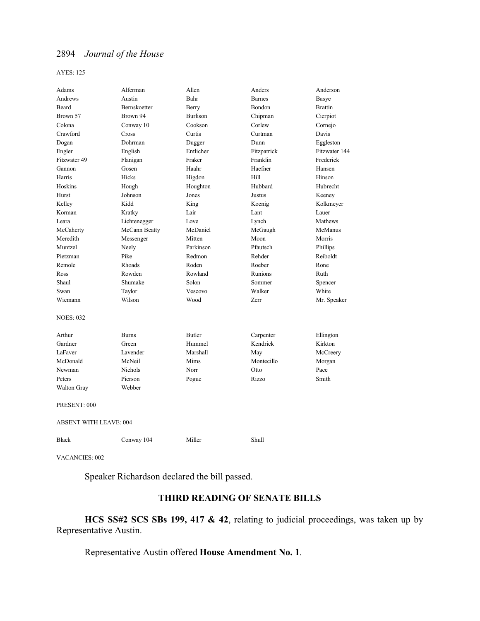AYES: 125

| Adams                         | Alferman       | Allen           | Anders        | Anderson       |  |
|-------------------------------|----------------|-----------------|---------------|----------------|--|
| Andrews                       | Austin         | Bahr            | <b>Barnes</b> | Basye          |  |
| Beard                         | Bernskoetter   | Berry           | Bondon        | <b>Brattin</b> |  |
| Brown 57                      | Brown 94       | <b>Burlison</b> | Chipman       | Cierpiot       |  |
| Colona                        | Conway 10      | Cookson         | Corlew        | Cornejo        |  |
| Crawford                      | Cross          | Curtis          | Curtman       | Davis          |  |
| Dogan                         | Dohrman        | Dugger          | Dunn          | Eggleston      |  |
| Engler                        | English        | Entlicher       | Fitzpatrick   | Fitzwater 144  |  |
| Fitzwater 49                  | Flanigan       | Fraker          | Franklin      | Frederick      |  |
| Gannon                        | Gosen          | Haahr           | Haefner       | Hansen         |  |
| Harris                        | Hicks          | Higdon          | Hill          | Hinson         |  |
| Hoskins                       | Hough          | Houghton        | Hubbard       | Hubrecht       |  |
| Hurst                         | Johnson        | Jones           | Justus        | Keeney         |  |
| Kelley                        | Kidd           | King            | Koenig        | Kolkmeyer      |  |
| Korman                        | Kratky         | Lair            | Lant          | Lauer          |  |
| Leara                         | Lichtenegger   | Love            | Lynch         | Mathews        |  |
| McCaherty                     | McCann Beatty  | McDaniel        | McGaugh       | McManus        |  |
| Meredith                      | Messenger      | Mitten          | Moon          | Morris         |  |
| Muntzel                       | Neely          | Parkinson       | Pfautsch      | Phillips       |  |
| Pietzman                      | Pike           | Redmon          | Rehder        | Reiboldt       |  |
| Remole                        | Rhoads         | Roden           | Roeber        | Rone           |  |
| Ross                          | Rowden         | Rowland         | Runions       | Ruth           |  |
| Shaul                         | Shumake        | Solon           | Sommer        | Spencer        |  |
| Swan                          | Taylor         | Vescovo         | Walker        | White          |  |
| Wiemann                       | Wilson         | Wood            | Zerr          | Mr. Speaker    |  |
| <b>NOES: 032</b>              |                |                 |               |                |  |
| Arthur                        | <b>Burns</b>   | <b>Butler</b>   | Carpenter     | Ellington      |  |
| Gardner                       | Green          | Hummel          | Kendrick      | Kirkton        |  |
| LaFaver                       | Lavender       | Marshall        | May           | McCreery       |  |
| McDonald                      | McNeil         | Mims            | Montecillo    | Morgan         |  |
| Newman                        | <b>Nichols</b> | Norr            | Otto          | Pace           |  |
| Peters                        | Pierson        | Pogue           | Rizzo         | Smith          |  |
| <b>Walton Gray</b>            | Webber         |                 |               |                |  |
| PRESENT: 000                  |                |                 |               |                |  |
| <b>ABSENT WITH LEAVE: 004</b> |                |                 |               |                |  |
| <b>Black</b>                  | Conway 104     | Miller          | Shull         |                |  |

VACANCIES: 002

Speaker Richardson declared the bill passed.

# **THIRD READING OF SENATE BILLS**

**HCS SS#2 SCS SBs 199, 417 & 42**, relating to judicial proceedings, was taken up by Representative Austin.

Representative Austin offered **House Amendment No. 1**.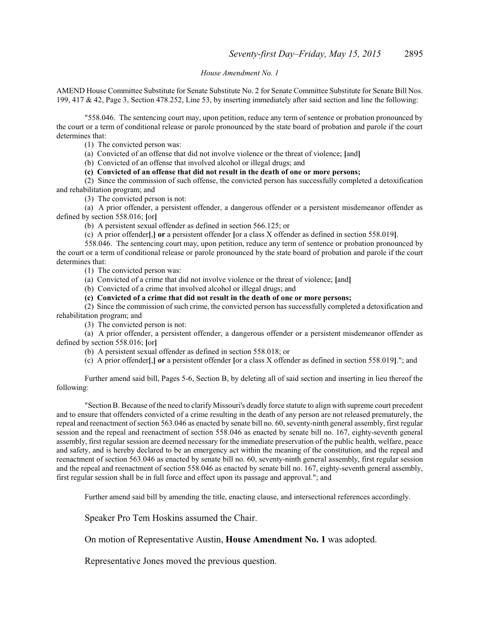#### *House Amendment No. 1*

AMEND House Committee Substitute for Senate Substitute No. 2 for Senate Committee Substitute for Senate Bill Nos. 199, 417 & 42, Page 3, Section 478.252, Line 53, by inserting immediately after said section and line the following:

"558.046. The sentencing court may, upon petition, reduce any term of sentence or probation pronounced by the court or a term of conditional release or parole pronounced by the state board of probation and parole if the court determines that:

(1) The convicted person was:

(a) Convicted of an offense that did not involve violence or the threat of violence; **[**and**]**

(b) Convicted of an offense that involved alcohol or illegal drugs; and

**(c) Convicted of an offense that did not result in the death of one or more persons;** 

(2) Since the commission of such offense, the convicted person has successfully completed a detoxification and rehabilitation program; and

(3) The convicted person is not:

(a) A prior offender, a persistent offender, a dangerous offender or a persistent misdemeanor offender as defined by section 558.016; **[**or**]**

(b) A persistent sexual offender as defined in section 566.125; or

(c) A prior offender**[**,**] or** a persistent offender **[**or a class X offender as defined in section 558.019**]**.

558.046. The sentencing court may, upon petition, reduce any term of sentence or probation pronounced by the court or a term of conditional release or parole pronounced by the state board of probation and parole if the court determines that:

(1) The convicted person was:

(a) Convicted of a crime that did not involve violence or the threat of violence; **[**and**]**

(b) Convicted of a crime that involved alcohol or illegal drugs; and

**(c) Convicted of a crime that did not result in the death of one or more persons;** 

(2) Since the commission of such crime, the convicted person has successfully completed a detoxification and rehabilitation program; and

(3) The convicted person is not:

(a) A prior offender, a persistent offender, a dangerous offender or a persistent misdemeanor offender as defined by section 558.016; **[**or**]**

(b) A persistent sexual offender as defined in section 558.018; or

(c) A prior offender**[**,**] or** a persistent offender **[**or a class X offender as defined in section 558.019**]**."; and

Further amend said bill, Pages 5-6, Section B, by deleting all of said section and inserting in lieu thereof the following:

"Section B. Because of the need to clarify Missouri's deadly force statute to align with supreme court precedent and to ensure that offenders convicted of a crime resulting in the death of any person are not released prematurely, the repeal and reenactment ofsection 563.046 as enacted by senate bill no. 60, seventy-ninth general assembly, first regular session and the repeal and reenactment of section 558.046 as enacted by senate bill no. 167, eighty-seventh general assembly, first regular session are deemed necessary for the immediate preservation of the public health, welfare, peace and safety, and is hereby declared to be an emergency act within the meaning of the constitution, and the repeal and reenactment of section 563.046 as enacted by senate bill no. 60, seventy-ninth general assembly, first regular session and the repeal and reenactment of section 558.046 as enacted by senate bill no. 167, eighty-seventh general assembly, first regular session shall be in full force and effect upon its passage and approval."; and

Further amend said bill by amending the title, enacting clause, and intersectional references accordingly.

Speaker Pro Tem Hoskins assumed the Chair.

On motion of Representative Austin, **House Amendment No. 1** was adopted.

Representative Jones moved the previous question.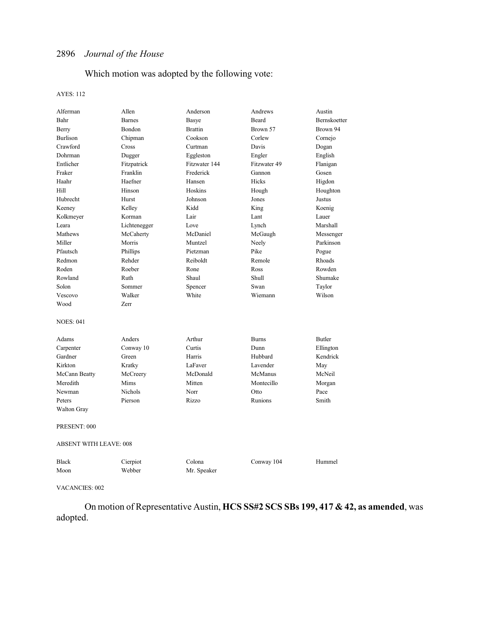# Which motion was adopted by the following vote:

### AYES: 112

| Alferman                      | Allen          | Anderson       | Andrews      | Austin       |  |
|-------------------------------|----------------|----------------|--------------|--------------|--|
| Bahr                          | <b>Barnes</b>  | Basye          | Beard        | Bernskoetter |  |
| Berry                         | <b>Bondon</b>  | <b>Brattin</b> | Brown 57     | Brown 94     |  |
| Burlison                      | Chipman        | Cookson        | Corlew       | Cornejo      |  |
| Crawford                      | Cross          | Curtman        | Davis        | Dogan        |  |
| Dohrman                       | Dugger         | Eggleston      | Engler       | English      |  |
| Entlicher                     | Fitzpatrick    | Fitzwater 144  | Fitzwater 49 | Flanigan     |  |
| Fraker                        | Franklin       | Frederick      | Gannon       | Gosen        |  |
| Haahr                         | Haefner        | Hansen         | Hicks        | Higdon       |  |
| Hill                          | Hinson         | Hoskins        | Hough        | Houghton     |  |
| Hubrecht                      | Hurst          | Johnson        | Jones        | Justus       |  |
| Keeney                        | Kelley         | Kidd           | King         | Koenig       |  |
| Kolkmeyer                     | Korman         | Lair           | Lant         | Lauer        |  |
| Leara                         | Lichtenegger   | Love           | Lynch        | Marshall     |  |
| Mathews                       | McCaherty      | McDaniel       | McGaugh      | Messenger    |  |
| Miller                        | Morris         | Muntzel        | Neely        | Parkinson    |  |
| Pfautsch                      | Phillips       | Pietzman       | Pike         | Pogue        |  |
| Redmon                        | Rehder         | Reiboldt       | Remole       | Rhoads       |  |
| Roden                         | Roeber         | Rone           | Ross         | Rowden       |  |
| Rowland                       | Ruth           | Shaul          | Shull        | Shumake      |  |
| Solon                         | Sommer         | Spencer        | Swan         | Taylor       |  |
| Vescovo                       | Walker         | White          | Wiemann      | Wilson       |  |
| Wood                          | Zerr           |                |              |              |  |
|                               |                |                |              |              |  |
| <b>NOES: 041</b>              |                |                |              |              |  |
| Adams                         | Anders         | Arthur         | <b>Burns</b> | Butler       |  |
| Carpenter                     | Conway 10      | Curtis         | Dunn         | Ellington    |  |
| Gardner                       | Green          | Harris         | Hubbard      | Kendrick     |  |
| Kirkton                       | Kratky         | LaFaver        | Lavender     | May          |  |
| McCann Beatty                 | McCreery       | McDonald       | McManus      | McNeil       |  |
| Meredith                      | Mims           | Mitten         | Montecillo   | Morgan       |  |
| Newman                        | <b>Nichols</b> | Norr           | Otto         | Pace         |  |
| Peters                        | Pierson        | Rizzo          | Runions      | Smith        |  |
| <b>Walton Gray</b>            |                |                |              |              |  |
|                               |                |                |              |              |  |
| PRESENT: 000                  |                |                |              |              |  |
| <b>ABSENT WITH LEAVE: 008</b> |                |                |              |              |  |
| <b>Black</b>                  | Cierpiot       | Colona         | Conway 104   | Hummel       |  |
| Moon                          | Webber         | Mr. Speaker    |              |              |  |
|                               |                |                |              |              |  |

### VACANCIES: 002

On motion of Representative Austin, **HCS SS#2 SCS SBs 199, 417 & 42, as amended**, was adopted.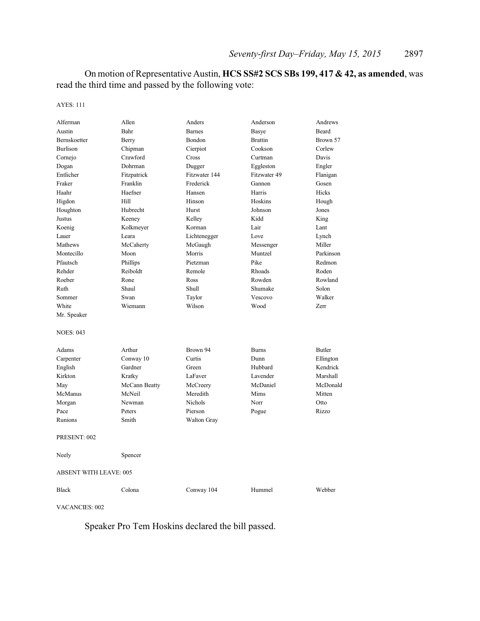On motion of Representative Austin, **HCS SS#2 SCS SBs 199, 417 & 42, as amended**, was read the third time and passed by the following vote:

AYES: 111

| Alferman                      | Allen         | Anders         | Anderson       | Andrews       |
|-------------------------------|---------------|----------------|----------------|---------------|
| Austin                        | Bahr          | <b>Barnes</b>  | Basye          | Beard         |
| Bernskoetter                  | Berry         | Bondon         | <b>Brattin</b> | Brown 57      |
| <b>Burlison</b>               | Chipman       | Cierpiot       | Cookson        | Corlew        |
| Cornejo                       | Crawford      | Cross          | Curtman        | Davis         |
| Dogan                         | Dohrman       | Dugger         | Eggleston      | Engler        |
| Entlicher                     | Fitzpatrick   | Fitzwater 144  | Fitzwater 49   | Flanigan      |
| Fraker                        | Franklin      | Frederick      | Gannon         | Gosen         |
| Haahr                         | Haefner       | Hansen         | Harris         | Hicks         |
| Higdon                        | Hill          | Hinson         | Hoskins        | Hough         |
| Houghton                      | Hubrecht      | Hurst          | Johnson        | Jones         |
| Justus                        | Keeney        | Kelley         | Kidd           | King          |
| Koenig                        | Kolkmeyer     | Korman         | Lair           | Lant          |
| Lauer                         | Leara         | Lichtenegger   | Love           | Lynch         |
| Mathews                       | McCaherty     | McGaugh        | Messenger      | Miller        |
| Montecillo                    | Moon          | Morris         | Muntzel        | Parkinson     |
| Pfautsch                      | Phillips      | Pietzman       | Pike           | Redmon        |
| Rehder                        | Reiboldt      | Remole         | Rhoads         | Roden         |
| Roeber                        | Rone          | Ross           | Rowden         | Rowland       |
| Ruth                          | Shaul         | Shull          | Shumake        | Solon         |
| Sommer                        | Swan          | Taylor         | Vescovo        | Walker        |
| White                         | Wiemann       | Wilson         | Wood           | Zerr          |
| Mr. Speaker                   |               |                |                |               |
| <b>NOES: 043</b>              |               |                |                |               |
| Adams                         | Arthur        | Brown 94       | <b>Burns</b>   | <b>Butler</b> |
| Carpenter                     | Conway 10     | Curtis         | Dunn           | Ellington     |
| English                       | Gardner       | Green          | Hubbard        | Kendrick      |
| Kirkton                       | Kratky        | LaFaver        | Lavender       | Marshall      |
| May                           | McCann Beatty | McCreery       | McDaniel       | McDonald      |
| McManus                       | McNeil        | Meredith       | Mims           | Mitten        |
| Morgan                        | Newman        | <b>Nichols</b> | Norr           | Otto          |
| Pace                          | Peters        | Pierson        | Pogue          | Rizzo         |
| Runions                       | Smith         | Walton Gray    |                |               |
| PRESENT: 002                  |               |                |                |               |
| Neely                         | Spencer       |                |                |               |
| <b>ABSENT WITH LEAVE: 005</b> |               |                |                |               |
| <b>Black</b>                  | Colona        | Conway 104     | Hummel         | Webber        |

VACANCIES: 002

Speaker Pro Tem Hoskins declared the bill passed.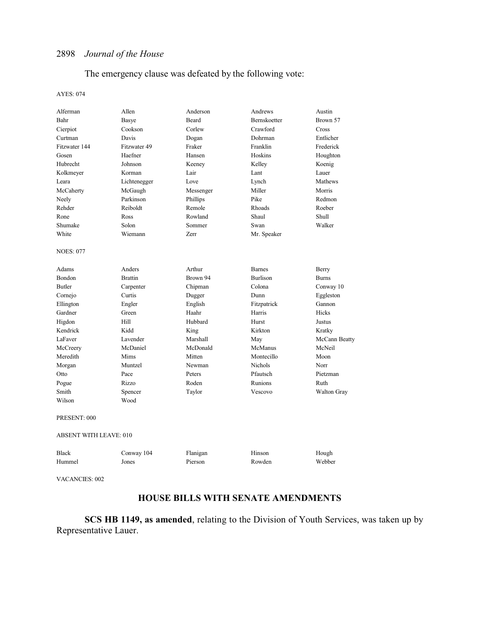### The emergency clause was defeated by the following vote:

#### AYES: 074

| Alferman                      | Allen          | Anderson  | Andrews         | Austin             |
|-------------------------------|----------------|-----------|-----------------|--------------------|
| Bahr                          | Basye          | Beard     | Bernskoetter    | Brown 57           |
| Cierpiot                      | Cookson        | Corlew    | Crawford        | Cross              |
| Curtman                       | Davis          | Dogan     | Dohrman         | Entlicher          |
| Fitzwater 144                 | Fitzwater 49   | Fraker    | Franklin        | Frederick          |
| Gosen                         | Haefner        | Hansen    | Hoskins         | Houghton           |
| Hubrecht                      | Johnson        | Keeney    | Kelley          | Koenig             |
| Kolkmeyer                     | Korman         | Lair      | Lant            | Lauer              |
| Leara                         | Lichtenegger   | Love      | Lynch           | Mathews            |
| McCaherty                     | McGaugh        | Messenger | Miller          | Morris             |
| Neely                         | Parkinson      | Phillips  | Pike            | Redmon             |
| Rehder                        | Reiboldt       | Remole    | Rhoads          | Roeber             |
| Rone                          | Ross           | Rowland   | Shaul           | Shull              |
| Shumake                       | Solon          | Sommer    | Swan            | Walker             |
| White                         | Wiemann        | Zerr      | Mr. Speaker     |                    |
| <b>NOES: 077</b>              |                |           |                 |                    |
| Adams                         | Anders         | Arthur    | <b>Barnes</b>   | Berry              |
| Bondon                        | <b>Brattin</b> | Brown 94  | <b>Burlison</b> | <b>Burns</b>       |
| Butler                        | Carpenter      | Chipman   | Colona          | Conway 10          |
| Cornejo                       | Curtis         | Dugger    | Dunn            | Eggleston          |
| Ellington                     | Engler         | English   | Fitzpatrick     | Gannon             |
| Gardner                       | Green          | Haahr     | Harris          | Hicks              |
| Higdon                        | <b>Hill</b>    | Hubbard   | Hurst           | Justus             |
| Kendrick                      | Kidd           | King      | Kirkton         | Kratky             |
| LaFaver                       | Lavender       | Marshall  | May             | McCann Beatty      |
| McCreery                      | McDaniel       | McDonald  | McManus         | McNeil             |
| Meredith                      | Mims           | Mitten    | Montecillo      | Moon               |
| Morgan                        | Muntzel        | Newman    | <b>Nichols</b>  | Norr               |
| Otto                          | Pace           | Peters    | Pfautsch        | Pietzman           |
| Pogue                         | Rizzo          | Roden     | Runions         | Ruth               |
| Smith                         | Spencer        | Taylor    | Vescovo         | <b>Walton Gray</b> |
| Wilson                        | Wood           |           |                 |                    |
| PRESENT: 000                  |                |           |                 |                    |
| <b>ABSENT WITH LEAVE: 010</b> |                |           |                 |                    |
| <b>Black</b>                  | Conway 104     | Flanigan  | Hinson          | Hough              |
| Hummel                        | Jones          | Pierson   | Rowden          | Webber             |
|                               |                |           |                 |                    |

VACANCIES: 002

# **HOUSE BILLS WITH SENATE AMENDMENTS**

**SCS HB 1149, as amended**, relating to the Division of Youth Services, was taken up by Representative Lauer.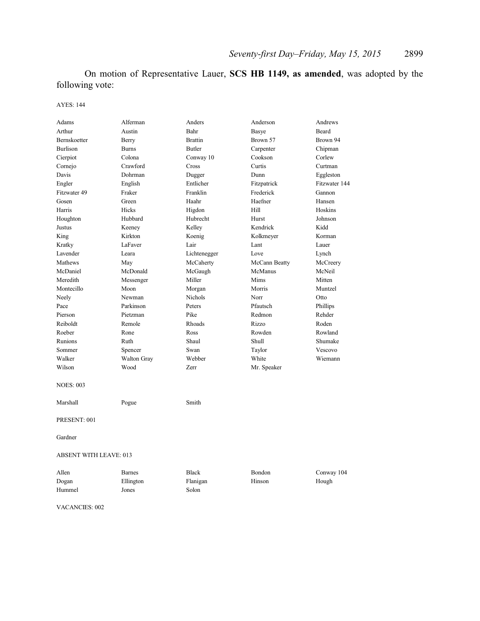On motion of Representative Lauer, **SCS HB 1149, as amended**, was adopted by the following vote:

### AYES: 144

| Adams                  | Alferman      | Anders         | Anderson      | Andrews       |  |
|------------------------|---------------|----------------|---------------|---------------|--|
| Arthur                 | Austin        | Bahr           | Basye         | Beard         |  |
| Bernskoetter           | Berry         | <b>Brattin</b> | Brown 57      | Brown 94      |  |
| <b>Burlison</b>        | <b>Burns</b>  | <b>Butler</b>  | Carpenter     | Chipman       |  |
| Cierpiot               | Colona        | Conway 10      | Cookson       | Corlew        |  |
| Cornejo                | Crawford      | Cross          | Curtis        | Curtman       |  |
| Davis                  | Dohrman       | Dugger         | Dunn          | Eggleston     |  |
| Engler                 | English       | Entlicher      | Fitzpatrick   | Fitzwater 144 |  |
| Fitzwater 49           | Fraker        | Franklin       | Frederick     | Gannon        |  |
| Gosen                  | Green         | Haahr          | Haefner       | Hansen        |  |
| Harris                 | Hicks         | Higdon         | Hill          | Hoskins       |  |
| Houghton               | Hubbard       | Hubrecht       | Hurst         | Johnson       |  |
| Justus                 | Keeney        | Kelley         | Kendrick      | Kidd          |  |
| King                   | Kirkton       | Koenig         | Kolkmeyer     | Korman        |  |
| Kratky                 | LaFaver       | Lair           | Lant          | Lauer         |  |
| Lavender               | Leara         | Lichtenegger   | Love          | Lynch         |  |
| Mathews                | May           | McCaherty      | McCann Beatty | McCreery      |  |
| McDaniel               | McDonald      | McGaugh        | McManus       | McNeil        |  |
| Meredith               | Messenger     | Miller         | Mims          | Mitten        |  |
| Montecillo             | Moon          | Morgan         | Morris        | Muntzel       |  |
| Neely                  | Newman        | Nichols        | Norr          | Otto          |  |
| Pace                   | Parkinson     | Peters         | Pfautsch      | Phillips      |  |
| Pierson                | Pietzman      | Pike           | Redmon        | Rehder        |  |
| Reiboldt               | Remole        | Rhoads         | Rizzo         | Roden         |  |
| Roeber                 | Rone          | <b>Ross</b>    | Rowden        | Rowland       |  |
| Runions                | Ruth          | Shaul          | Shull         | Shumake       |  |
| Sommer                 | Spencer       | Swan           | Taylor        | Vescovo       |  |
| Walker                 | Walton Gray   | Webber         | White         | Wiemann       |  |
| Wilson                 | Wood          | Zerr           | Mr. Speaker   |               |  |
| <b>NOES: 003</b>       |               |                |               |               |  |
| Marshall               | Pogue         | Smith          |               |               |  |
| PRESENT: 001           |               |                |               |               |  |
| Gardner                |               |                |               |               |  |
| ABSENT WITH LEAVE: 013 |               |                |               |               |  |
| Allen                  | <b>Barnes</b> | <b>Black</b>   | Bondon        | Conway 104    |  |
| Dogan                  | Ellington     | Flanigan       | Hinson        | Hough         |  |
| Hummel                 | Jones         | Solon          |               |               |  |
|                        |               |                |               |               |  |
|                        |               |                |               |               |  |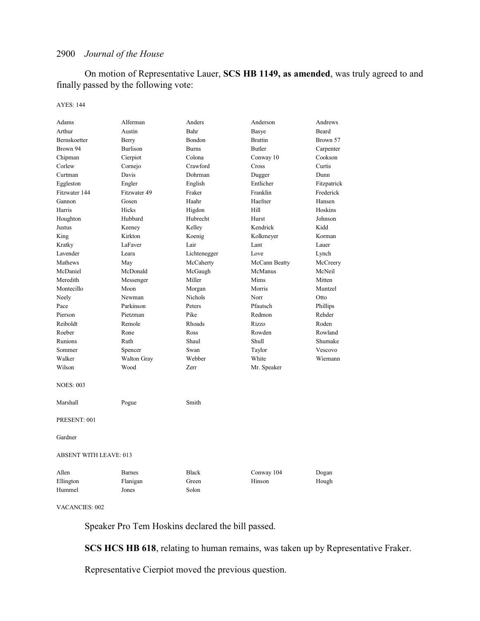On motion of Representative Lauer, **SCS HB 1149, as amended**, was truly agreed to and finally passed by the following vote:

#### AYES: 144

| Adams                         | Alferman           | Anders       | Anderson       | Andrews     |  |
|-------------------------------|--------------------|--------------|----------------|-------------|--|
| Arthur                        | Austin             | Bahr         | Basye          | Beard       |  |
| Bernskoetter                  | Berry              | Bondon       | <b>Brattin</b> | Brown 57    |  |
| Brown 94                      | <b>Burlison</b>    | <b>Burns</b> | <b>Butler</b>  | Carpenter   |  |
| Chipman                       | Cierpiot           | Colona       | Conway 10      | Cookson     |  |
| Corlew                        | Cornejo            | Crawford     | Cross          | Curtis      |  |
| Curtman                       | Davis              | Dohrman      | Dugger         | Dunn        |  |
| Eggleston                     | Engler             | English      | Entlicher      | Fitzpatrick |  |
| Fitzwater 144                 | Fitzwater 49       | Fraker       | Franklin       | Frederick   |  |
| Gannon                        | Gosen              | Haahr        | Haefner        | Hansen      |  |
| Harris                        | Hicks              | Higdon       | Hill           | Hoskins     |  |
| Houghton                      | Hubbard            | Hubrecht     | Hurst          | Johnson     |  |
| Justus                        | Keeney             | Kelley       | Kendrick       | Kidd        |  |
| King                          | Kirkton            | Koenig       | Kolkmeyer      | Korman      |  |
| Kratky                        | LaFaver            | Lair         | Lant           | Lauer       |  |
| Lavender                      | Leara              | Lichtenegger | Love           | Lynch       |  |
| Mathews                       | May                | McCaherty    | McCann Beatty  | McCreery    |  |
| McDaniel                      | McDonald           | McGaugh      | McManus        | McNeil      |  |
| Meredith                      | Messenger          | Miller       | Mims           | Mitten      |  |
| Montecillo                    | Moon               | Morgan       | Morris         | Muntzel     |  |
| Neely                         | Newman             | Nichols      | Norr           | Otto        |  |
| Pace                          | Parkinson          | Peters       | Pfautsch       | Phillips    |  |
| Pierson                       | Pietzman           | Pike         | Redmon         | Rehder      |  |
| Reiboldt                      | Remole             | Rhoads       | Rizzo          | Roden       |  |
| Roeber                        | Rone               | Ross         | Rowden         | Rowland     |  |
| Runions                       | Ruth               | Shaul        | Shull          | Shumake     |  |
| Sommer                        | Spencer            | Swan         | Taylor         | Vescovo     |  |
| Walker                        | <b>Walton Gray</b> | Webber       | White          | Wiemann     |  |
| Wilson                        | Wood               | Zerr         | Mr. Speaker    |             |  |
| <b>NOES: 003</b>              |                    |              |                |             |  |
| Marshall                      | Pogue              | Smith        |                |             |  |
| PRESENT: 001                  |                    |              |                |             |  |
| Gardner                       |                    |              |                |             |  |
| <b>ABSENT WITH LEAVE: 013</b> |                    |              |                |             |  |
| Allen                         | Barnes             | <b>Black</b> | Conway 104     | Dogan       |  |
| Ellington                     | Flanigan           | Green        | Hinson         | Hough       |  |
| Hummel                        | Jones              | Solon        |                |             |  |

VACANCIES: 002

Speaker Pro Tem Hoskins declared the bill passed.

**SCS HCS HB 618**, relating to human remains, was taken up by Representative Fraker.

Representative Cierpiot moved the previous question.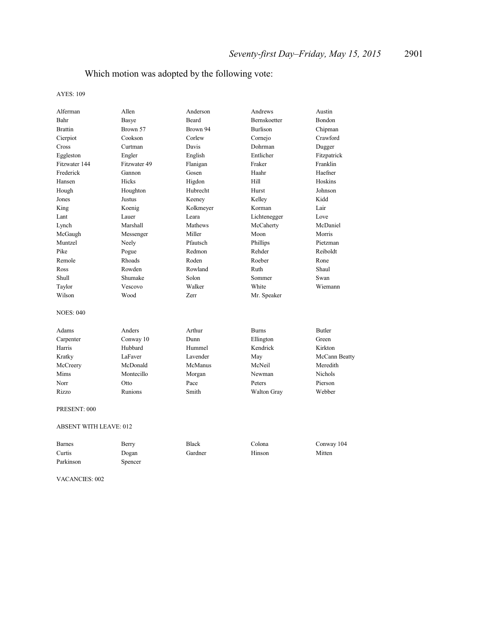# Which motion was adopted by the following vote:

### AYES: 109

| Alferman                      | Allen        | Anderson  | Andrews         | Austin         |
|-------------------------------|--------------|-----------|-----------------|----------------|
| Bahr                          | <b>Basye</b> | Beard     | Bernskoetter    | Bondon         |
| Brattin                       | Brown 57     | Brown 94  | <b>Burlison</b> | Chipman        |
| Cierpiot                      | Cookson      | Corlew    | Cornejo         | Crawford       |
| Cross                         | Curtman      | Davis     | Dohrman         | Dugger         |
| Eggleston                     | Engler       | English   | Entlicher       | Fitzpatrick    |
| Fitzwater 144                 | Fitzwater 49 | Flanigan  | Fraker          | Franklin       |
| Frederick                     | Gannon       | Gosen     | Haahr           | Haefner        |
| Hansen                        | Hicks        | Higdon    | Hill            | Hoskins        |
| Hough                         | Houghton     | Hubrecht  | Hurst           | Johnson        |
| Jones                         | Justus       | Keeney    | Kelley          | Kidd           |
| King                          | Koenig       | Kolkmeyer | Korman          | Lair           |
| Lant                          | Lauer        | Leara     | Lichtenegger    | Love           |
| Lynch                         | Marshall     | Mathews   | McCaherty       | McDaniel       |
| McGaugh                       | Messenger    | Miller    | Moon            | Morris         |
| Muntzel                       | Neely        | Pfautsch  | Phillips        | Pietzman       |
| Pike                          | Pogue        | Redmon    | Rehder          | Reiboldt       |
| Remole                        | Rhoads       | Roden     | Roeber          | Rone           |
| Ross                          | Rowden       | Rowland   | Ruth            | Shaul          |
| Shull                         | Shumake      | Solon     | Sommer          | Swan           |
| Taylor                        | Vescovo      | Walker    | White           | Wiemann        |
| Wilson                        | Wood         | Zerr      | Mr. Speaker     |                |
| <b>NOES: 040</b>              |              |           |                 |                |
| Adams                         | Anders       | Arthur    | <b>Burns</b>    | <b>Butler</b>  |
| Carpenter                     | Conway 10    | Dunn      | Ellington       | Green          |
| Harris                        | Hubbard      | Hummel    | Kendrick        | Kirkton        |
| Kratky                        | LaFaver      | Lavender  | May             | McCann Beatty  |
| McCreery                      | McDonald     | McManus   | McNeil          | Meredith       |
| Mims                          | Montecillo   | Morgan    | Newman          | <b>Nichols</b> |
| Norr                          | Otto         | Pace      | Peters          | Pierson        |
| Rizzo                         | Runions      | Smith     | Walton Gray     | Webber         |
| PRESENT: 000                  |              |           |                 |                |
| <b>ABSENT WITH LEAVE: 012</b> |              |           |                 |                |

| <b>Barnes</b> | Berry   | <b>Black</b> | Colona | Conway 104 |
|---------------|---------|--------------|--------|------------|
| Curtis        | Dogan   | Gardner      | Hinson | Mitten     |
| Parkinson     | Spencer |              |        |            |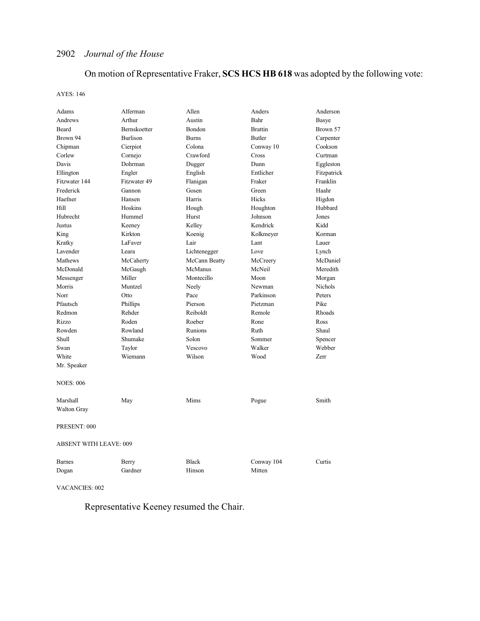# On motion of Representative Fraker, **SCS HCS HB 618** was adopted by the following vote:

AYES: 146

| Adams                         | Alferman     | Allen         | Anders         | Anderson    |
|-------------------------------|--------------|---------------|----------------|-------------|
| Andrews                       | Arthur       | Austin        | Bahr           | Basye       |
| <b>Beard</b>                  | Bernskoetter | Bondon        | <b>Brattin</b> | Brown 57    |
| Brown 94                      | Burlison     | <b>Burns</b>  | <b>Butler</b>  | Carpenter   |
| Chipman                       | Cierpiot     | Colona        | Conway 10      | Cookson     |
| Corlew                        | Cornejo      | Crawford      | Cross          | Curtman     |
| Davis                         | Dohrman      | Dugger        | Dunn           | Eggleston   |
| Ellington                     | Engler       | English       | Entlicher      | Fitzpatrick |
| Fitzwater 144                 | Fitzwater 49 | Flanigan      | Fraker         | Franklin    |
| Frederick                     | Gannon       | Gosen         | Green          | Haahr       |
| Haefner                       | Hansen       | Harris        | Hicks          | Higdon      |
| Hill                          | Hoskins      | Hough         | Houghton       | Hubbard     |
| Hubrecht                      | Hummel       | Hurst         | Johnson        | Jones       |
| Justus                        | Keeney       | Kelley        | Kendrick       | Kidd        |
| King                          | Kirkton      | Koenig        | Kolkmeyer      | Korman      |
| Kratky                        | LaFaver      | Lair          | Lant           | Lauer       |
| Lavender                      | Leara        | Lichtenegger  | Love           | Lynch       |
| Mathews                       | McCaherty    | McCann Beatty | McCreery       | McDaniel    |
| McDonald                      | McGaugh      | McManus       | McNeil         | Meredith    |
| Messenger                     | Miller       | Montecillo    | Moon           | Morgan      |
| Morris                        | Muntzel      | Neely         | Newman         | Nichols     |
| Norr                          | Otto         | Pace          | Parkinson      | Peters      |
| Pfautsch                      | Phillips     | Pierson       | Pietzman       | Pike        |
| Redmon                        | Rehder       | Reiboldt      | Remole         | Rhoads      |
| Rizzo                         | Roden        | Roeber        | Rone           | Ross        |
| Rowden                        | Rowland      | Runions       | Ruth           | Shaul       |
| Shull                         | Shumake      | Solon         | Sommer         | Spencer     |
| Swan                          | Taylor       | Vescovo       | Walker         | Webber      |
| White                         | Wiemann      | Wilson        | Wood           | Zerr        |
| Mr. Speaker                   |              |               |                |             |
| <b>NOES: 006</b>              |              |               |                |             |
| Marshall                      | May          | Mims          | Pogue          | Smith       |
| <b>Walton Gray</b>            |              |               |                |             |
| PRESENT: 000                  |              |               |                |             |
| <b>ABSENT WITH LEAVE: 009</b> |              |               |                |             |
| Barnes                        | Berry        | <b>Black</b>  | Conway 104     | Curtis      |
| Dogan                         | Gardner      | Hinson        | Mitten         |             |
|                               |              |               |                |             |

VACANCIES: 002

Representative Keeney resumed the Chair.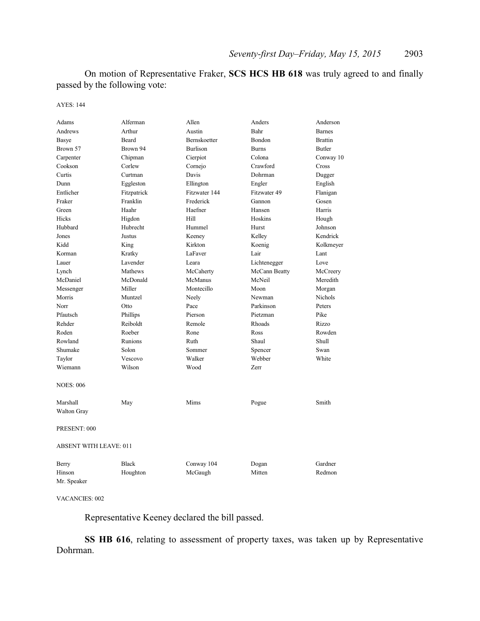On motion of Representative Fraker, **SCS HCS HB 618** was truly agreed to and finally passed by the following vote:

AYES: 144

| Adams                         | Alferman     | Allen           | Anders        | Anderson       |  |
|-------------------------------|--------------|-----------------|---------------|----------------|--|
| Andrews                       | Arthur       | Austin          | Bahr          | <b>Barnes</b>  |  |
| Basye                         | Beard        | Bernskoetter    | Bondon        | <b>Brattin</b> |  |
| Brown 57                      | Brown 94     | <b>Burlison</b> | <b>Burns</b>  | <b>Butler</b>  |  |
| Carpenter                     | Chipman      | Cierpiot        | Colona        | Conway 10      |  |
| Cookson                       | Corlew       | Cornejo         | Crawford      | Cross          |  |
| Curtis                        | Curtman      | Davis           | Dohrman       | Dugger         |  |
| Dunn                          | Eggleston    | Ellington       | Engler        | English        |  |
| Entlicher                     | Fitzpatrick  | Fitzwater 144   | Fitzwater 49  | Flanigan       |  |
| Fraker                        | Franklin     | Frederick       | Gannon        | Gosen          |  |
| Green                         | Haahr        | Haefner         | Hansen        | Harris         |  |
| Hicks                         | Higdon       | Hill            | Hoskins       | Hough          |  |
| Hubbard                       | Hubrecht     | Hummel          | Hurst         | Johnson        |  |
| Jones                         | Justus       | Keeney          | Kelley        | Kendrick       |  |
| Kidd                          | King         | Kirkton         | Koenig        | Kolkmeyer      |  |
| Korman                        | Kratky       | LaFaver         | Lair          | Lant           |  |
| Lauer                         | Lavender     | Leara           | Lichtenegger  | Love           |  |
| Lynch                         | Mathews      | McCaherty       | McCann Beatty | McCreery       |  |
| McDaniel                      | McDonald     | McManus         | McNeil        | Meredith       |  |
| Messenger                     | Miller       | Montecillo      | Moon          | Morgan         |  |
| Morris                        | Muntzel      | Neely           | Newman        | <b>Nichols</b> |  |
| Norr                          | Otto         | Pace            | Parkinson     | Peters         |  |
| Pfautsch                      | Phillips     | Pierson         | Pietzman      | Pike           |  |
| Rehder                        | Reiboldt     | Remole          | Rhoads        | Rizzo          |  |
| Roden                         | Roeber       | Rone            | Ross          | Rowden         |  |
| Rowland                       | Runions      | Ruth            | Shaul         | Shull          |  |
| Shumake                       | Solon        | Sommer          | Spencer       | Swan           |  |
| Taylor                        | Vescovo      | Walker          | Webber        | White          |  |
| Wiemann                       | Wilson       | Wood            | Zerr          |                |  |
| <b>NOES: 006</b>              |              |                 |               |                |  |
| Marshall                      | May          | Mims            | Pogue         | Smith          |  |
| <b>Walton Gray</b>            |              |                 |               |                |  |
|                               |              |                 |               |                |  |
| PRESENT: 000                  |              |                 |               |                |  |
| <b>ABSENT WITH LEAVE: 011</b> |              |                 |               |                |  |
| Berry                         | <b>Black</b> | Conway 104      | Dogan         | Gardner        |  |
| Hinson                        | Houghton     | McGaugh         | Mitten        | Redmon         |  |
| Mr. Speaker                   |              |                 |               |                |  |

VACANCIES: 002

Representative Keeney declared the bill passed.

**SS HB 616**, relating to assessment of property taxes, was taken up by Representative Dohrman.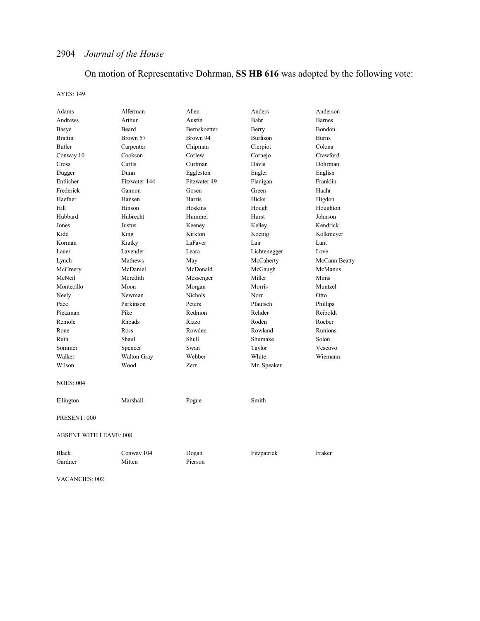# On motion of Representative Dohrman, **SS HB 616** was adopted by the following vote:

AYES: 149

| Adams                         | Alferman      | Allen          | Anders          | Anderson      |  |
|-------------------------------|---------------|----------------|-----------------|---------------|--|
| Andrews                       | Arthur        | Austin         | Bahr            | <b>Barnes</b> |  |
| <b>Basye</b>                  | Beard         | Bernskoetter   | Berry           | Bondon        |  |
| <b>Brattin</b>                | Brown 57      | Brown 94       | <b>Burlison</b> | <b>Burns</b>  |  |
| <b>Butler</b>                 | Carpenter     | Chipman        | Cierpiot        | Colona        |  |
| Conway 10                     | Cookson       | Corlew         | Cornejo         | Crawford      |  |
| Cross                         | Curtis        | Curtman        | Davis           | Dohrman       |  |
| Dugger                        | Dunn          | Eggleston      | Engler          | English       |  |
| Entlicher                     | Fitzwater 144 | Fitzwater 49   | Flanigan        | Franklin      |  |
| Frederick                     | Gannon        | Gosen          | Green           | Haahr         |  |
| Haefner                       | Hansen        | Harris         | Hicks           | Higdon        |  |
| Hill                          | Hinson        | Hoskins        | Hough           | Houghton      |  |
| Hubbard                       | Hubrecht      | Hummel         | Hurst           | Johnson       |  |
| Jones                         | Justus        | Keeney         | Kelley          | Kendrick      |  |
| Kidd                          | King          | Kirkton        | Koenig          | Kolkmeyer     |  |
| Korman                        | Kratky        | LaFaver        | Lair            | Lant          |  |
| Lauer                         | Lavender      | Leara          | Lichtenegger    | Love          |  |
| Lynch                         | Mathews       | May            | McCaherty       | McCann Beatty |  |
| McCreery                      | McDaniel      | McDonald       | McGaugh         | McManus       |  |
| McNeil                        | Meredith      | Messenger      | Miller          | Mims          |  |
| Montecillo                    | Moon          | Morgan         | Morris          | Muntzel       |  |
| Neely                         | Newman        | <b>Nichols</b> | Norr            | Otto          |  |
| Pace                          | Parkinson     | Peters         | Pfautsch        | Phillips      |  |
| Pietzman                      | Pike          | Redmon         | Rehder          | Reiboldt      |  |
| Remole                        | Rhoads        | Rizzo          | Roden           | Roeber        |  |
| Rone                          | Ross          | Rowden         | Rowland         | Runions       |  |
| Ruth                          | Shaul         | Shull          | Shumake         | Solon         |  |
| Sommer                        | Spencer       | Swan           | Taylor          | Vescovo       |  |
| Walker                        | Walton Gray   | Webber         | White           | Wiemann       |  |
| Wilson                        | Wood          | Zerr           | Mr. Speaker     |               |  |
|                               |               |                |                 |               |  |
| <b>NOES: 004</b>              |               |                |                 |               |  |
|                               |               |                |                 |               |  |
| Ellington                     | Marshall      | Pogue          | Smith           |               |  |
| PRESENT: 000                  |               |                |                 |               |  |
| <b>ABSENT WITH LEAVE: 008</b> |               |                |                 |               |  |
| <b>Black</b>                  | Conway 104    | Dogan          | Fitzpatrick     | Fraker        |  |
| Gardner                       | Mitten        | Pierson        |                 |               |  |
|                               |               |                |                 |               |  |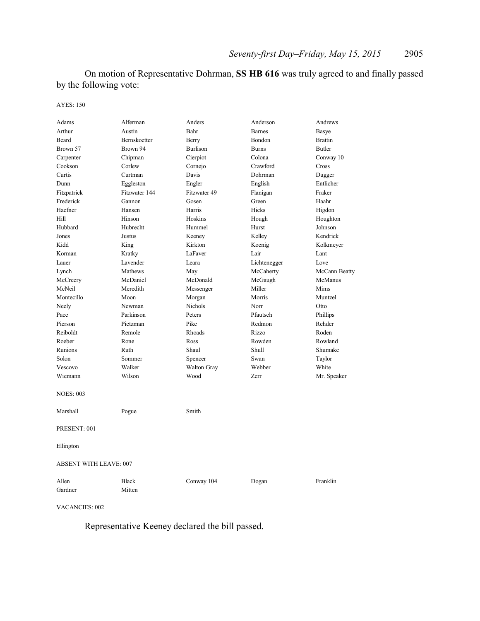On motion of Representative Dohrman, **SS HB 616** was truly agreed to and finally passed by the following vote:

AYES: 150

| Adams                         | Alferman               | Anders          | Anderson      | Andrews        |
|-------------------------------|------------------------|-----------------|---------------|----------------|
| Arthur                        | Austin                 | Bahr            | <b>Barnes</b> | Basye          |
| Beard                         | Bernskoetter           | Berry           | Bondon        | <b>Brattin</b> |
| Brown 57                      | Brown 94               | <b>Burlison</b> | <b>Burns</b>  | <b>Butler</b>  |
| Carpenter                     | Chipman                | Cierpiot        | Colona        | Conway 10      |
| Cookson                       | Corlew                 | Cornejo         | Crawford      | Cross          |
| Curtis                        | Curtman                | Davis           | Dohrman       | Dugger         |
| Dunn                          | Eggleston              | Engler          | English       | Entlicher      |
| Fitzpatrick                   | Fitzwater 144          | Fitzwater 49    | Flanigan      | Fraker         |
| Frederick                     | Gannon                 | Gosen           | Green         | Haahr          |
| Haefner                       | Hansen                 | Harris          | Hicks         | Higdon         |
| Hill                          | Hinson                 | Hoskins         | Hough         | Houghton       |
| Hubbard                       | Hubrecht               | Hummel          | Hurst         | Johnson        |
| Jones                         | Justus                 | Keeney          | Kelley        | Kendrick       |
| Kidd                          | King                   | Kirkton         | Koenig        | Kolkmeyer      |
| Korman                        | Kratky                 | LaFaver         | Lair          | Lant           |
| Lauer                         | Lavender               | Leara           | Lichtenegger  | Love           |
| Lynch                         | Mathews                | May             | McCaherty     | McCann Beatty  |
| McCreery                      | McDaniel               | McDonald        | McGaugh       | McManus        |
| McNeil                        | Meredith               | Messenger       | Miller        | Mims           |
| Montecillo                    | Moon                   | Morgan          | Morris        | Muntzel        |
| Neely                         | Newman                 | Nichols         | Norr          | Otto           |
| Pace                          | Parkinson              | Peters          | Pfautsch      | Phillips       |
| Pierson                       | Pietzman               | Pike            | Redmon        | Rehder         |
| Reiboldt                      | Remole                 | Rhoads          | Rizzo         | Roden          |
| Roeber                        | Rone                   | Ross            | Rowden        | Rowland        |
| Runions                       | Ruth                   | Shaul           | Shull         | Shumake        |
| Solon                         | Sommer                 | Spencer         | Swan          | Taylor         |
| Vescovo                       | Walker                 | Walton Gray     | Webber        | White          |
| Wiemann                       | Wilson                 | Wood            | Zerr          | Mr. Speaker    |
| <b>NOES: 003</b>              |                        |                 |               |                |
| Marshall                      | Pogue                  | Smith           |               |                |
| PRESENT: 001                  |                        |                 |               |                |
| Ellington                     |                        |                 |               |                |
| <b>ABSENT WITH LEAVE: 007</b> |                        |                 |               |                |
| Allen<br>Gardner              | <b>Black</b><br>Mitten | Conway 104      | Dogan         | Franklin       |
|                               |                        |                 |               |                |

VACANCIES: 002

Representative Keeney declared the bill passed.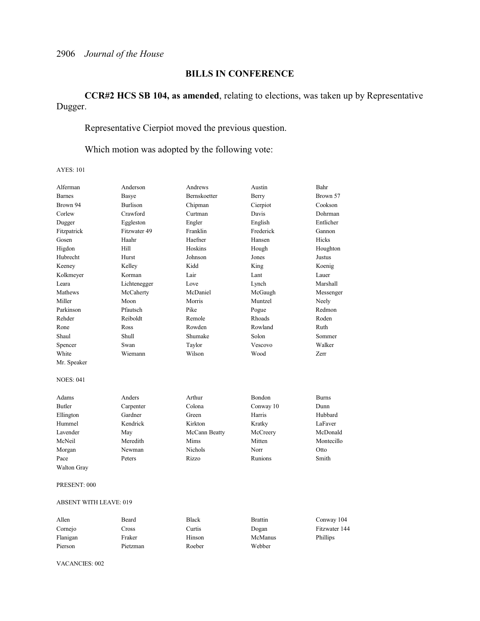### **BILLS IN CONFERENCE**

### **CCR#2 HCS SB 104, as amended**, relating to elections, was taken up by Representative Dugger.

# Representative Cierpiot moved the previous question.

### Which motion was adopted by the following vote:

AYES: 101

| Alferman         | Anderson        | Andrews        | Austin    | Bahr         |
|------------------|-----------------|----------------|-----------|--------------|
| <b>Barnes</b>    | Basye           | Bernskoetter   | Berry     | Brown 57     |
| Brown 94         | <b>Burlison</b> | Chipman        | Cierpiot  | Cookson      |
| Corlew           | Crawford        | Curtman        | Davis     | Dohrman      |
| Dugger           | Eggleston       | Engler         | English   | Entlicher    |
| Fitzpatrick      | Fitzwater 49    | Franklin       | Frederick | Gannon       |
| Gosen            | Haahr           | Haefner        | Hansen    | Hicks        |
| Higdon           | Hill            | Hoskins        | Hough     | Houghton     |
| Hubrecht         | Hurst           | Johnson        | Jones     | Justus       |
| Keeney           | Kelley          | Kidd           | King      | Koenig       |
| Kolkmeyer        | Korman          | Lair           | Lant      | Lauer        |
| Leara            | Lichtenegger    | Love           | Lynch     | Marshall     |
| Mathews          | McCaherty       | McDaniel       | McGaugh   | Messenger    |
| Miller           | Moon            | Morris         | Muntzel   | Neely        |
| Parkinson        | Pfautsch        | Pike           | Pogue     | Redmon       |
| Rehder           | Reiboldt        | Remole         | Rhoads    | Roden        |
| Rone             | Ross            | Rowden         | Rowland   | Ruth         |
| Shaul            | Shull           | Shumake        | Solon     | Sommer       |
| Spencer          | Swan            | Taylor         | Vescovo   | Walker       |
| White            | Wiemann         | Wilson         | Wood      | Zerr         |
| Mr. Speaker      |                 |                |           |              |
| <b>NOES: 041</b> |                 |                |           |              |
| Adams            | Anders          | Arthur         | Bondon    | <b>Burns</b> |
| <b>Butler</b>    | Carpenter       | Colona         | Conway 10 | Dunn         |
| Ellington        | Gardner         | Green          | Harris    | Hubbard      |
| Hummel           | Kendrick        | Kirkton        | Kratky    | LaFaver      |
| Lavender         | May             | McCann Beatty  | McCreery  | McDonald     |
| McNeil           | Meredith        | Mims           | Mitten    | Montecillo   |
| Morgan           | Newman          | <b>Nichols</b> | Norr      | Otto         |
| Pace             | Peters          | Rizzo          | Runions   | Smith        |
| Walton Gray      |                 |                |           |              |
| PRESENT: 000     |                 |                |           |              |

### ABSENT WITH LEAVE: 019

| Allen    | Beard    | <b>Black</b> | <b>Brattin</b> | Conway 104    |
|----------|----------|--------------|----------------|---------------|
| Cornejo  | Cross    | Curtis       | Dogan          | Fitzwater 144 |
| Flanigan | Fraker   | Hinson       | McManus        | Phillips      |
| Pierson  | Pietzman | Roeber       | Webber         |               |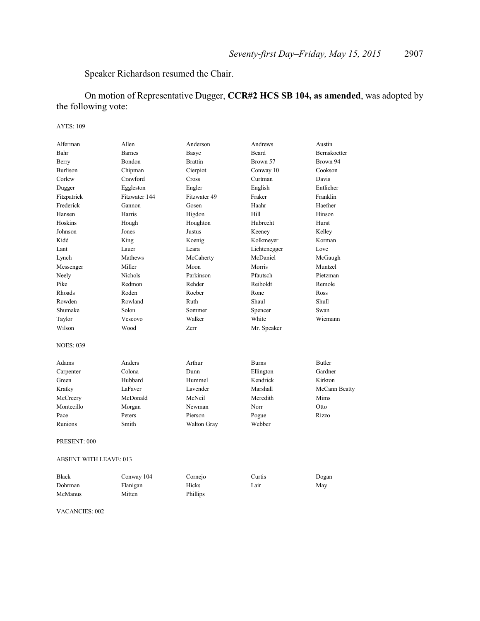### Speaker Richardson resumed the Chair.

## On motion of Representative Dugger, **CCR#2 HCS SB 104, as amended**, was adopted by the following vote:

### AYES: 109

| Alferman         | Allen                         | Anderson       | Andrews      | Austin        |  |
|------------------|-------------------------------|----------------|--------------|---------------|--|
| Bahr             | <b>Barnes</b>                 | Basye          | <b>Beard</b> | Bernskoetter  |  |
| Berry            | Bondon                        | <b>Brattin</b> | Brown 57     | Brown 94      |  |
| <b>Burlison</b>  | Chipman                       | Cierpiot       | Conway 10    | Cookson       |  |
| Corlew           | Crawford                      | Cross          | Curtman      | Davis         |  |
| Dugger           | Eggleston                     | Engler         | English      | Entlicher     |  |
| Fitzpatrick      | Fitzwater 144                 | Fitzwater 49   | Fraker       | Franklin      |  |
| Frederick        | Gannon                        | Gosen          | Haahr        | Haefner       |  |
| Hansen           | Harris                        | Higdon         | Hill         | Hinson        |  |
| Hoskins          | Hough                         | Houghton       | Hubrecht     | Hurst         |  |
| Johnson          | Jones                         | Justus         | Keeney       | Kelley        |  |
| Kidd             | King                          | Koenig         | Kolkmeyer    | Korman        |  |
| Lant             | Lauer                         | Leara          | Lichtenegger | Love          |  |
| Lynch            | Mathews                       | McCaherty      | McDaniel     | McGaugh       |  |
| Messenger        | Miller                        | Moon           | Morris       | Muntzel       |  |
| Neely            | <b>Nichols</b>                | Parkinson      | Pfautsch     | Pietzman      |  |
| Pike             | Redmon                        | Rehder         | Reiboldt     | Remole        |  |
| Rhoads           | Roden                         | Roeber         | Rone         | Ross          |  |
| Rowden           | Rowland                       | Ruth           | Shaul        | Shull         |  |
| Shumake          | Solon                         | Sommer         | Spencer      | Swan          |  |
| Taylor           | Vescovo                       | Walker         | White        | Wiemann       |  |
| Wilson           | Wood                          | Zerr           | Mr. Speaker  |               |  |
| <b>NOES: 039</b> |                               |                |              |               |  |
| Adams            | Anders                        | Arthur         | <b>Burns</b> | Butler        |  |
| Carpenter        | Colona                        | Dunn           | Ellington    | Gardner       |  |
| Green            | Hubbard                       | Hummel         | Kendrick     | Kirkton       |  |
| Kratky           | LaFaver                       | Lavender       | Marshall     | McCann Beatty |  |
| McCreery         | McDonald                      | McNeil         | Meredith     | Mims          |  |
| Montecillo       | Morgan                        | Newman         | Norr         | Otto          |  |
| Pace             | Peters                        | Pierson        | Pogue        | Rizzo         |  |
| Runions          | Smith                         | Walton Gray    | Webber       |               |  |
| PRESENT: 000     |                               |                |              |               |  |
|                  | <b>ABSENT WITH LEAVE: 013</b> |                |              |               |  |

| <b>Black</b> | Conway 104 | Cornejo  | Curtis | Dogan |
|--------------|------------|----------|--------|-------|
| Dohrman      | Flanigan   | Hicks    | Lair   | May   |
| McManus      | Mitten     | Phillips |        |       |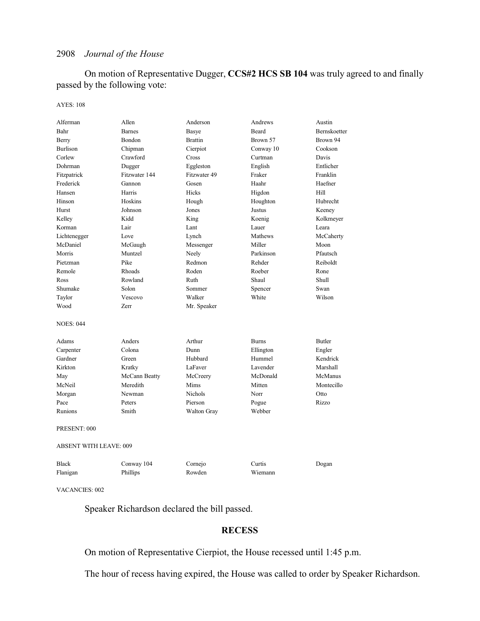On motion of Representative Dugger, **CCS#2 HCS SB 104** was truly agreed to and finally passed by the following vote:

#### AYES: 108

| Alferman                      | Allen         | Anderson       | Andrews      | Austin        |
|-------------------------------|---------------|----------------|--------------|---------------|
| Bahr                          | <b>Barnes</b> | Basye          | Beard        | Bernskoetter  |
| Berry                         | Bondon        | <b>Brattin</b> | Brown 57     | Brown 94      |
| <b>Burlison</b>               | Chipman       | Cierpiot       | Conway 10    | Cookson       |
| Corlew                        | Crawford      | Cross          | Curtman      | Davis         |
| Dohrman                       | Dugger        | Eggleston      | English      | Entlicher     |
| Fitzpatrick                   | Fitzwater 144 | Fitzwater 49   | Fraker       | Franklin      |
| Frederick                     | Gannon        | Gosen          | Haahr        | Haefner       |
| Hansen                        | Harris        | Hicks          | Higdon       | Hill          |
| Hinson                        | Hoskins       | Hough          | Houghton     | Hubrecht      |
| Hurst                         | Johnson       | Jones          | Justus       | Keeney        |
| Kelley                        | Kidd          | King           | Koenig       | Kolkmeyer     |
| Korman                        | Lair          | Lant           | Lauer        | Leara         |
| Lichtenegger                  | Love          | Lynch          | Mathews      | McCaherty     |
| McDaniel                      | McGaugh       | Messenger      | Miller       | Moon          |
| Morris                        | Muntzel       | Neely          | Parkinson    | Pfautsch      |
| Pietzman                      | Pike          | Redmon         | Rehder       | Reiboldt      |
| Remole                        | <b>Rhoads</b> | Roden          | Roeber       | Rone          |
| Ross                          | Rowland       | Ruth           | Shaul        | Shull         |
| Shumake                       | Solon         | Sommer         | Spencer      | Swan          |
| Taylor                        | Vescovo       | Walker         | White        | Wilson        |
| Wood                          | <b>Zerr</b>   | Mr. Speaker    |              |               |
| <b>NOES: 044</b>              |               |                |              |               |
| Adams                         | Anders        | Arthur         | <b>Burns</b> | <b>Butler</b> |
| Carpenter                     | Colona        | Dunn           | Ellington    | Engler        |
| Gardner                       | Green         | Hubbard        | Hummel       | Kendrick      |
| Kirkton                       | Kratky        | LaFaver        | Lavender     | Marshall      |
| May                           | McCann Beatty | McCreery       | McDonald     | McManus       |
| McNeil                        | Meredith      | Mims           | Mitten       | Montecillo    |
| Morgan                        | Newman        | <b>Nichols</b> | Norr         | Otto          |
| Pace                          | Peters        | Pierson        | Pogue        | Rizzo         |
| Runions                       | Smith         | Walton Gray    | Webber       |               |
| PRESENT: 000                  |               |                |              |               |
| <b>ABSENT WITH LEAVE: 009</b> |               |                |              |               |
| <b>Black</b>                  | Conway 104    | Cornejo        | Curtis       | Dogan         |
| Flanigan                      | Phillips      | Rowden         | Wiemann      |               |

VACANCIES: 002

Speaker Richardson declared the bill passed.

### **RECESS**

On motion of Representative Cierpiot, the House recessed until 1:45 p.m.

The hour of recess having expired, the House was called to order by Speaker Richardson.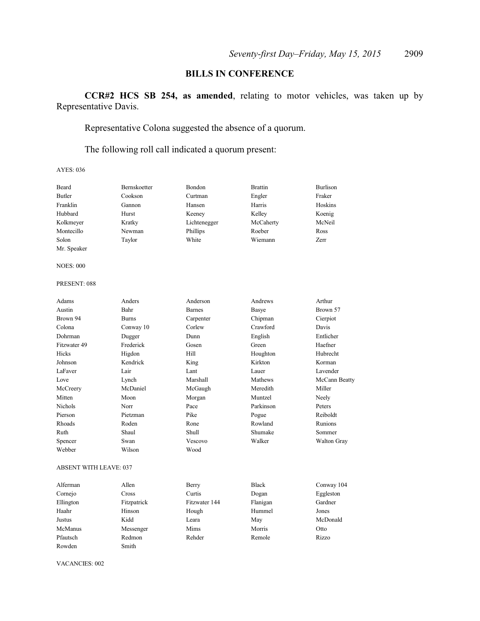### **BILLS IN CONFERENCE**

**CCR#2 HCS SB 254, as amended**, relating to motor vehicles, was taken up by Representative Davis.

Representative Colona suggested the absence of a quorum.

The following roll call indicated a quorum present:

AYES: 036

| Beard            | Bernskoetter | Bondon        | <b>Brattin</b> | <b>Burlison</b> |
|------------------|--------------|---------------|----------------|-----------------|
| <b>Butler</b>    | Cookson      | Curtman       | Engler         | Fraker          |
| Franklin         | Gannon       | Hansen        | Harris         | Hoskins         |
| Hubbard          | Hurst        | Keeney        | Kelley         | Koenig          |
| Kolkmeyer        | Kratky       | Lichtenegger  | McCaherty      | McNeil          |
| Montecillo       | Newman       | Phillips      | Roeber         | Ross            |
| Solon            | Taylor       | White         | Wiemann        | Zerr            |
| Mr. Speaker      |              |               |                |                 |
| <b>NOES: 000</b> |              |               |                |                 |
| PRESENT: 088     |              |               |                |                 |
| Adams            | Anders       | Anderson      | Andrews        | Arthur          |
| Austin           | Bahr         | <b>Barnes</b> | Basye          | Brown 57        |
| Brown 94         | <b>Burns</b> | Carpenter     | Chipman        | Cierpiot        |
| Colona           | Conway 10    | Corlew        | Crawford       | Davis           |
| Dohrman          | Dugger       | Dunn          | English        | Entlicher       |
| Fitzwater 49     | Frederick    | Gosen         | Green          | Haefner         |
| Hicks            | Higdon       | Hill          | Houghton       | Hubrecht        |
| Johnson          | Kendrick     | King          | Kirkton        | Korman          |
| LaFaver          | Lair         | Lant          | Lauer          | Lavender        |
| Love             | Lynch        | Marshall      | Mathews        | McCann Beatty   |
| McCreery         | McDaniel     | McGaugh       | Meredith       | Miller          |
| Mitten           | Moon         | Morgan        | Muntzel        | Neely           |
| Nichols          | Norr         | Pace          | Parkinson      | Peters          |
| Pierson          | Pietzman     | Pike          | Pogue          | Reiboldt        |
| Rhoads           | Roden        | Rone          | Rowland        | Runions         |
| Ruth             | Shaul        | Shull         | Shumake        | Sommer          |
| Spencer          | Swan         | Vescovo       | Walker         | Walton Gray     |
| Webber           | Wilson       | Wood          |                |                 |
|                  |              |               |                |                 |

### ABSENT WITH LEAVE: 037

| Alferman  | Allen       | Berry         | <b>Black</b> | Conway 104 |
|-----------|-------------|---------------|--------------|------------|
| Cornejo   | Cross       | Curtis        | Dogan        | Eggleston  |
| Ellington | Fitzpatrick | Fitzwater 144 | Flanigan     | Gardner    |
| Haahr     | Hinson      | Hough         | Hummel       | Jones      |
| Justus    | Kidd        | Leara         | May          | McDonald   |
| McManus   | Messenger   | Mims          | Morris       | Otto       |
| Pfautsch  | Redmon      | Rehder        | Remole       | Rizzo      |
| Rowden    | Smith       |               |              |            |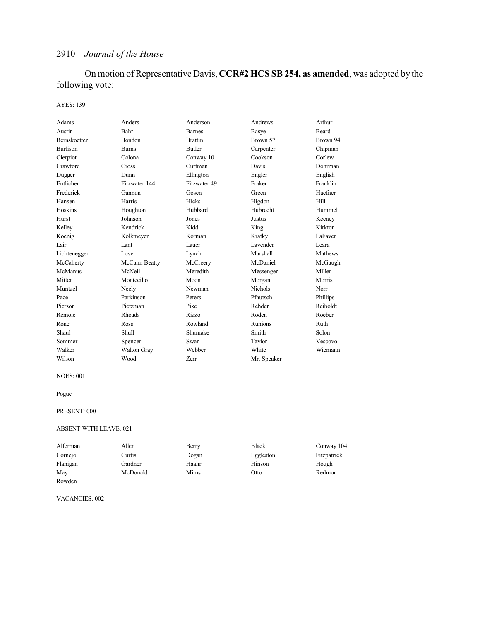On motion of Representative Davis, **CCR#2 HCS SB 254, as amended**, was adopted by the following vote:

### AYES: 139

| Adams               | Anders             | Anderson       | Andrews        | Arthur   |
|---------------------|--------------------|----------------|----------------|----------|
| Austin              | Bahr               | <b>Barnes</b>  | Basye          | Beard    |
| <b>Bernskoetter</b> | Bondon             | <b>Brattin</b> | Brown 57       | Brown 94 |
| <b>Burlison</b>     | <b>Burns</b>       | Butler         | Carpenter      | Chipman  |
| Cierpiot            | Colona             | Conway 10      | Cookson        | Corlew   |
| Crawford            | Cross              | Curtman        | Davis          | Dohrman  |
| Dugger              | Dunn               | Ellington      | Engler         | English  |
| Entlicher           | Fitzwater 144      | Fitzwater 49   | Fraker         | Franklin |
| Frederick           | Gannon             | Gosen          | Green          | Haefner  |
| Hansen              | Harris             | Hicks          | Higdon         | Hill     |
| Hoskins             | Houghton           | Hubbard        | Hubrecht       | Hummel   |
| Hurst               | Johnson            | Jones          | Justus         | Keeney   |
| Kelley              | Kendrick           | Kidd           | King           | Kirkton  |
| Koenig              | Kolkmeyer          | Korman         | Kratky         | LaFaver  |
| Lair                | Lant               | Lauer          | Lavender       | Leara    |
| Lichtenegger        | Love               | Lynch          | Marshall       | Mathews  |
| McCaherty           | McCann Beatty      | McCreery       | McDaniel       | McGaugh  |
| McManus             | McNeil             | Meredith       | Messenger      | Miller   |
| Mitten              | Montecillo         | Moon           | Morgan         | Morris   |
| Muntzel             | Neely              | Newman         | <b>Nichols</b> | Norr     |
| Pace                | Parkinson          | Peters         | Pfautsch       | Phillips |
| Pierson             | Pietzman           | Pike           | Rehder         | Reiboldt |
| Remole              | Rhoads             | Rizzo          | Roden          | Roeber   |
| Rone                | Ross               | Rowland        | Runions        | Ruth     |
| Shaul               | Shull              | Shumake        | Smith          | Solon    |
| Sommer              | Spencer            | Swan           | Taylor         | Vescovo  |
| Walker              | <b>Walton Gray</b> | Webber         | White          | Wiemann  |
| Wilson              | Wood               | Zerr           | Mr. Speaker    |          |

### NOES: 001

Pogue

### PRESENT: 000

#### ABSENT WITH LEAVE: 021

| Alferman | Allen    | Berry | <b>Black</b> | Conway 104  |
|----------|----------|-------|--------------|-------------|
| Cornejo  | Curtis   | Dogan | Eggleston    | Fitzpatrick |
| Flanigan | Gardner  | Haahr | Hinson       | Hough       |
| May      | McDonald | Mims  | Otto         | Redmon      |
| Rowden   |          |       |              |             |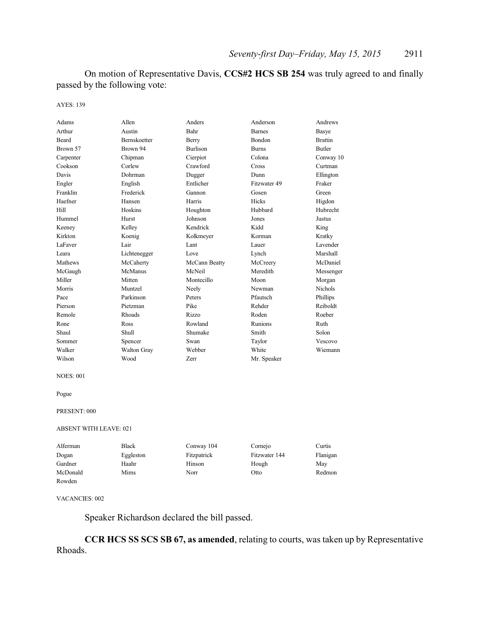On motion of Representative Davis, **CCS#2 HCS SB 254** was truly agreed to and finally passed by the following vote:

AYES: 139

| Adams     | Allen               | Anders          | Anderson      | Andrews        |
|-----------|---------------------|-----------------|---------------|----------------|
| Arthur    | Austin              | Bahr            | <b>Barnes</b> | Basye          |
| Beard     | <b>Bernskoetter</b> | Berry           | Bondon        | <b>Brattin</b> |
| Brown 57  | Brown 94            | <b>Burlison</b> | <b>Burns</b>  | <b>Butler</b>  |
| Carpenter | Chipman             | Cierpiot        | Colona        | Conway 10      |
| Cookson   | Corlew              | Crawford        | Cross         | Curtman        |
| Davis     | Dohrman             | Dugger          | Dunn          | Ellington      |
| Engler    | English             | Entlicher       | Fitzwater 49  | Fraker         |
| Franklin  | Frederick           | Gannon          | Gosen         | Green          |
| Haefner   | Hansen              | Harris          | Hicks         | Higdon         |
| Hill      | Hoskins             | Houghton        | Hubbard       | Hubrecht       |
| Hummel    | Hurst               | Johnson         | Jones         | Justus         |
| Keeney    | Kelley              | Kendrick        | Kidd          | King           |
| Kirkton   | Koenig              | Kolkmeyer       | Korman        | Kratky         |
| LaFaver   | Lair                | Lant            | Lauer         | Lavender       |
| Leara     | Lichtenegger        | Love            | Lynch         | Marshall       |
| Mathews   | McCaherty           | McCann Beatty   | McCreery      | McDaniel       |
| McGaugh   | McManus             | McNeil          | Meredith      | Messenger      |
| Miller    | Mitten              | Montecillo      | Moon          | Morgan         |
| Morris    | Muntzel             | Neely           | Newman        | <b>Nichols</b> |
| Pace      | Parkinson           | Peters          | Pfautsch      | Phillips       |
| Pierson   | Pietzman            | Pike            | Rehder        | Reiboldt       |
| Remole    | <b>Rhoads</b>       | Rizzo           | Roden         | Roeber         |
| Rone      | Ross                | Rowland         | Runions       | Ruth           |
| Shaul     | Shull               | Shumake         | Smith         | Solon          |
| Sommer    | Spencer             | Swan            | Taylor        | Vescovo        |
| Walker    | <b>Walton Gray</b>  | Webber          | White         | Wiemann        |
| Wilson    | Wood                | Zerr            | Mr. Speaker   |                |

#### NOES: 001

Pogue

#### PRESENT: 000

#### ABSENT WITH LEAVE: 021

| Alferman | <b>Black</b> | Conway 104  | Cornejo       | Curtis   |
|----------|--------------|-------------|---------------|----------|
| Dogan    | Eggleston    | Fitzpatrick | Fitzwater 144 | Flanigan |
| Gardner  | Haahr        | Hinson      | Hough         | May      |
| McDonald | Mims         | Norr        | Otto          | Redmon   |
| Rowden   |              |             |               |          |

VACANCIES: 002

Speaker Richardson declared the bill passed.

**CCR HCS SS SCS SB 67, as amended**, relating to courts, was taken up by Representative Rhoads.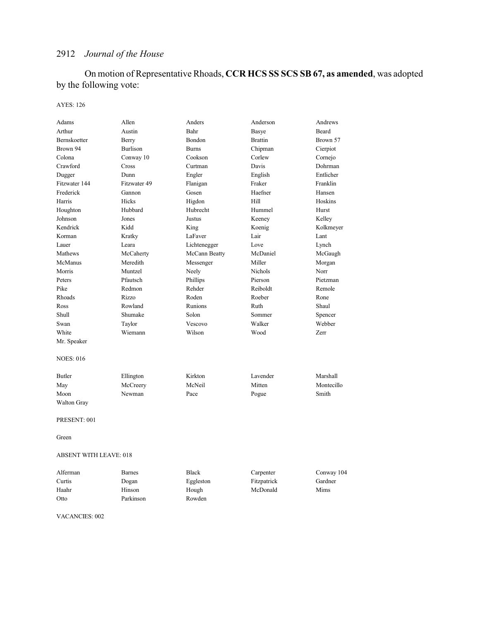On motion of Representative Rhoads, **CCR HCS SS SCS SB 67, as amended**, was adopted by the following vote:

### AYES: 126

| Adams                         | Allen         | Anders        | Anderson       | Andrews    |
|-------------------------------|---------------|---------------|----------------|------------|
| Arthur                        | Austin        | Bahr          | Basye          | Beard      |
| Bernskoetter                  | Berry         | Bondon        | <b>Brattin</b> | Brown 57   |
| Brown 94                      | Burlison      | <b>Burns</b>  | Chipman        | Cierpiot   |
| Colona                        | Conway 10     | Cookson       | Corlew         | Cornejo    |
| Crawford                      | Cross         | Curtman       | Davis          | Dohrman    |
| Dugger                        | Dunn          | Engler        | English        | Entlicher  |
| Fitzwater 144                 | Fitzwater 49  | Flanigan      | Fraker         | Franklin   |
| Frederick                     | Gannon        | Gosen         | Haefner        | Hansen     |
| Harris                        | <b>Hicks</b>  | Higdon        | Hill           | Hoskins    |
| Houghton                      | Hubbard       | Hubrecht      | Hummel         | Hurst      |
| Johnson                       | Jones         | Justus        | Keeney         | Kelley     |
| Kendrick                      | Kidd          | King          | Koenig         | Kolkmeyer  |
| Korman                        | Kratky        | LaFaver       | Lair           | Lant       |
| Lauer                         | Leara         | Lichtenegger  | Love           | Lynch      |
| Mathews                       | McCaherty     | McCann Beatty | McDaniel       | McGaugh    |
| McManus                       | Meredith      | Messenger     | Miller         | Morgan     |
| Morris                        | Muntzel       | Neely         | <b>Nichols</b> | Norr       |
| Peters                        | Pfautsch      | Phillips      | Pierson        | Pietzman   |
| Pike                          | Redmon        | Rehder        | Reiboldt       | Remole     |
| Rhoads                        | Rizzo         | Roden         | Roeber         | Rone       |
| Ross                          | Rowland       | Runions       | Ruth           | Shaul      |
| Shull                         | Shumake       | Solon         | Sommer         | Spencer    |
| Swan                          | Taylor        | Vescovo       | Walker         | Webber     |
| White                         | Wiemann       | Wilson        | Wood           | Zerr       |
| Mr. Speaker                   |               |               |                |            |
| <b>NOES: 016</b>              |               |               |                |            |
| <b>Butler</b>                 | Ellington     | Kirkton       | Lavender       | Marshall   |
| May                           | McCreery      | McNeil        | Mitten         | Montecillo |
| Moon                          | Newman        | Pace          | Pogue          | Smith      |
| <b>Walton Gray</b>            |               |               |                |            |
| PRESENT: 001                  |               |               |                |            |
| Green                         |               |               |                |            |
| <b>ABSENT WITH LEAVE: 018</b> |               |               |                |            |
| Alferman                      | <b>Barnes</b> | <b>Black</b>  | Carpenter      | Conway 104 |
| Curtis                        | Dogan         | Eggleston     | Fitzpatrick    | Gardner    |
| Haahr                         | Hinson        | Hough         | McDonald       | Mims       |
| Otto                          | Parkinson     | Rowden        |                |            |
|                               |               |               |                |            |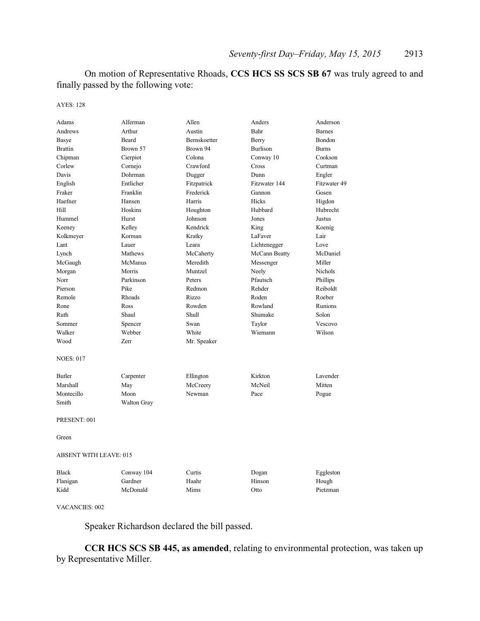On motion of Representative Rhoads, **CCS HCS SS SCS SB 67** was truly agreed to and finally passed by the following vote:

AYES: 128

| Adams            | Alferman                      | Allen        | Anders          | Anderson       |  |  |
|------------------|-------------------------------|--------------|-----------------|----------------|--|--|
| Andrews          | Arthur                        | Austin       | Bahr            | <b>Barnes</b>  |  |  |
| Basye            | <b>Beard</b>                  | Bernskoetter | Berry           | Bondon         |  |  |
| <b>Brattin</b>   | Brown 57                      | Brown 94     | <b>Burlison</b> | <b>Burns</b>   |  |  |
| Chipman          | Cierpiot                      | Colona       | Conway 10       | Cookson        |  |  |
| Corlew           | Cornejo                       | Crawford     | Cross           | Curtman        |  |  |
| Davis            | Dohrman                       | Dugger       | Dunn            | Engler         |  |  |
| English          | Entlicher                     | Fitzpatrick  | Fitzwater 144   | Fitzwater 49   |  |  |
| Fraker           | Franklin                      | Frederick    | Gannon          | Gosen          |  |  |
| Haefner          | Hansen                        | Harris       | Hicks           | Higdon         |  |  |
| Hill             | Hoskins                       | Houghton     | Hubbard         | Hubrecht       |  |  |
| Hummel           | Hurst                         | Johnson      | Jones           | Justus         |  |  |
| Keeney           | Kelley                        | Kendrick     | King            | Koenig         |  |  |
| Kolkmeyer        | Korman                        | Kratky       | LaFaver         | Lair           |  |  |
| Lant             | Lauer                         | Leara        | Lichtenegger    | Love           |  |  |
| Lynch            | Mathews                       | McCaherty    | McCann Beatty   | McDaniel       |  |  |
| McGaugh          | McManus                       | Meredith     | Messenger       | Miller         |  |  |
| Morgan           | Morris                        | Muntzel      | Neely           | <b>Nichols</b> |  |  |
| Norr             | Parkinson                     | Peters       | Pfautsch        | Phillips       |  |  |
| Pierson          | Pike                          | Redmon       | Rehder          | Reiboldt       |  |  |
| Remole           | Rhoads                        | Rizzo        | Roden           | Roeber         |  |  |
| Rone             | Ross                          | Rowden       | Rowland         | Runions        |  |  |
| Ruth             | Shaul                         | <b>Shull</b> | Shumake         | Solon          |  |  |
| Sommer           | Spencer                       | Swan         | Taylor          | Vescovo        |  |  |
| Walker           | Webber                        | White        | Wiemann         | Wilson         |  |  |
| Wood             | Zerr                          | Mr. Speaker  |                 |                |  |  |
| <b>NOES: 017</b> |                               |              |                 |                |  |  |
| Butler           | Carpenter                     | Ellington    | Kirkton         | Lavender       |  |  |
| Marshall         | May                           | McCreery     | McNeil          | Mitten         |  |  |
| Montecillo       | Moon                          | Newman       | Pace            | Pogue          |  |  |
| Smith            | Walton Gray                   |              |                 |                |  |  |
| PRESENT: 001     |                               |              |                 |                |  |  |
| Green            |                               |              |                 |                |  |  |
|                  | <b>ABSENT WITH LEAVE: 015</b> |              |                 |                |  |  |
| <b>Black</b>     | Conway 104                    | Curtis       | Dogan           | Eggleston      |  |  |
| Flanigan         | Gardner                       | Haahr        | Hinson          | Hough          |  |  |
| Kidd             | McDonald                      | Mims         | Otto            | Pietzman       |  |  |
|                  |                               |              |                 |                |  |  |

VACANCIES: 002

Speaker Richardson declared the bill passed.

**CCR HCS SCS SB 445, as amended**, relating to environmental protection, was taken up by Representative Miller.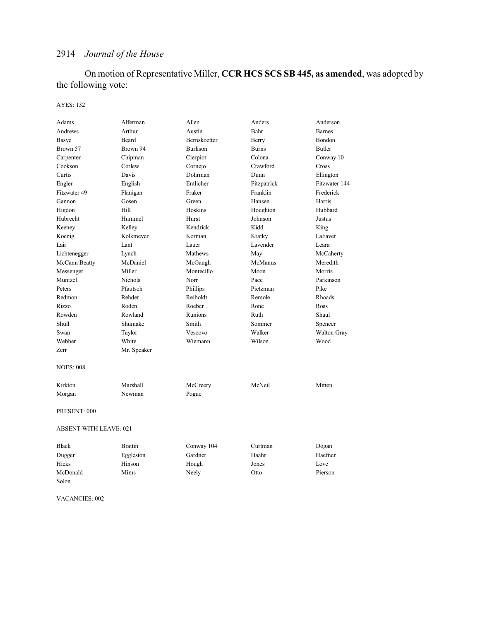On motion of Representative Miller, **CCR HCS SCS SB 445, as amended**, was adopted by the following vote:

### AYES: 132

| Adams                         | Alferman       | Allen           | Anders       | Anderson      |
|-------------------------------|----------------|-----------------|--------------|---------------|
| Andrews                       | Arthur         | Austin          | Bahr         | <b>Barnes</b> |
| Basye                         | Beard          | Bernskoetter    | Berry        | Bondon        |
| Brown 57                      | Brown 94       | <b>Burlison</b> | <b>Burns</b> | <b>Butler</b> |
| Carpenter                     | Chipman        | Cierpiot        | Colona       | Conway 10     |
| Cookson                       | Corlew         | Cornejo         | Crawford     | Cross         |
| Curtis                        | Davis          | Dohrman         | Dunn         | Ellington     |
| Engler                        | English        | Entlicher       | Fitzpatrick  | Fitzwater 144 |
| Fitzwater 49                  | Flanigan       | Fraker          | Franklin     | Frederick     |
| Gannon                        | Gosen          | Green           | Hansen       | Harris        |
| Higdon                        | Hill           | Hoskins         | Houghton     | Hubbard       |
| Hubrecht                      | Hummel         | Hurst           | Johnson      | Justus        |
| Keeney                        | Kelley         | Kendrick        | Kidd         | King          |
| Koenig                        | Kolkmeyer      | Korman          | Kratky       | LaFaver       |
| Lair                          | Lant           | Lauer           | Lavender     | Leara         |
| Lichtenegger                  | Lynch          | Mathews         | May          | McCaherty     |
| McCann Beatty                 | McDaniel       | McGaugh         | McManus      | Meredith      |
| Messenger                     | Miller         | Montecillo      | Moon         | Morris        |
| Muntzel                       | <b>Nichols</b> | Norr            | Pace         | Parkinson     |
| Peters                        | Pfautsch       | Phillips        | Pietzman     | Pike          |
| Redmon                        | Rehder         | Reiboldt        | Remole       | Rhoads        |
| Rizzo                         | Roden          | Roeber          | Rone         | Ross          |
| Rowden                        | Rowland        | Runions         | Ruth         | Shaul         |
| Shull                         | Shumake        | Smith           | Sommer       | Spencer       |
| Swan                          | Taylor         | Vescovo         | Walker       | Walton Gray   |
| Webber                        | White          | Wiemann         | Wilson       | Wood          |
| Zerr                          | Mr. Speaker    |                 |              |               |
| <b>NOES: 008</b>              |                |                 |              |               |
| Kirkton                       | Marshall       | McCreery        | McNeil       | Mitten        |
| Morgan                        | Newman         | Pogue           |              |               |
| PRESENT: 000                  |                |                 |              |               |
| <b>ABSENT WITH LEAVE: 021</b> |                |                 |              |               |
| <b>Black</b>                  | <b>Brattin</b> | Conway 104      | Curtman      | Dogan         |
| Dugger                        | Eggleston      | Gardner         | Haahr        | Haefner       |
| Hicks                         | Hinson         | Hough           | Jones        | Love          |
| McDonald                      | Mims           | Neely           | Otto         | Pierson       |
| Solon                         |                |                 |              |               |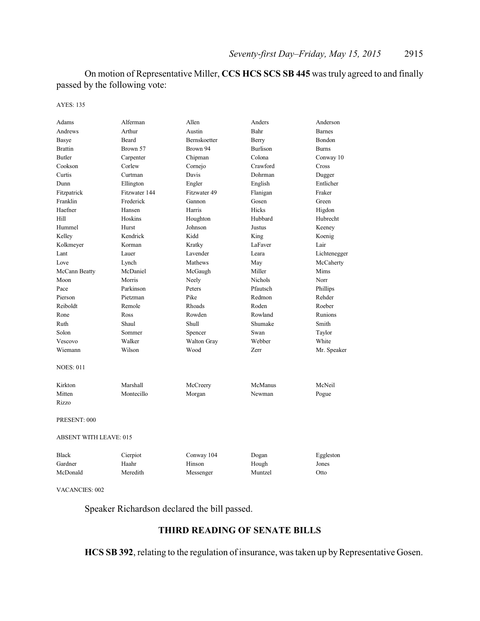On motion of Representative Miller, **CCS HCS SCS SB 445** was truly agreed to and finally passed by the following vote:

AYES: 135

| Adams                         | Alferman      | Allen        | Anders          | Anderson       |
|-------------------------------|---------------|--------------|-----------------|----------------|
| Andrews                       | Arthur        | Austin       | Bahr            | <b>Barnes</b>  |
| <b>Basye</b>                  | Beard         | Bernskoetter | Berry           | Bondon         |
| <b>Brattin</b>                | Brown 57      | Brown 94     | <b>Burlison</b> | <b>Burns</b>   |
| <b>Butler</b>                 | Carpenter     | Chipman      | Colona          | Conway 10      |
| Cookson                       | Corlew        | Cornejo      | Crawford        | Cross          |
| Curtis                        | Curtman       | Davis        | Dohrman         | Dugger         |
| Dunn                          | Ellington     | Engler       | English         | Entlicher      |
| Fitzpatrick                   | Fitzwater 144 | Fitzwater 49 | Flanigan        | Fraker         |
| Franklin                      | Frederick     | Gannon       | Gosen           | Green          |
| Haefner                       | Hansen        | Harris       | Hicks           | Higdon         |
| Hill                          | Hoskins       | Houghton     | Hubbard         | Hubrecht       |
| Hummel                        | Hurst         | Johnson      | Justus          | Keeney         |
| Kelley                        | Kendrick      | Kidd         | King            | Koenig         |
| Kolkmeyer                     | Korman        | Kratky       | LaFaver         | Lair           |
| Lant                          | Lauer         | Lavender     | Leara           | Lichtenegger   |
| Love                          | Lynch         | Mathews      | May             | McCaherty      |
| McCann Beatty                 | McDaniel      | McGaugh      | Miller          | <b>Mims</b>    |
| Moon                          | Morris        | Neely        | <b>Nichols</b>  | Norr           |
| Pace                          | Parkinson     | Peters       | Pfautsch        | Phillips       |
| Pierson                       | Pietzman      | Pike         | Redmon          | Rehder         |
| Reiboldt                      | Remole        | Rhoads       | Roden           | Roeber         |
| Rone                          | Ross          | Rowden       | Rowland         | <b>Runions</b> |
| Ruth                          | Shaul         | Shull        | Shumake         | Smith          |
| Solon                         | Sommer        | Spencer      | Swan            | Taylor         |
| Vescovo                       | Walker        | Walton Gray  | Webber          | White          |
| Wiemann                       | Wilson        | Wood         | <b>Zerr</b>     | Mr. Speaker    |
| <b>NOES: 011</b>              |               |              |                 |                |
| Kirkton                       | Marshall      | McCreery     | McManus         | McNeil         |
| Mitten                        | Montecillo    | Morgan       | Newman          | Pogue          |
| Rizzo                         |               |              |                 |                |
| PRESENT: 000                  |               |              |                 |                |
| <b>ABSENT WITH LEAVE: 015</b> |               |              |                 |                |
| <b>Black</b>                  | Cierpiot      | Conway 104   | Dogan           | Eggleston      |
| Gardner                       | Haahr         | Hinson       | Hough           | Jones          |
| McDonald                      | Meredith      | Messenger    | Muntzel         | Otto           |
|                               |               |              |                 |                |

VACANCIES: 002

Speaker Richardson declared the bill passed.

## **THIRD READING OF SENATE BILLS**

HCS SB 392, relating to the regulation of insurance, was taken up by Representative Gosen.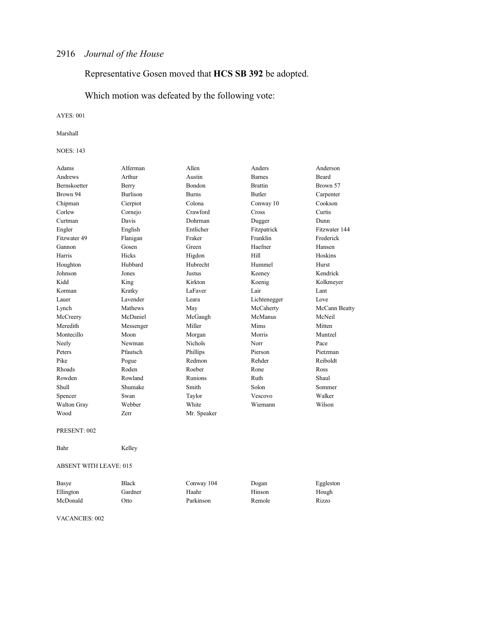# Representative Gosen moved that **HCS SB 392** be adopted.

Which motion was defeated by the following vote:

AYES: 001

#### Marshall

#### NOES: 143

| Adams        | Alferman        | Allen          | Anders         | Anderson      |
|--------------|-----------------|----------------|----------------|---------------|
| Andrews      | Arthur          | Austin         | <b>Barnes</b>  | <b>Beard</b>  |
| Bernskoetter | Berry           | Bondon         | <b>Brattin</b> | Brown 57      |
| Brown 94     | <b>Burlison</b> | <b>Burns</b>   | Butler         | Carpenter     |
| Chipman      | Cierpiot        | Colona         | Conway 10      | Cookson       |
| Corlew       | Cornejo         | Crawford       | Cross          | Curtis        |
| Curtman      | Davis           | Dohrman        | Dugger         | Dunn          |
| Engler       | English         | Entlicher      | Fitzpatrick    | Fitzwater 144 |
| Fitzwater 49 | Flanigan        | Fraker         | Franklin       | Frederick     |
| Gannon       | Gosen           | Green          | Haefner        | Hansen        |
| Harris       | Hicks           | Higdon         | Hill           | Hoskins       |
| Houghton     | Hubbard         | Hubrecht       | Hummel         | Hurst         |
| Johnson      | Jones           | Justus         | Keeney         | Kendrick      |
| Kidd         | King            | Kirkton        | Koenig         | Kolkmeyer     |
| Korman       | Kratky          | LaFaver        | Lair           | Lant          |
| Lauer        | Lavender        | Leara          | Lichtenegger   | Love          |
| Lynch        | Mathews         | May            | McCaherty      | McCann Beatty |
| McCreery     | McDaniel        | McGaugh        | McManus        | McNeil        |
| Meredith     | Messenger       | Miller         | Mims           | Mitten        |
| Montecillo   | Moon            | Morgan         | Morris         | Muntzel       |
| Neely        | Newman          | <b>Nichols</b> | Norr           | Pace          |
| Peters       | Pfautsch        | Phillips       | Pierson        | Pietzman      |
| Pike         | Pogue           | Redmon         | Rehder         | Reiboldt      |
| Rhoads       | Roden           | Roeber         | Rone           | Ross          |
| Rowden       | Rowland         | Runions        | Ruth           | Shaul         |
| Shull        | Shumake         | Smith          | Solon          | Sommer        |
| Spencer      | Swan            | Taylor         | Vescovo        | Walker        |
| Walton Gray  | Webber          | White          | Wiemann        | Wilson        |
| Wood         | Zerr            | Mr. Speaker    |                |               |
| PRESENT: 002 |                 |                |                |               |

Bahr Kelley

#### ABSENT WITH LEAVE: 015

| Basye     | Black   | Conway 104 | Dogan  | Eggleston |
|-----------|---------|------------|--------|-----------|
| Ellington | Gardner | Haahr      | Hinson | Hough     |
| McDonald  | Otto    | Parkinson  | Remole | Rizzo     |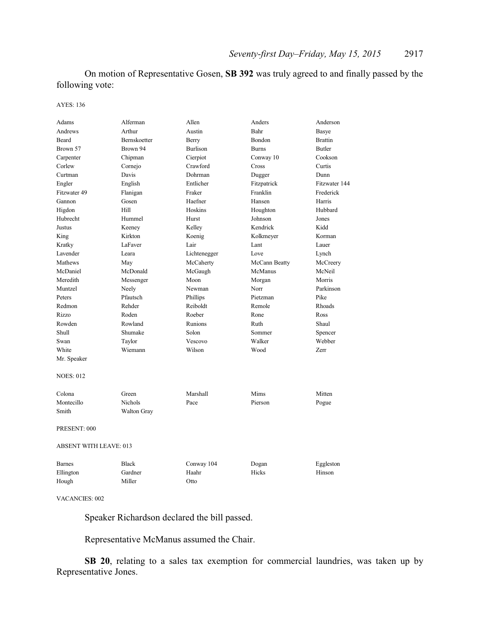On motion of Representative Gosen, **SB 392** was truly agreed to and finally passed by the following vote:

AYES: 136

| Adams                         | Alferman       | Allen           | Anders        | Anderson       |  |
|-------------------------------|----------------|-----------------|---------------|----------------|--|
| Andrews                       | Arthur         | Austin          | Bahr          | Basye          |  |
| Beard                         | Bernskoetter   | Berry           | Bondon        | <b>Brattin</b> |  |
| Brown 57                      | Brown 94       | <b>Burlison</b> | <b>Burns</b>  | <b>Butler</b>  |  |
| Carpenter                     | Chipman        | Cierpiot        | Conway 10     | Cookson        |  |
| Corlew                        | Cornejo        | Crawford        | Cross         | Curtis         |  |
| Curtman                       | Davis          | Dohrman         | Dugger        | Dunn           |  |
| Engler                        | English        | Entlicher       | Fitzpatrick   | Fitzwater 144  |  |
| Fitzwater 49                  | Flanigan       | Fraker          | Franklin      | Frederick      |  |
| Gannon                        | Gosen          | Haefner         | Hansen        | Harris         |  |
| Higdon                        | Hill           | Hoskins         | Houghton      | Hubbard        |  |
| Hubrecht                      | Hummel         | Hurst           | Johnson       | Jones          |  |
| Justus                        | Keeney         | Kelley          | Kendrick      | Kidd           |  |
| King                          | Kirkton        | Koenig          | Kolkmeyer     | Korman         |  |
| Kratky                        | LaFaver        | Lair            | Lant          | Lauer          |  |
| Lavender                      | Leara          | Lichtenegger    | Love          | Lynch          |  |
| Mathews                       | May            | McCaherty       | McCann Beatty | McCreery       |  |
| McDaniel                      | McDonald       | McGaugh         | McManus       | McNeil         |  |
| Meredith                      | Messenger      | Moon            | Morgan        | Morris         |  |
| Muntzel                       | Neely          | Newman          | Norr          | Parkinson      |  |
| Peters                        | Pfautsch       | Phillips        | Pietzman      | Pike           |  |
| Redmon                        | Rehder         | Reiboldt        | Remole        | Rhoads         |  |
| Rizzo                         | Roden          | Roeber          | Rone          | Ross           |  |
| Rowden                        | Rowland        | Runions         | Ruth          | Shaul          |  |
| Shull                         | Shumake        | Solon           | Sommer        | Spencer        |  |
| Swan                          | Taylor         | Vescovo         | Walker        | Webber         |  |
| White                         | Wiemann        | Wilson          | Wood          | Zerr           |  |
| Mr. Speaker                   |                |                 |               |                |  |
| <b>NOES: 012</b>              |                |                 |               |                |  |
| Colona                        | Green          | Marshall        | Mims          | Mitten         |  |
| Montecillo                    | <b>Nichols</b> | Pace            | Pierson       | Pogue          |  |
| Smith                         | Walton Gray    |                 |               |                |  |
| PRESENT: 000                  |                |                 |               |                |  |
| <b>ABSENT WITH LEAVE: 013</b> |                |                 |               |                |  |
| <b>Barnes</b>                 | <b>Black</b>   | Conway 104      | Dogan         | Eggleston      |  |
| Ellington                     | Gardner        | Haahr           | Hicks         | Hinson         |  |
| Hough                         | Miller         | Otto            |               |                |  |
|                               |                |                 |               |                |  |

VACANCIES: 002

Speaker Richardson declared the bill passed.

Representative McManus assumed the Chair.

**SB 20**, relating to a sales tax exemption for commercial laundries, was taken up by Representative Jones.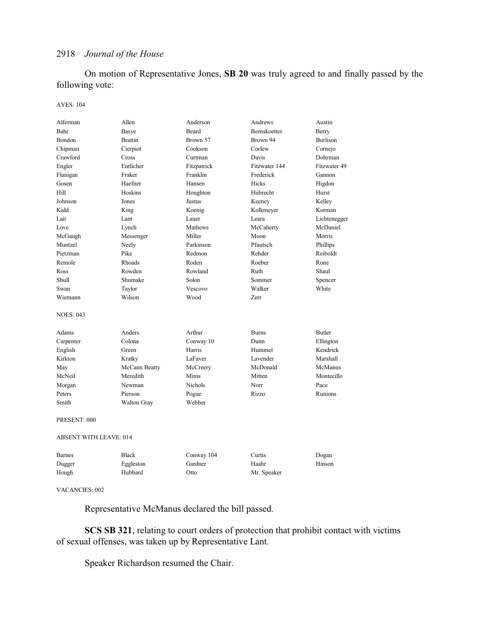On motion of Representative Jones, **SB 20** was truly agreed to and finally passed by the following vote:

### AYES: 104

| Alferman               | Allen              | Anderson       | Andrews       | Austin          |  |
|------------------------|--------------------|----------------|---------------|-----------------|--|
| Bahr                   | Basye              | Beard          | Bernskoetter  | Berry           |  |
| Bondon                 | <b>Brattin</b>     | Brown 57       | Brown 94      | <b>Burlison</b> |  |
| Chipman                | Cierpiot           | Cookson        | Corlew        | Cornejo         |  |
| Crawford               | Cross              | Curtman        | Davis         | Dohrman         |  |
| Engler                 | Entlicher          | Fitzpatrick    | Fitzwater 144 | Fitzwater 49    |  |
| Flanigan               | Fraker             | Franklin       | Frederick     | Gannon          |  |
| Gosen                  | Haefner            | Hansen         | Hicks         | Higdon          |  |
| Hill                   | Hoskins            | Houghton       | Hubrecht      | Hurst           |  |
| Johnson                | Jones              | Justus         | Keeney        | Kelley          |  |
| Kidd                   | King               | Koenig         | Kolkmeyer     | Korman          |  |
| Lair                   | Lant               | Lauer          | Leara         | Lichtenegger    |  |
| Love                   | Lynch              | Mathews        | McCaherty     | McDaniel        |  |
| McGaugh                | Messenger          | Miller         | Moon          | Morris          |  |
| Muntzel                | Neely              | Parkinson      | Pfautsch      | Phillips        |  |
| Pietzman               | Pike               | Redmon         | Rehder        | Reiboldt        |  |
| Remole                 | Rhoads             | Roden          | Roeber        | Rone            |  |
| Ross                   | Rowden             | Rowland        | Ruth          | Shaul           |  |
| Shull                  | Shumake            | Solon          | Sommer        | Spencer         |  |
| Swan                   | Taylor             | Vescovo        | Walker        | White           |  |
| Wiemann                | Wilson             | Wood           | Zerr          |                 |  |
| <b>NOES: 043</b>       |                    |                |               |                 |  |
| Adams                  | Anders             | Arthur         | <b>Burns</b>  | <b>Butler</b>   |  |
| Carpenter              | Colona             | Conway 10      | Dunn          | Ellington       |  |
| English                | Green              | Harris         | Hummel        | Kendrick        |  |
| Kirkton                | Kratky             | LaFaver        | Lavender      | Marshall        |  |
| May                    | McCann Beatty      | McCreery       | McDonald      | McManus         |  |
| McNeil                 | Meredith           | Mims           | Mitten        | Montecillo      |  |
| Morgan                 | Newman             | <b>Nichols</b> | Norr          | Pace            |  |
| Peters                 | Pierson            | Pogue          | Rizzo         | Runions         |  |
| Smith                  | <b>Walton Gray</b> | Webber         |               |                 |  |
| PRESENT: 000           |                    |                |               |                 |  |
| ABSENT WITH LEAVE: 014 |                    |                |               |                 |  |
| <b>Barnes</b>          | <b>Black</b>       | Conway 104     | Curtis        | Dogan           |  |
| Dugger                 | Eggleston          | Gardner        | Haahr         | Hinson          |  |
| Hough                  | Hubbard            | Otto           | Mr. Speaker   |                 |  |
|                        |                    |                |               |                 |  |

### VACANCIES: 002

Representative McManus declared the bill passed.

**SCS SB 321**, relating to court orders of protection that prohibit contact with victims of sexual offenses, was taken up by Representative Lant.

Speaker Richardson resumed the Chair.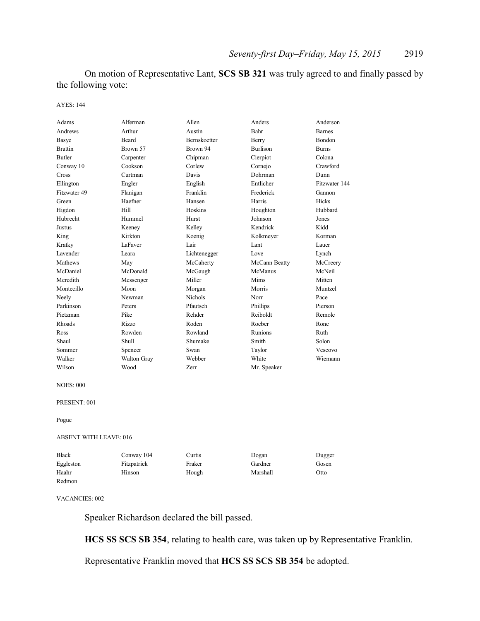On motion of Representative Lant, **SCS SB 321** was truly agreed to and finally passed by the following vote:

#### AYES: 144

| Adams            | Alferman    | Allen          | Anders          | Anderson      |
|------------------|-------------|----------------|-----------------|---------------|
| Andrews          | Arthur      | Austin         | Bahr            | <b>Barnes</b> |
| Basye            | Beard       | Bernskoetter   | Berry           | Bondon        |
| <b>Brattin</b>   | Brown 57    | Brown 94       | <b>Burlison</b> | <b>Burns</b>  |
| <b>Butler</b>    | Carpenter   | Chipman        | Cierpiot        | Colona        |
| Conway 10        | Cookson     | Corlew         | Cornejo         | Crawford      |
| Cross            | Curtman     | Davis          | Dohrman         | Dunn          |
| Ellington        | Engler      | English        | Entlicher       | Fitzwater 144 |
| Fitzwater 49     | Flanigan    | Franklin       | Frederick       | Gannon        |
| Green            | Haefner     | Hansen         | Harris          | Hicks         |
| Higdon           | Hill        | Hoskins        | Houghton        | Hubbard       |
| Hubrecht         | Hummel      | Hurst          | Johnson         | Jones         |
| Justus           | Keeney      | Kelley         | Kendrick        | Kidd          |
| King             | Kirkton     | Koenig         | Kolkmeyer       | Korman        |
| Kratky           | LaFaver     | Lair           | Lant            | Lauer         |
| Lavender         | Leara       | Lichtenegger   | Love            | Lynch         |
| Mathews          | May         | McCaherty      | McCann Beatty   | McCreery      |
| McDaniel         | McDonald    | McGaugh        | McManus         | McNeil        |
| Meredith         | Messenger   | Miller         | Mims            | Mitten        |
| Montecillo       | Moon        | Morgan         | Morris          | Muntzel       |
| Neely            | Newman      | <b>Nichols</b> | Norr            | Pace          |
| Parkinson        | Peters      | Pfautsch       | Phillips        | Pierson       |
| Pietzman         | Pike        | Rehder         | Reiboldt        | Remole        |
| Rhoads           | Rizzo       | Roden          | Roeber          | Rone          |
| Ross             | Rowden      | Rowland        | Runions         | Ruth          |
| Shaul            | Shull       | Shumake        | Smith           | Solon         |
| Sommer           | Spencer     | Swan           | Taylor          | Vescovo       |
| Walker           | Walton Gray | Webber         | White           | Wiemann       |
| Wilson           | Wood        | Zerr           | Mr. Speaker     |               |
| <b>NOES: 000</b> |             |                |                 |               |
| PRESENT: 001     |             |                |                 |               |

Pogue

#### ABSENT WITH LEAVE: 016

| <b>Black</b> | Conway 104  | Curtis | Dogan    | Dugger |
|--------------|-------------|--------|----------|--------|
| Eggleston    | Fitzpatrick | Fraker | Gardner  | Gosen  |
| Haahr        | Hinson      | Hough  | Marshall | Otto   |
| Redmon       |             |        |          |        |

VACANCIES: 002

Speaker Richardson declared the bill passed.

**HCS SS SCS SB 354**, relating to health care, was taken up by Representative Franklin.

Representative Franklin moved that **HCS SS SCS SB 354** be adopted.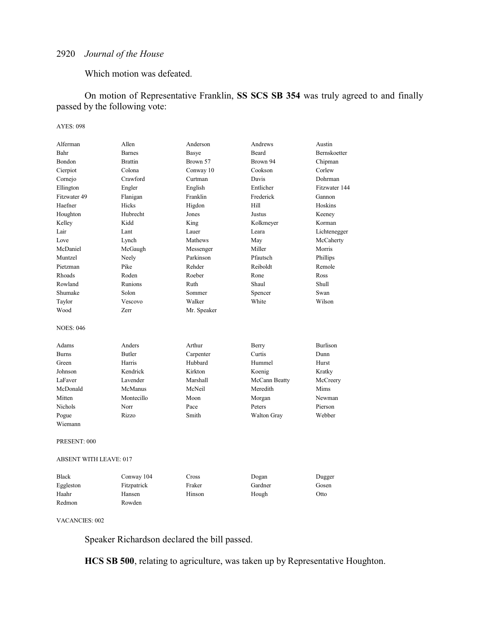### Which motion was defeated.

On motion of Representative Franklin, **SS SCS SB 354** was truly agreed to and finally passed by the following vote:

### AYES: 098

| Alferman                      | Allen          | Anderson    | Andrews       | Austin              |
|-------------------------------|----------------|-------------|---------------|---------------------|
| Bahr                          | <b>Barnes</b>  | Basye       | <b>Beard</b>  | <b>Bernskoetter</b> |
| Bondon                        | <b>Brattin</b> | Brown 57    | Brown 94      | Chipman             |
| Cierpiot                      | Colona         | Conway 10   | Cookson       | Corlew              |
| Cornejo                       | Crawford       | Curtman     | Davis         | Dohrman             |
| Ellington                     | Engler         | English     | Entlicher     | Fitzwater 144       |
| Fitzwater 49                  | Flanigan       | Franklin    | Frederick     | Gannon              |
| Haefner                       | Hicks          | Higdon      | Hill          | Hoskins             |
| Houghton                      | Hubrecht       | Jones       | Justus        | Keeney              |
| Kelley                        | Kidd           | King        | Kolkmeyer     | Korman              |
| Lair                          | Lant           | Lauer       | Leara         | Lichtenegger        |
| Love                          | Lynch          | Mathews     | May           | McCaherty           |
| McDaniel                      | McGaugh        | Messenger   | Miller        | Morris              |
| Muntzel                       | Neely          | Parkinson   | Pfautsch      | Phillips            |
| Pietzman                      | Pike           | Rehder      | Reiboldt      | Remole              |
| Rhoads                        | Roden          | Roeber      | Rone          | Ross                |
| Rowland                       | Runions        | Ruth        | Shaul         | Shull               |
| Shumake                       | Solon          | Sommer      | Spencer       | Swan                |
| Taylor                        | Vescovo        | Walker      | White         | Wilson              |
| Wood                          | Zerr           | Mr. Speaker |               |                     |
| <b>NOES: 046</b>              |                |             |               |                     |
| Adams                         | Anders         | Arthur      | Berry         | <b>Burlison</b>     |
| <b>Burns</b>                  | <b>Butler</b>  | Carpenter   | Curtis        | Dunn                |
| Green                         | Harris         | Hubbard     | Hummel        | Hurst               |
| Johnson                       | Kendrick       | Kirkton     | Koenig        | Kratky              |
| LaFaver                       | Lavender       | Marshall    | McCann Beatty | McCreery            |
| McDonald                      | McManus        | McNeil      | Meredith      | Mims                |
| Mitten                        | Montecillo     | Moon        | Morgan        | Newman              |
| Nichols                       | Norr           | Pace        | Peters        | Pierson             |
| Pogue                         | Rizzo          | Smith       | Walton Gray   | Webber              |
| Wiemann                       |                |             |               |                     |
| PRESENT: 000                  |                |             |               |                     |
| <b>ABSENT WITH LEAVE: 017</b> |                |             |               |                     |
| Black                         | Conway 104     | Cross       | Dogan         | Dugger              |

| <b>Black</b> | Conway 104  | Cross  | Dogan   | Dugger |
|--------------|-------------|--------|---------|--------|
| Eggleston    | Fitzpatrick | Fraker | Gardner | Gosen  |
| Haahr        | Hansen      | Hinson | Hough   | Otto   |
| Redmon       | Rowden      |        |         |        |

VACANCIES: 002

Speaker Richardson declared the bill passed.

**HCS SB 500**, relating to agriculture, was taken up by Representative Houghton.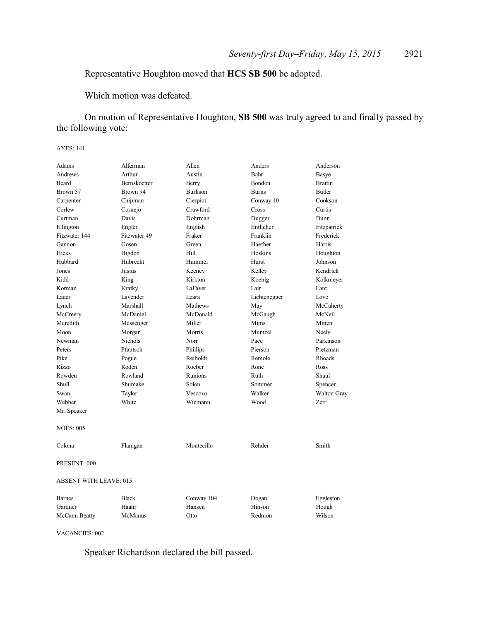### Representative Houghton moved that **HCS SB 500** be adopted.

Which motion was defeated.

On motion of Representative Houghton, **SB 500** was truly agreed to and finally passed by the following vote:

### AYES: 141

| Adams                         | Alferman       | Allen           | Anders       | Anderson       |
|-------------------------------|----------------|-----------------|--------------|----------------|
| Andrews                       | Arthur         | Austin          | Bahr         | Basye          |
| Beard                         | Bernskoetter   | Berry           | Bondon       | <b>Brattin</b> |
| Brown 57                      | Brown 94       | <b>Burlison</b> | <b>Burns</b> | <b>Butler</b>  |
| Carpenter                     | Chipman        | Cierpiot        | Conway 10    | Cookson        |
| Corlew                        | Cornejo        | Crawford        | Cross        | Curtis         |
| Curtman                       | Davis          | Dohrman         | Dugger       | Dunn           |
| Ellington                     | Engler         | English         | Entlicher    | Fitzpatrick    |
| Fitzwater 144                 | Fitzwater 49   | Fraker          | Franklin     | Frederick      |
| Gannon                        | Gosen          | Green           | Haefner      | Harris         |
| Hicks                         | Higdon         | Hill            | Hoskins      | Houghton       |
| Hubbard                       | Hubrecht       | Hummel          | Hurst        | Johnson        |
| Jones                         | Justus         | Keeney          | Kelley       | Kendrick       |
| Kidd                          | King           | Kirkton         | Koenig       | Kolkmeyer      |
| Korman                        | Kratky         | LaFaver         | Lair         | Lant           |
| Lauer                         | Lavender       | Leara           | Lichtenegger | Love           |
| Lynch                         | Marshall       | Mathews         | May          | McCaherty      |
| McCreery                      | McDaniel       | McDonald        | McGaugh      | McNeil         |
| Meredith                      | Messenger      | Miller          | Mims         | Mitten         |
| Moon                          | Morgan         | Morris          | Muntzel      | Neely          |
| Newman                        | <b>Nichols</b> | Norr            | Pace         | Parkinson      |
| Peters                        | Pfautsch       | Phillips        | Pierson      | Pietzman       |
| Pike                          | Pogue          | Reiboldt        | Remole       | Rhoads         |
| Rizzo                         | Roden          | Roeber          | Rone         | Ross           |
| Rowden                        | Rowland        | Runions         | Ruth         | Shaul          |
| Shull                         | Shumake        | Solon           | Sommer       | Spencer        |
| Swan                          | Taylor         | Vescovo         | Walker       | Walton Gray    |
| Webber                        | White          | Wiemann         | Wood         | Zerr           |
| Mr. Speaker                   |                |                 |              |                |
| <b>NOES: 005</b>              |                |                 |              |                |
| Colona                        | Flanigan       | Montecillo      | Rehder       | Smith          |
| PRESENT: 000                  |                |                 |              |                |
| <b>ABSENT WITH LEAVE: 015</b> |                |                 |              |                |
| <b>Barnes</b>                 | <b>Black</b>   | Conway 104      | Dogan        | Eggleston      |
| Gardner                       | Haahr          | Hansen          | Hinson       | Hough          |
| McCann Beatty                 | McManus        | Otto            | Redmon       | Wilson         |

VACANCIES: 002

Speaker Richardson declared the bill passed.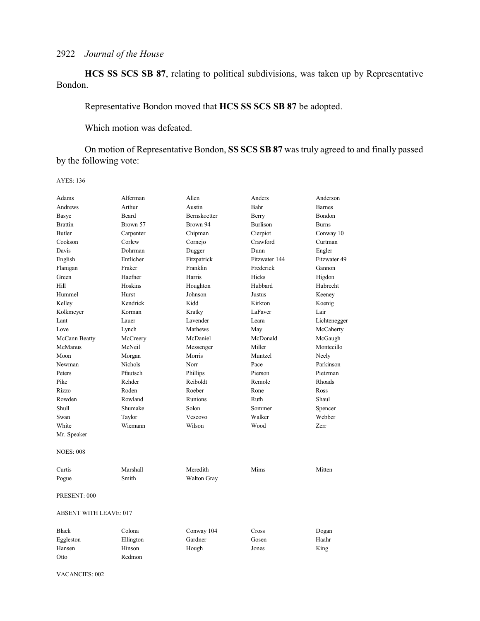**HCS SS SCS SB 87**, relating to political subdivisions, was taken up by Representative Bondon.

Representative Bondon moved that **HCS SS SCS SB 87** be adopted.

Which motion was defeated.

On motion of Representative Bondon, **SS SCS SB 87** was truly agreed to and finally passed by the following vote:

AYES: 136

| Adams                         | Alferman       | Allen               | Anders          | Anderson      |
|-------------------------------|----------------|---------------------|-----------------|---------------|
| Andrews                       | Arthur         | Austin              | Bahr            | <b>Barnes</b> |
| Basye                         | <b>Beard</b>   | <b>Bernskoetter</b> | Berry           | <b>Bondon</b> |
| <b>Brattin</b>                | Brown 57       | Brown 94            | <b>Burlison</b> | <b>Burns</b>  |
| <b>Butler</b>                 | Carpenter      | Chipman             | Cierpiot        | Conway 10     |
| Cookson                       | Corlew         | Cornejo             | Crawford        | Curtman       |
| Davis                         | Dohrman        | Dugger              | Dunn            | Engler        |
| English                       | Entlicher      | Fitzpatrick         | Fitzwater 144   | Fitzwater 49  |
| Flanigan                      | Fraker         | Franklin            | Frederick       | Gannon        |
| Green                         | Haefner        | Harris              | Hicks           | Higdon        |
| Hill                          | Hoskins        | Houghton            | Hubbard         | Hubrecht      |
| Hummel                        | Hurst          | Johnson             | Justus          | Keeney        |
| Kelley                        | Kendrick       | Kidd                | Kirkton         | Koenig        |
| Kolkmeyer                     | Korman         | Kratky              | LaFaver         | Lair          |
| Lant                          | Lauer          | Lavender            | Leara           | Lichtenegger  |
| Love                          | Lynch          | Mathews             | May             | McCaherty     |
| McCann Beatty                 | McCreery       | McDaniel            | McDonald        | McGaugh       |
| McManus                       | McNeil         | Messenger           | Miller          | Montecillo    |
| Moon                          | Morgan         | Morris              | Muntzel         | Neely         |
| Newman                        | <b>Nichols</b> | Norr                | Pace            | Parkinson     |
| Peters                        | Pfautsch       | Phillips            | Pierson         | Pietzman      |
| Pike                          | Rehder         | Reiboldt            | Remole          | Rhoads        |
| Rizzo                         | Roden          | Roeber              | Rone            | Ross          |
| Rowden                        | Rowland        | Runions             | Ruth            | Shaul         |
| <b>Shull</b>                  | Shumake        | Solon               | Sommer          | Spencer       |
| Swan                          | Taylor         | Vescovo             | Walker          | Webber        |
| White                         | Wiemann        | Wilson              | Wood            | Zerr          |
| Mr. Speaker                   |                |                     |                 |               |
| <b>NOES: 008</b>              |                |                     |                 |               |
| Curtis                        | Marshall       | Meredith            | Mims            | Mitten        |
| Pogue                         | Smith          | <b>Walton Gray</b>  |                 |               |
| PRESENT: 000                  |                |                     |                 |               |
| <b>ABSENT WITH LEAVE: 017</b> |                |                     |                 |               |
| <b>Black</b>                  | Colona         | Conway 104          | Cross           | Dogan         |
| Eggleston                     | Ellington      | Gardner             | Gosen           | Haahr         |
| Hansen                        | Hinson         | Hough               | Jones           | King          |
| Otto                          | Redmon         |                     |                 |               |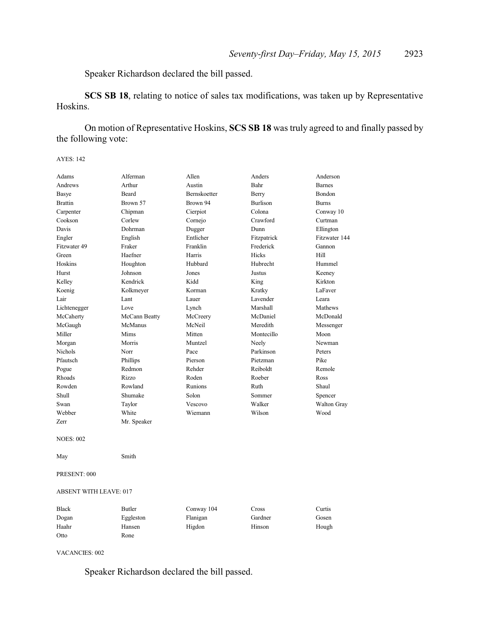Speaker Richardson declared the bill passed.

**SCS SB 18**, relating to notice of sales tax modifications, was taken up by Representative Hoskins.

On motion of Representative Hoskins, **SCS SB 18** was truly agreed to and finally passed by the following vote:

AYES: 142

| Adams            | Alferman      | Allen        | Anders          | Anderson      |
|------------------|---------------|--------------|-----------------|---------------|
| Andrews          | Arthur        | Austin       | Bahr            | <b>Barnes</b> |
| Basye            | Beard         | Bernskoetter | Berry           | Bondon        |
| <b>Brattin</b>   | Brown 57      | Brown 94     | <b>Burlison</b> | <b>Burns</b>  |
| Carpenter        | Chipman       | Cierpiot     | Colona          | Conway 10     |
| Cookson          | Corlew        | Cornejo      | Crawford        | Curtman       |
| Davis            | Dohrman       | Dugger       | Dunn            | Ellington     |
| Engler           | English       | Entlicher    | Fitzpatrick     | Fitzwater 144 |
| Fitzwater 49     | Fraker        | Franklin     | Frederick       | Gannon        |
| Green            | Haefner       | Harris       | Hicks           | Hill          |
| Hoskins          | Houghton      | Hubbard      | Hubrecht        | Hummel        |
| Hurst            | Johnson       | Jones        | Justus          | Keeney        |
| Kelley           | Kendrick      | Kidd         | King            | Kirkton       |
| Koenig           | Kolkmeyer     | Korman       | Kratky          | LaFaver       |
| Lair             | Lant          | Lauer        | Lavender        | Leara         |
| Lichtenegger     | Love          | Lynch        | Marshall        | Mathews       |
| McCaherty        | McCann Beatty | McCreery     | McDaniel        | McDonald      |
| McGaugh          | McManus       | McNeil       | Meredith        | Messenger     |
| Miller           | Mims          | Mitten       | Montecillo      | Moon          |
| Morgan           | Morris        | Muntzel      | Neely           | Newman        |
| <b>Nichols</b>   | Norr          | Pace         | Parkinson       | Peters        |
| Pfautsch         | Phillips      | Pierson      | Pietzman        | Pike          |
| Pogue            | Redmon        | Rehder       | Reiboldt        | Remole        |
| Rhoads           | Rizzo         | Roden        | Roeber          | Ross          |
| Rowden           | Rowland       | Runions      | Ruth            | Shaul         |
| Shull            | Shumake       | Solon        | Sommer          | Spencer       |
| Swan             | Taylor        | Vescovo      | Walker          | Walton Gray   |
| Webber           | White         | Wiemann      | Wilson          | Wood          |
| Zerr             | Mr. Speaker   |              |                 |               |
| <b>NOES: 002</b> |               |              |                 |               |
| May              | Smith         |              |                 |               |

PRESENT: 000

ABSENT WITH LEAVE: 017

| <b>Black</b> | Butler    | Conway 104 | Cross   | Curtis |
|--------------|-----------|------------|---------|--------|
| Dogan        | Eggleston | Flanigan   | Gardner | Gosen  |
| Haahr        | Hansen    | Higdon     | Hinson  | Hough  |
| Otto         | Rone      |            |         |        |

VACANCIES: 002

Speaker Richardson declared the bill passed.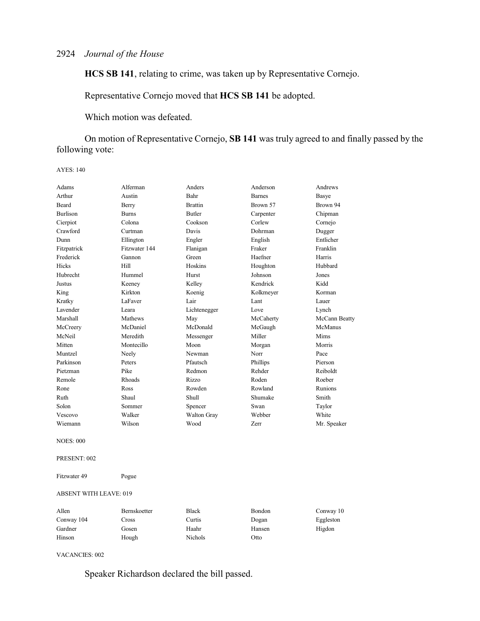**HCS SB 141**, relating to crime, was taken up by Representative Cornejo.

Representative Cornejo moved that **HCS SB 141** be adopted.

Which motion was defeated.

On motion of Representative Cornejo, **SB 141** was truly agreed to and finally passed by the following vote:

AYES: 140

| Adams            | Alferman      | Anders         | Anderson      | Andrews        |
|------------------|---------------|----------------|---------------|----------------|
| Arthur           | Austin        | Bahr           | <b>Barnes</b> | Basye          |
| Beard            | Berry         | <b>Brattin</b> | Brown 57      | Brown 94       |
| <b>Burlison</b>  | <b>Burns</b>  | <b>Butler</b>  | Carpenter     | Chipman        |
| Cierpiot         | Colona        | Cookson        | Corlew        | Cornejo        |
| Crawford         | Curtman       | Davis          | Dohrman       | Dugger         |
| Dunn             | Ellington     | Engler         | English       | Entlicher      |
| Fitzpatrick      | Fitzwater 144 | Flanigan       | Fraker        | Franklin       |
| Frederick        | Gannon        | Green          | Haefner       | Harris         |
| Hicks            | Hill          | Hoskins        | Houghton      | Hubbard        |
| Hubrecht         | Hummel        | Hurst          | Johnson       | Jones          |
| Justus           | Keeney        | Kelley         | Kendrick      | Kidd           |
| King             | Kirkton       | Koenig         | Kolkmeyer     | Korman         |
| Kratky           | LaFaver       | Lair           | Lant          | Lauer          |
| Lavender         | Leara         | Lichtenegger   | Love          | Lynch          |
| Marshall         | Mathews       | May            | McCaherty     | McCann Beatty  |
| McCreery         | McDaniel      | McDonald       | McGaugh       | McManus        |
| McNeil           | Meredith      | Messenger      | Miller        | Mims           |
| Mitten           | Montecillo    | Moon           | Morgan        | Morris         |
| Muntzel          | Neely         | Newman         | Norr          | Pace           |
| Parkinson        | Peters        | Pfautsch       | Phillips      | Pierson        |
| Pietzman         | Pike          | Redmon         | Rehder        | Reiboldt       |
| Remole           | Rhoads        | Rizzo          | Roden         | Roeber         |
| Rone             | Ross          | Rowden         | Rowland       | <b>Runions</b> |
| Ruth             | Shaul         | <b>Shull</b>   | Shumake       | Smith          |
| Solon            | Sommer        | Spencer        | Swan          | Taylor         |
| Vescovo          | Walker        | Walton Gray    | Webber        | White          |
| Wiemann          | Wilson        | Wood           | Zerr          | Mr. Speaker    |
| <b>NOES: 000</b> |               |                |               |                |

PRESENT: 002

Fitzwater 49 Pogue

#### ABSENT WITH LEAVE: 019

| Allen      | Bernskoetter | <b>Black</b>   | Bondon | Conway 10 |
|------------|--------------|----------------|--------|-----------|
| Conway 104 | Cross        | Curtis         | Dogan  | Eggleston |
| Gardner    | Gosen        | Haahr          | Hansen | Higdon    |
| Hinson     | Hough        | <b>Nichols</b> | Otto   |           |

VACANCIES: 002

Speaker Richardson declared the bill passed.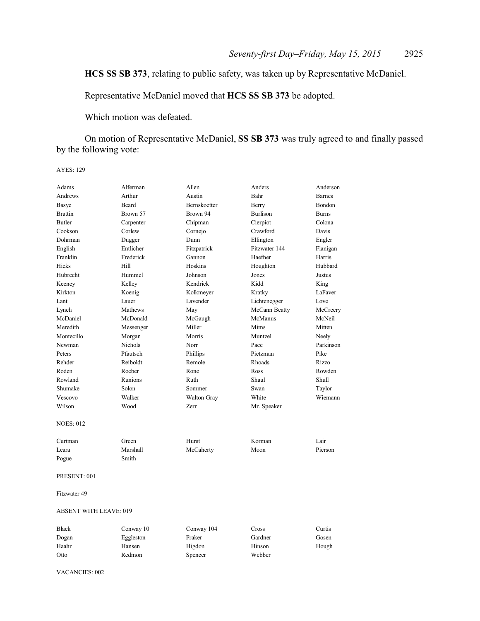### **HCS SS SB 373**, relating to public safety, was taken up by Representative McDaniel.

Representative McDaniel moved that **HCS SS SB 373** be adopted.

Which motion was defeated.

On motion of Representative McDaniel, **SS SB 373** was truly agreed to and finally passed by the following vote:

AYES: 129

| Adams                         | Alferman  | Allen        | Anders          | Anderson      |
|-------------------------------|-----------|--------------|-----------------|---------------|
| Andrews                       | Arthur    | Austin       | Bahr            | <b>Barnes</b> |
| Basye                         | Beard     | Bernskoetter | Berry           | Bondon        |
| <b>Brattin</b>                | Brown 57  | Brown 94     | <b>Burlison</b> | <b>Burns</b>  |
| <b>Butler</b>                 | Carpenter | Chipman      | Cierpiot        | Colona        |
| Cookson                       | Corlew    | Cornejo      | Crawford        | Davis         |
| Dohrman                       | Dugger    | Dunn         | Ellington       | Engler        |
| English                       | Entlicher | Fitzpatrick  | Fitzwater 144   | Flanigan      |
| Franklin                      | Frederick | Gannon       | Haefner         | Harris        |
| <b>Hicks</b>                  | Hill      | Hoskins      | Houghton        | Hubbard       |
| Hubrecht                      | Hummel    | Johnson      | Jones           | Justus        |
| Keeney                        | Kelley    | Kendrick     | Kidd            | King          |
| Kirkton                       | Koenig    | Kolkmeyer    | Kratky          | LaFaver       |
| Lant                          | Lauer     | Lavender     | Lichtenegger    | Love          |
| Lynch                         | Mathews   | May          | McCann Beatty   | McCreery      |
| McDaniel                      | McDonald  | McGaugh      | McManus         | McNeil        |
| Meredith                      | Messenger | Miller       | Mims            | Mitten        |
| Montecillo                    | Morgan    | Morris       | Muntzel         | Neely         |
| Newman                        | Nichols   | Norr         | Pace            | Parkinson     |
| Peters                        | Pfautsch  | Phillips     | Pietzman        | Pike          |
| Rehder                        | Reiboldt  | Remole       | Rhoads          | Rizzo         |
| Roden                         | Roeber    | Rone         | Ross            | Rowden        |
| Rowland                       | Runions   | Ruth         | Shaul           | Shull         |
| Shumake                       | Solon     | Sommer       | Swan            | Taylor        |
| Vescovo                       | Walker    | Walton Gray  | White           | Wiemann       |
| Wilson                        | Wood      | Zerr         | Mr. Speaker     |               |
| <b>NOES: 012</b>              |           |              |                 |               |
| Curtman                       | Green     | Hurst        | Korman          | Lair          |
| Leara                         | Marshall  | McCaherty    | Moon            | Pierson       |
| Pogue                         | Smith     |              |                 |               |
| PRESENT: 001                  |           |              |                 |               |
| Fitzwater 49                  |           |              |                 |               |
| <b>ABSENT WITH LEAVE: 019</b> |           |              |                 |               |
| Black                         | Conway 10 | Conway 104   | Cross           | Curtis        |
| Dogan                         | Eggleston | Fraker       | Gardner         | Gosen         |
| Haahr                         | Hansen    | Higdon       | Hinson          | Hough         |
| Otto                          | Redmon    | Spencer      | Webber          |               |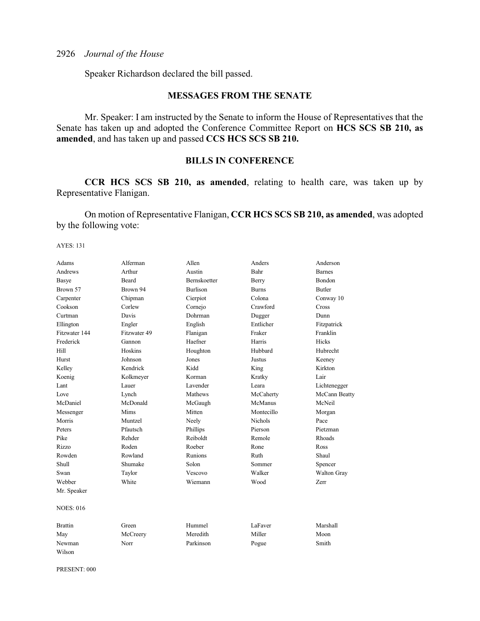Speaker Richardson declared the bill passed.

### **MESSAGES FROM THE SENATE**

Mr. Speaker: I am instructed by the Senate to inform the House of Representatives that the Senate has taken up and adopted the Conference Committee Report on **HCS SCS SB 210, as amended**, and has taken up and passed **CCS HCS SCS SB 210.**

### **BILLS IN CONFERENCE**

**CCR HCS SCS SB 210, as amended**, relating to health care, was taken up by Representative Flanigan.

On motion of Representative Flanigan, **CCR HCS SCS SB 210, as amended**, was adopted by the following vote:

AYES: 131

| Adams            | Alferman     | Allen               | Anders         | Anderson      |
|------------------|--------------|---------------------|----------------|---------------|
| Andrews          | Arthur       | Austin              | Bahr           | <b>Barnes</b> |
| <b>Basye</b>     | <b>Beard</b> | <b>Bernskoetter</b> | Berry          | <b>Bondon</b> |
| Brown 57         | Brown 94     | <b>Burlison</b>     | <b>Burns</b>   | <b>Butler</b> |
| Carpenter        | Chipman      | Cierpiot            | Colona         | Conway 10     |
| Cookson          | Corlew       | Cornejo             | Crawford       | Cross         |
| Curtman          | Davis        | Dohrman             | Dugger         | Dunn          |
| Ellington        | Engler       | English             | Entlicher      | Fitzpatrick   |
| Fitzwater 144    | Fitzwater 49 | Flanigan            | Fraker         | Franklin      |
| Frederick        | Gannon       | Haefner             | Harris         | Hicks         |
| Hill             | Hoskins      | Houghton            | Hubbard        | Hubrecht      |
| Hurst            | Johnson      | Jones               | Justus         | Keeney        |
| Kelley           | Kendrick     | Kidd                | King           | Kirkton       |
| Koenig           | Kolkmeyer    | Korman              | Kratky         | Lair          |
| Lant             | Lauer        | Lavender            | Leara          | Lichtenegger  |
| Love             | Lynch        | Mathews             | McCaherty      | McCann Beatty |
| McDaniel         | McDonald     | McGaugh             | McManus        | McNeil        |
| Messenger        | Mims         | Mitten              | Montecillo     | Morgan        |
| Morris           | Muntzel      | Neely               | <b>Nichols</b> | Pace          |
| Peters           | Pfautsch     | Phillips            | Pierson        | Pietzman      |
| Pike             | Rehder       | Reiboldt            | Remole         | Rhoads        |
| Rizzo            | Roden        | Roeber              | Rone           | Ross          |
| Rowden           | Rowland      | <b>Runions</b>      | <b>Ruth</b>    | Shaul         |
| Shull            | Shumake      | Solon               | Sommer         | Spencer       |
| Swan             | Taylor       | Vescovo             | Walker         | Walton Gray   |
| Webber           | White        | Wiemann             | Wood           | Zerr          |
| Mr. Speaker      |              |                     |                |               |
| <b>NOES: 016</b> |              |                     |                |               |
| <b>Brattin</b>   | Green        | Hummel              | LaFaver        | Marshall      |
| May              | McCreery     | Meredith            | Miller         | Moon          |
| Newman           | Norr         | Parkinson           | Pogue          | Smith         |
| Wilson           |              |                     |                |               |

PRESENT: 000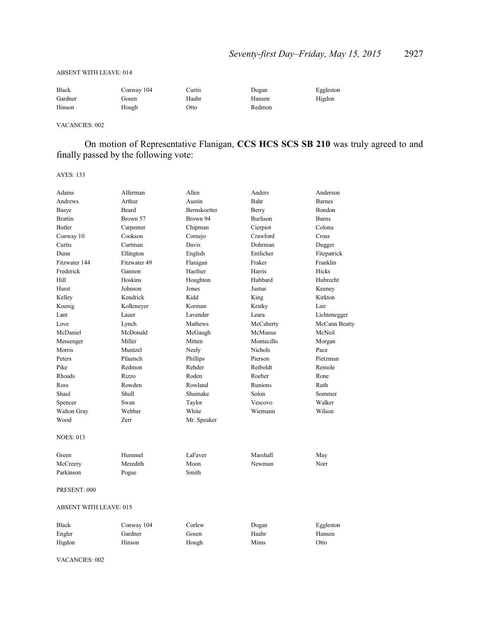#### ABSENT WITH LEAVE: 014

| <b>Black</b> | Conway 104 | Curtis | Dogan  | Eggleston |
|--------------|------------|--------|--------|-----------|
| Gardner      | Gosen      | Haahr  | Hansen | Higdon    |
| Hinson       | Hough      | Otto   | Redmon |           |

VACANCIES: 002

On motion of Representative Flanigan, **CCS HCS SCS SB 210** was truly agreed to and finally passed by the following vote:

AYES: 133

| Adams                         | Alferman     | Allen        | Anders          | Anderson      |
|-------------------------------|--------------|--------------|-----------------|---------------|
| Andrews                       | Arthur       | Austin       | Bahr            | <b>Barnes</b> |
| Basye                         | Beard        | Bernskoetter | Berry           | Bondon        |
| <b>Brattin</b>                | Brown 57     | Brown 94     | <b>Burlison</b> | <b>Burns</b>  |
| <b>Butler</b>                 | Carpenter    | Chipman      | Cierpiot        | Colona        |
| Conway 10                     | Cookson      | Cornejo      | Crawford        | Cross         |
| Curtis                        | Curtman      | Davis        | Dohrman         | Dugger        |
| Dunn                          | Ellington    | English      | Entlicher       | Fitzpatrick   |
| Fitzwater 144                 | Fitzwater 49 | Flanigan     | Fraker          | Franklin      |
| Frederick                     | Gannon       | Haefner      | Harris          | Hicks         |
| Hill                          | Hoskins      | Houghton     | Hubbard         | Hubrecht      |
| Hurst                         | Johnson      | Jones        | Justus          | Keeney        |
| Kelley                        | Kendrick     | Kidd         | King            | Kirkton       |
| Koenig                        | Kolkmeyer    | Korman       | Kratky          | Lair          |
| Lant                          | Lauer        | Lavender     | Leara           | Lichtenegger  |
| Love                          | Lynch        | Mathews      | McCaherty       | McCann Beatty |
| McDaniel                      | McDonald     | McGaugh      | McManus         | McNeil        |
| Messenger                     | Miller       | Mitten       | Montecillo      | Morgan        |
| Morris                        | Muntzel      | Neely        | <b>Nichols</b>  | Pace          |
| Peters                        | Pfautsch     | Phillips     | Pierson         | Pietzman      |
| Pike                          | Redmon       | Rehder       | Reiboldt        | Remole        |
| Rhoads                        | Rizzo        | Roden        | Roeber          | Rone          |
| Ross                          | Rowden       | Rowland      | Runions         | Ruth          |
| Shaul                         | Shull        | Shumake      | Solon           | Sommer        |
| Spencer                       | Swan         | Taylor       | Vescovo         | Walker        |
| Walton Gray                   | Webber       | White        | Wiemann         | Wilson        |
| Wood                          | Zerr         | Mr. Speaker  |                 |               |
| <b>NOES: 013</b>              |              |              |                 |               |
| Green                         | Hummel       | LaFaver      | Marshall        | May           |
| McCreery                      | Meredith     | Moon         | Newman          | Norr          |
| Parkinson                     | Pogue        | Smith        |                 |               |
| PRESENT: 000                  |              |              |                 |               |
| <b>ABSENT WITH LEAVE: 015</b> |              |              |                 |               |
| <b>Black</b>                  | Conway 104   | Corlew       | Dogan           | Eggleston     |
| Engler                        | Gardner      | Gosen        | Haahr           | Hansen        |
| Higdon                        | Hinson       | Hough        | Mims            | Otto          |
|                               |              |              |                 |               |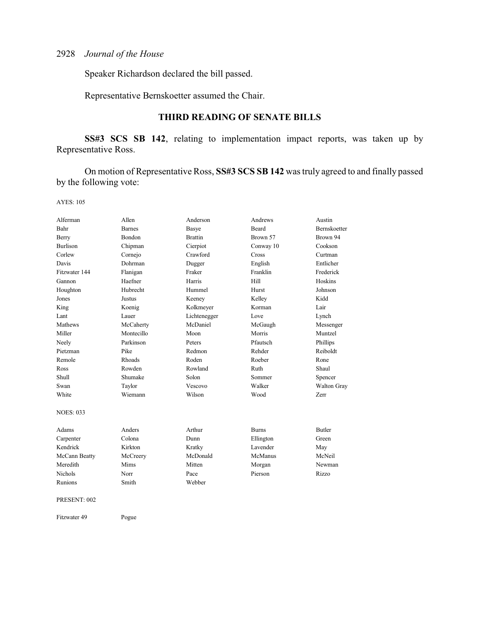Speaker Richardson declared the bill passed.

Representative Bernskoetter assumed the Chair.

### **THIRD READING OF SENATE BILLS**

**SS#3 SCS SB 142**, relating to implementation impact reports, was taken up by Representative Ross.

On motion of Representative Ross, **SS#3 SCS SB 142** was truly agreed to and finally passed by the following vote:

| Alferman         | Allen         | Anderson       | Andrews      | Austin        |
|------------------|---------------|----------------|--------------|---------------|
| Bahr             | <b>Barnes</b> | Basye          | <b>Beard</b> | Bernskoetter  |
| Berry            | <b>Bondon</b> | <b>Brattin</b> | Brown 57     | Brown 94      |
| <b>Burlison</b>  | Chipman       | Cierpiot       | Conway 10    | Cookson       |
| Corlew           | Cornejo       | Crawford       | Cross        | Curtman       |
| Davis            | Dohrman       | Dugger         | English      | Entlicher     |
| Fitzwater 144    | Flanigan      | Fraker         | Franklin     | Frederick     |
| Gannon           | Haefner       | Harris         | Hill         | Hoskins       |
| Houghton         | Hubrecht      | Hummel         | Hurst        | Johnson       |
| Jones            | Justus        | Keeney         | Kelley       | Kidd          |
| King             | Koenig        | Kolkmeyer      | Korman       | Lair          |
| Lant             | Lauer         | Lichtenegger   | Love         | Lynch         |
| Mathews          | McCaherty     | McDaniel       | McGaugh      | Messenger     |
| Miller           | Montecillo    | Moon           | Morris       | Muntzel       |
| Neely            | Parkinson     | Peters         | Pfautsch     | Phillips      |
| Pietzman         | Pike          | Redmon         | Rehder       | Reiboldt      |
| Remole           | <b>Rhoads</b> | Roden          | Roeber       | Rone          |
| Ross             | Rowden        | Rowland        | Ruth         | Shaul         |
| Shull            | Shumake       | Solon          | Sommer       | Spencer       |
| Swan             | Taylor        | Vescovo        | Walker       | Walton Gray   |
| White            | Wiemann       | Wilson         | Wood         | Zerr          |
| <b>NOES: 033</b> |               |                |              |               |
| Adams            | Anders        | Arthur         | <b>Burns</b> | <b>Butler</b> |
| Carpenter        | Colona        | Dunn           | Ellington    | Green         |
| Kendrick         | Kirkton       | Kratky         | Lavender     | May           |
| McCann Beatty    | McCreery      | McDonald       | McManus      | McNeil        |
| Meredith         | Mims          | Mitten         | Morgan       | Newman        |
| <b>Nichols</b>   | Norr          | Pace           | Pierson      | Rizzo         |
| Runions          | Smith         | Webber         |              |               |
| PRESENT: 002     |               |                |              |               |
| Fitzwater 49     | Pogue         |                |              |               |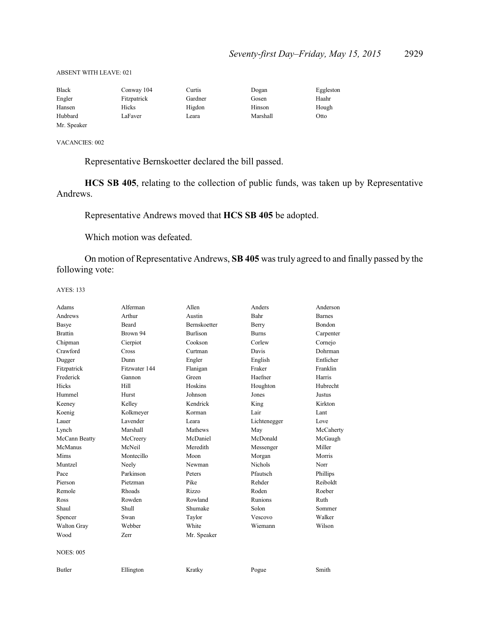#### ABSENT WITH LEAVE: 021

| <b>Black</b> | Conway 104  | Curtis  | Dogan    | Eggleston |
|--------------|-------------|---------|----------|-----------|
| Engler       | Fitzpatrick | Gardner | Gosen    | Haahr     |
| Hansen       | Hicks       | Higdon  | Hinson   | Hough     |
| Hubbard      | LaFaver     | Leara   | Marshall | Otto      |
| Mr. Speaker  |             |         |          |           |

VACANCIES: 002

Representative Bernskoetter declared the bill passed.

**HCS SB 405**, relating to the collection of public funds, was taken up by Representative Andrews.

Representative Andrews moved that **HCS SB 405** be adopted.

Which motion was defeated.

On motion of Representative Andrews, **SB 405** was truly agreed to and finally passed by the following vote:

| Adams            | Alferman      | Allen        | Anders         | Anderson      |
|------------------|---------------|--------------|----------------|---------------|
| Andrews          | Arthur        | Austin       | Bahr           | <b>Barnes</b> |
| Basye            | Beard         | Bernskoetter | Berry          | Bondon        |
| <b>Brattin</b>   | Brown 94      | Burlison     | <b>Burns</b>   | Carpenter     |
| Chipman          | Cierpiot      | Cookson      | Corlew         | Cornejo       |
| Crawford         | Cross         | Curtman      | Davis          | Dohrman       |
| Dugger           | Dunn          | Engler       | English        | Entlicher     |
| Fitzpatrick      | Fitzwater 144 | Flanigan     | Fraker         | Franklin      |
| Frederick        | Gannon        | Green        | Haefner        | Harris        |
| Hicks            | Hill          | Hoskins      | Houghton       | Hubrecht      |
| Hummel           | Hurst         | Johnson      | Jones          | Justus        |
| Keeney           | Kelley        | Kendrick     | King           | Kirkton       |
| Koenig           | Kolkmeyer     | Korman       | Lair           | Lant          |
| Lauer            | Lavender      | Leara        | Lichtenegger   | Love          |
| Lynch            | Marshall      | Mathews      | May            | McCaherty     |
| McCann Beatty    | McCreery      | McDaniel     | McDonald       | McGaugh       |
| McManus          | McNeil        | Meredith     | Messenger      | Miller        |
| Mims             | Montecillo    | Moon         | Morgan         | Morris        |
| Muntzel          | Neely         | Newman       | <b>Nichols</b> | Norr          |
| Pace             | Parkinson     | Peters       | Pfautsch       | Phillips      |
| Pierson          | Pietzman      | Pike         | Rehder         | Reiboldt      |
| Remole           | <b>Rhoads</b> | Rizzo        | Roden          | Roeber        |
| Ross             | Rowden        | Rowland      | Runions        | Ruth          |
| Shaul            | Shull         | Shumake      | Solon          | Sommer        |
| Spencer          | Swan          | Taylor       | Vescovo        | Walker        |
| Walton Gray      | Webber        | White        | Wiemann        | Wilson        |
| Wood             | Zerr          | Mr. Speaker  |                |               |
| <b>NOES: 005</b> |               |              |                |               |
| <b>Butler</b>    | Ellington     | Kratky       | Pogue          | Smith         |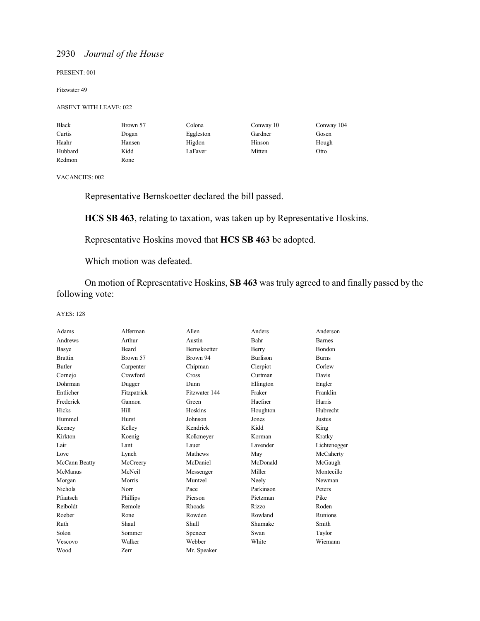#### PRESENT: 001

#### Fitzwater 49

#### ABSENT WITH LEAVE: 022

| <b>Black</b> | Brown 57 | Colona    | Conway 10 | Conway 104 |
|--------------|----------|-----------|-----------|------------|
| Curtis       | Dogan    | Eggleston | Gardner   | Gosen      |
| Haahr        | Hansen   | Higdon    | Hinson    | Hough      |
| Hubbard      | Kidd     | LaFaver   | Mitten    | Otto       |
| Redmon       | Rone     |           |           |            |

VACANCIES: 002

Representative Bernskoetter declared the bill passed.

**HCS SB 463**, relating to taxation, was taken up by Representative Hoskins.

Representative Hoskins moved that **HCS SB 463** be adopted.

Which motion was defeated.

On motion of Representative Hoskins, **SB 463** was truly agreed to and finally passed by the following vote:

| Adams          | Alferman    | Allen         | Anders          | Anderson      |
|----------------|-------------|---------------|-----------------|---------------|
| Andrews        | Arthur      | Austin        | Bahr            | <b>Barnes</b> |
| Basye          | Beard       | Bernskoetter  | Berry           | Bondon        |
| <b>Brattin</b> | Brown 57    | Brown 94      | <b>Burlison</b> | <b>Burns</b>  |
| <b>Butler</b>  | Carpenter   | Chipman       | Cierpiot        | Corlew        |
| Cornejo        | Crawford    | <b>Cross</b>  | Curtman         | Davis         |
| Dohrman        | Dugger      | Dunn          | Ellington       | Engler        |
| Entlicher      | Fitzpatrick | Fitzwater 144 | Fraker          | Franklin      |
| Frederick      | Gannon      | Green         | Haefner         | Harris        |
| Hicks          | Hill        | Hoskins       | Houghton        | Hubrecht      |
| Hummel         | Hurst       | Johnson       | Jones           | Justus        |
| Keeney         | Kelley      | Kendrick      | Kidd            | King          |
| Kirkton        | Koenig      | Kolkmeyer     | Korman          | Kratky        |
| Lair           | Lant        | Lauer         | Lavender        | Lichtenegger  |
| Love           | Lynch       | Mathews       | May             | McCaherty     |
| McCann Beatty  | McCreery    | McDaniel      | McDonald        | McGaugh       |
| McManus        | McNeil      | Messenger     | Miller          | Montecillo    |
| Morgan         | Morris      | Muntzel       | Neely           | Newman        |
| <b>Nichols</b> | Norr        | Pace          | Parkinson       | Peters        |
| Pfautsch       | Phillips    | Pierson       | Pietzman        | Pike          |
| Reiboldt       | Remole      | Rhoads        | Rizzo           | Roden         |
| Roeber         | Rone        | Rowden        | Rowland         | Runions       |
| Ruth           | Shaul       | Shull         | Shumake         | Smith         |
| Solon          | Sommer      | Spencer       | Swan            | Taylor        |
| Vescovo        | Walker      | Webber        | White           | Wiemann       |
| Wood           | Zerr        | Mr. Speaker   |                 |               |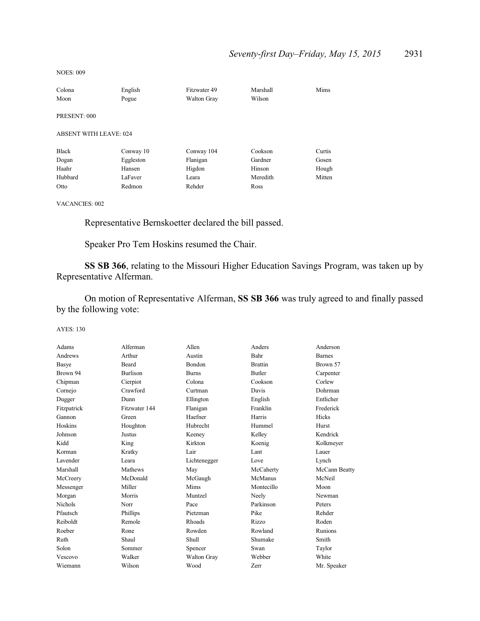NOES: 009

| Colona                        | English   | Fitzwater 49       | Marshall | Mims   |
|-------------------------------|-----------|--------------------|----------|--------|
| Moon                          | Pogue     | <b>Walton Gray</b> | Wilson   |        |
|                               |           |                    |          |        |
| PRESENT: 000                  |           |                    |          |        |
| <b>ABSENT WITH LEAVE: 024</b> |           |                    |          |        |
| <b>Black</b>                  | Conway 10 | Conway 104         | Cookson  | Curtis |
| Dogan                         | Eggleston | Flanigan           | Gardner  | Gosen  |
| Haahr                         | Hansen    | Higdon             | Hinson   | Hough  |
| Hubbard                       | LaFaver   | Leara              | Meredith | Mitten |
| Otto                          | Redmon    | Rehder             | Ross     |        |

VACANCIES: 002

Representative Bernskoetter declared the bill passed.

Speaker Pro Tem Hoskins resumed the Chair.

**SS SB 366**, relating to the Missouri Higher Education Savings Program, was taken up by Representative Alferman.

On motion of Representative Alferman, **SS SB 366** was truly agreed to and finally passed by the following vote:

| Adams          | Alferman        | Allen              | Anders         | Anderson       |
|----------------|-----------------|--------------------|----------------|----------------|
| Andrews        | Arthur          | Austin             | Bahr           | <b>Barnes</b>  |
| Basye          | Beard           | Bondon             | <b>Brattin</b> | Brown 57       |
| Brown 94       | <b>Burlison</b> | <b>Burns</b>       | <b>Butler</b>  | Carpenter      |
| Chipman        | Cierpiot        | Colona             | Cookson        | Corlew         |
| Cornejo        | Crawford        | Curtman            | Davis          | Dohrman        |
| Dugger         | Dunn            | Ellington          | English        | Entlicher      |
| Fitzpatrick    | Fitzwater 144   | Flanigan           | Franklin       | Frederick      |
| Gannon         | Green           | Haefner            | Harris         | <b>Hicks</b>   |
| Hoskins        | Houghton        | Hubrecht           | Hummel         | Hurst          |
| Johnson        | Justus          | Keeney             | Kelley         | Kendrick       |
| Kidd           | King            | Kirkton            | Koenig         | Kolkmeyer      |
| Korman         | Kratky          | Lair               | Lant           | Lauer          |
| Lavender       | Leara           | Lichtenegger       | Love           | Lynch          |
| Marshall       | Mathews         | May                | McCaherty      | McCann Beatty  |
| McCreery       | McDonald        | McGaugh            | McManus        | McNeil         |
| Messenger      | Miller          | Mims               | Montecillo     | Moon           |
| Morgan         | Morris          | Muntzel            | Neely          | Newman         |
| <b>Nichols</b> | Norr            | Pace               | Parkinson      | Peters         |
| Pfautsch       | Phillips        | Pietzman           | Pike           | Rehder         |
| Reiboldt       | Remole          | Rhoads             | Rizzo          | Roden          |
| Roeber         | Rone            | Rowden             | Rowland        | <b>Runions</b> |
| Ruth           | Shaul           | <b>Shull</b>       | Shumake        | Smith          |
| Solon          | Sommer          | Spencer            | Swan           | Taylor         |
| Vescovo        | Walker          | <b>Walton Gray</b> | Webber         | White          |
| Wiemann        | Wilson          | Wood               | Zerr           | Mr. Speaker    |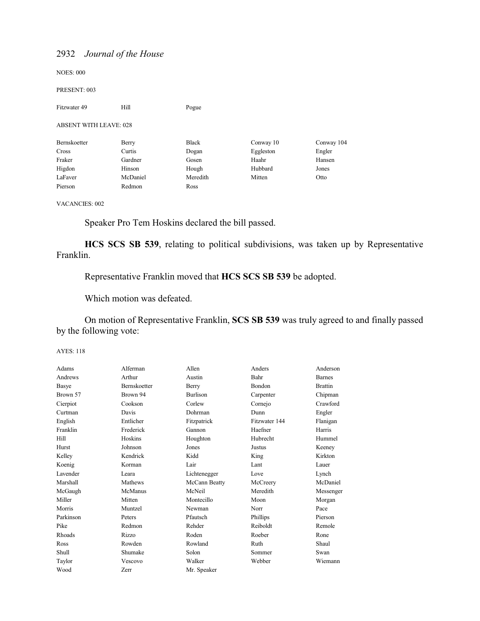NOES: 000

PRESENT: 003

| Fitzwater 49                  | Hill     | Pogue        |           |            |
|-------------------------------|----------|--------------|-----------|------------|
| <b>ABSENT WITH LEAVE: 028</b> |          |              |           |            |
| Bernskoetter                  | Berry    | <b>Black</b> | Conway 10 | Conway 104 |
| Cross                         | Curtis   | Dogan        | Eggleston | Engler     |
| Fraker                        | Gardner  | Gosen        | Haahr     | Hansen     |
| Higdon                        | Hinson   | Hough        | Hubbard   | Jones      |
| LaFaver                       | McDaniel | Meredith     | Mitten    | Otto       |
| Pierson                       | Redmon   | Ross         |           |            |

#### VACANCIES: 002

Speaker Pro Tem Hoskins declared the bill passed.

**HCS SCS SB 539**, relating to political subdivisions, was taken up by Representative Franklin.

Representative Franklin moved that **HCS SCS SB 539** be adopted.

Which motion was defeated.

On motion of Representative Franklin, **SCS SB 539** was truly agreed to and finally passed by the following vote:

| Adams     | Alferman     | Allen         | Anders        | Anderson       |
|-----------|--------------|---------------|---------------|----------------|
| Andrews   | Arthur       | Austin        | Bahr          | <b>Barnes</b>  |
| Basye     | Bernskoetter | Berry         | Bondon        | <b>Brattin</b> |
| Brown 57  | Brown 94     | Burlison      | Carpenter     | Chipman        |
| Cierpiot  | Cookson      | Corlew        | Cornejo       | Crawford       |
| Curtman   | Davis        | Dohrman       | Dunn          | Engler         |
| English   | Entlicher    | Fitzpatrick   | Fitzwater 144 | Flanigan       |
| Franklin  | Frederick    | Gannon        | Haefner       | Harris         |
| Hill      | Hoskins      | Houghton      | Hubrecht      | Hummel         |
| Hurst     | Johnson      | Jones         | Justus        | Keeney         |
| Kelley    | Kendrick     | Kidd          | King          | Kirkton        |
| Koenig    | Korman       | Lair          | Lant          | Lauer          |
| Lavender  | Leara        | Lichtenegger  | Love          | Lynch          |
| Marshall  | Mathews      | McCann Beatty | McCreery      | McDaniel       |
| McGaugh   | McManus      | McNeil        | Meredith      | Messenger      |
| Miller    | Mitten       | Montecillo    | Moon          | Morgan         |
| Morris    | Muntzel      | Newman        | Norr          | Pace           |
| Parkinson | Peters       | Pfautsch      | Phillips      | Pierson        |
| Pike      | Redmon       | Rehder        | Reiboldt      | Remole         |
| Rhoads    | Rizzo        | Roden         | Roeber        | Rone           |
| Ross      | Rowden       | Rowland       | Ruth          | Shaul          |
| Shull     | Shumake      | Solon         | Sommer        | Swan           |
| Taylor    | Vescovo      | Walker        | Webber        | Wiemann        |
| Wood      | Zerr         | Mr. Speaker   |               |                |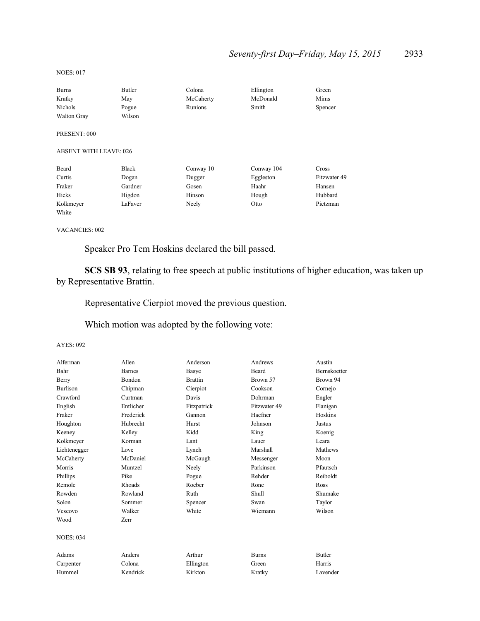NOES: 017

| <b>Burns</b>                  | Butler       | Colona    | Ellington  | Green        |
|-------------------------------|--------------|-----------|------------|--------------|
| Kratky                        | May          | McCaherty | McDonald   | Mims         |
| Nichols                       | Pogue        | Runions   | Smith      | Spencer      |
| <b>Walton Gray</b>            | Wilson       |           |            |              |
| PRESENT: 000                  |              |           |            |              |
| <b>ABSENT WITH LEAVE: 026</b> |              |           |            |              |
| Beard                         | <b>Black</b> | Conway 10 | Conway 104 | Cross        |
| Curtis                        | Dogan        | Dugger    | Eggleston  | Fitzwater 49 |
| Fraker                        | Gardner      | Gosen     | Haahr      | Hansen       |
| Hicks                         | Higdon       | Hinson    | Hough      | Hubbard      |
| Kolkmeyer                     | LaFaver      | Neely     | Otto       | Pietzman     |
| White                         |              |           |            |              |

VACANCIES: 002

Speaker Pro Tem Hoskins declared the bill passed.

**SCS SB 93**, relating to free speech at public institutions of higher education, was taken up by Representative Brattin.

Representative Cierpiot moved the previous question.

Which motion was adopted by the following vote:

| Alferman         | Allen         | Anderson       | Andrews      | Austin              |
|------------------|---------------|----------------|--------------|---------------------|
| Bahr             | <b>Barnes</b> | Basye          | <b>Beard</b> | <b>Bernskoetter</b> |
| Berry            | Bondon        | <b>Brattin</b> | Brown 57     | Brown 94            |
| <b>Burlison</b>  | Chipman       | Cierpiot       | Cookson      | Cornejo             |
| Crawford         | Curtman       | Davis          | Dohrman      | Engler              |
| English          | Entlicher     | Fitzpatrick    | Fitzwater 49 | Flanigan            |
| Fraker           | Frederick     | Gannon         | Haefner      | Hoskins             |
| Houghton         | Hubrecht      | Hurst          | Johnson      | Justus              |
| Keeney           | Kelley        | Kidd           | King         | Koenig              |
| Kolkmeyer        | Korman        | Lant           | Lauer        | Leara               |
| Lichtenegger     | Love          | Lynch          | Marshall     | Mathews             |
| McCaherty        | McDaniel      | McGaugh        | Messenger    | Moon                |
| Morris           | Muntzel       | Neely          | Parkinson    | Pfautsch            |
| Phillips         | Pike          | Pogue          | Rehder       | Reiboldt            |
| Remole           | Rhoads        | Roeber         | Rone         | Ross                |
| Rowden           | Rowland       | Ruth           | Shull        | Shumake             |
| Solon            | Sommer        | Spencer        | Swan         | Taylor              |
| Vescovo          | Walker        | White          | Wiemann      | Wilson              |
| Wood             | Zerr          |                |              |                     |
| <b>NOES: 034</b> |               |                |              |                     |
| Adams            | Anders        | Arthur         | <b>Burns</b> | <b>Butler</b>       |
| Carpenter        | Colona        | Ellington      | Green        | Harris              |
| Hummel           | Kendrick      | Kirkton        | Kratky       | Lavender            |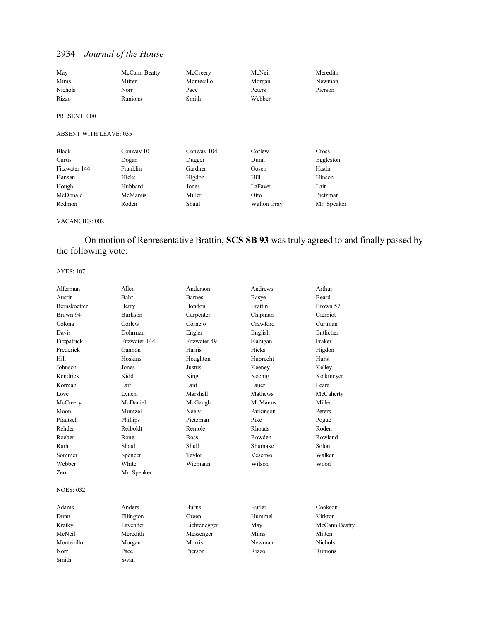| May            | McCann Beatty | McCreery   | McNeil | Meredith |
|----------------|---------------|------------|--------|----------|
| Mims           | Mitten        | Montecillo | Morgan | Newman   |
| <b>Nichols</b> | Norr          | Pace       | Peters | Pierson  |
| Rizzo          | Runions       | Smith      | Webber |          |
| PRESENT: 000   |               |            |        |          |

#### ABSENT WITH LEAVE: 035

| Black         | Conway 10      | Conway 104 | Corlew             | Cross       |
|---------------|----------------|------------|--------------------|-------------|
| Curtis        | Dogan          | Dugger     | Dunn               | Eggleston   |
| Fitzwater 144 | Franklin       | Gardner    | Gosen              | Haahr       |
| Hansen        | Hicks          | Higdon     | Hill               | Hinson      |
| Hough         | Hubbard        | Jones      | LaFaver            | Lair        |
| McDonald      | <b>McManus</b> | Miller     | Otto               | Pietzman    |
| Redmon        | Roden          | Shaul      | <b>Walton Gray</b> | Mr. Speaker |

#### VACANCIES: 002

On motion of Representative Brattin, **SCS SB 93** was truly agreed to and finally passed by the following vote:

| Alferman            | Allen           | Anderson      | Andrews        | Arthur         |
|---------------------|-----------------|---------------|----------------|----------------|
| Austin              | Bahr            | <b>Barnes</b> | Basye          | Beard          |
| <b>Bernskoetter</b> | Berry           | Bondon        | <b>Brattin</b> | Brown 57       |
| Brown 94            | <b>Burlison</b> | Carpenter     | Chipman        | Cierpiot       |
| Colona              | Corlew          | Cornejo       | Crawford       | Curtman        |
| Davis               | Dohrman         | Engler        | English        | Entlicher      |
| Fitzpatrick         | Fitzwater 144   | Fitzwater 49  | Flanigan       | Fraker         |
| Frederick           | Gannon          | Harris        | Hicks          | Higdon         |
| Hill                | Hoskins         | Houghton      | Hubrecht       | Hurst          |
| Johnson             | Jones           | <b>Justus</b> | Keeney         | Kelley         |
| Kendrick            | Kidd            | King          | Koenig         | Kolkmeyer      |
| Korman              | Lair            | Lant          | Lauer          | Leara          |
| Love                | Lynch           | Marshall      | Mathews        | McCaherty      |
| McCreery            | McDaniel        | McGaugh       | McManus        | Miller         |
| Moon                | Muntzel         | Neely         | Parkinson      | Peters         |
| Pfautsch            | Phillips        | Pietzman      | Pike           | Pogue          |
| Rehder              | Reiboldt        | Remole        | Rhoads         | Roden          |
| Roeber              | Rone            | Ross          | Rowden         | Rowland        |
| Ruth                | Shaul           | Shull         | Shumake        | Solon          |
| Sommer              | Spencer         | Taylor        | Vescovo        | Walker         |
| Webber              | White           | Wiemann       | Wilson         | Wood           |
| Zerr                | Mr. Speaker     |               |                |                |
| <b>NOES: 032</b>    |                 |               |                |                |
| Adams               | Anders          | <b>Burns</b>  | <b>Butler</b>  | Cookson        |
| Dunn                | Ellington       | Green         | Hummel         | Kirkton        |
| Kratky              | Lavender        | Lichtenegger  | May            | McCann Beatty  |
| McNeil              | Meredith        | Messenger     | Mims           | Mitten         |
| Montecillo          | Morgan          | Morris        | Newman         | <b>Nichols</b> |
| Norr                | Pace            | Pierson       | Rizzo          | Runions        |
| Smith               | Swan            |               |                |                |
|                     |                 |               |                |                |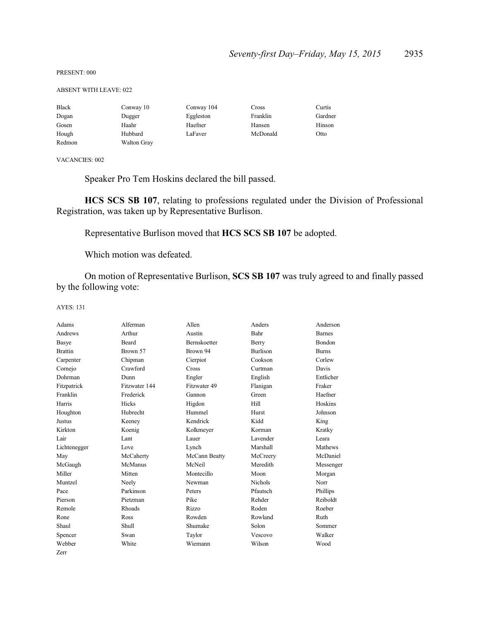#### PRESENT: 000

#### ABSENT WITH LEAVE: 022

| <b>Black</b> | Conway 10          | Conway 104 | Cross    | Curtis  |
|--------------|--------------------|------------|----------|---------|
| Dogan        | Dugger             | Eggleston  | Franklin | Gardner |
| Gosen        | Haahr              | Haefner    | Hansen   | Hinson  |
| Hough        | Hubbard            | LaFaver    | McDonald | Otto    |
| Redmon       | <b>Walton Gray</b> |            |          |         |

VACANCIES: 002

Speaker Pro Tem Hoskins declared the bill passed.

**HCS SCS SB 107**, relating to professions regulated under the Division of Professional Registration, was taken up by Representative Burlison.

Representative Burlison moved that **HCS SCS SB 107** be adopted.

Which motion was defeated.

On motion of Representative Burlison, **SCS SB 107** was truly agreed to and finally passed by the following vote:

| Adams          | Alferman      | Allen               | Anders          | Anderson      |
|----------------|---------------|---------------------|-----------------|---------------|
| Andrews        | Arthur        | Austin              | Bahr            | <b>Barnes</b> |
| Basye          | Beard         | <b>Bernskoetter</b> | Berry           | <b>Bondon</b> |
| <b>Brattin</b> | Brown 57      | Brown 94            | <b>Burlison</b> | <b>Burns</b>  |
| Carpenter      | Chipman       | Cierpiot            | Cookson         | Corlew        |
| Cornejo        | Crawford      | Cross               | Curtman         | Davis         |
| Dohrman        | Dunn          | Engler              | English         | Entlicher     |
| Fitzpatrick    | Fitzwater 144 | Fitzwater 49        | Flanigan        | Fraker        |
| Franklin       | Frederick     | Gannon              | Green           | Haefner       |
| Harris         | Hicks         | Higdon              | Hill            | Hoskins       |
| Houghton       | Hubrecht      | Hummel              | Hurst           | Johnson       |
| Justus         | Keeney        | Kendrick            | Kidd            | King          |
| Kirkton        | Koenig        | Kolkmeyer           | Korman          | Kratky        |
| Lair           | Lant          | Lauer               | Lavender        | Leara         |
| Lichtenegger   | Love          | Lynch               | Marshall        | Mathews       |
| May            | McCaherty     | McCann Beatty       | McCreery        | McDaniel      |
| McGaugh        | McManus       | McNeil              | Meredith        | Messenger     |
| Miller         | Mitten        | Montecillo          | Moon            | Morgan        |
| Muntzel        | Neely         | Newman              | <b>Nichols</b>  | Norr          |
| Pace           | Parkinson     | Peters              | Pfautsch        | Phillips      |
| Pierson        | Pietzman      | Pike                | Rehder          | Reiboldt      |
| Remole         | Rhoads        | Rizzo               | Roden           | Roeber        |
| Rone           | Ross          | Rowden              | Rowland         | Ruth          |
| Shaul          | <b>Shull</b>  | Shumake             | Solon           | Sommer        |
| Spencer        | Swan          | Taylor              | Vescovo         | Walker        |
| Webber         | White         | Wiemann             | Wilson          | Wood          |
| Zerr           |               |                     |                 |               |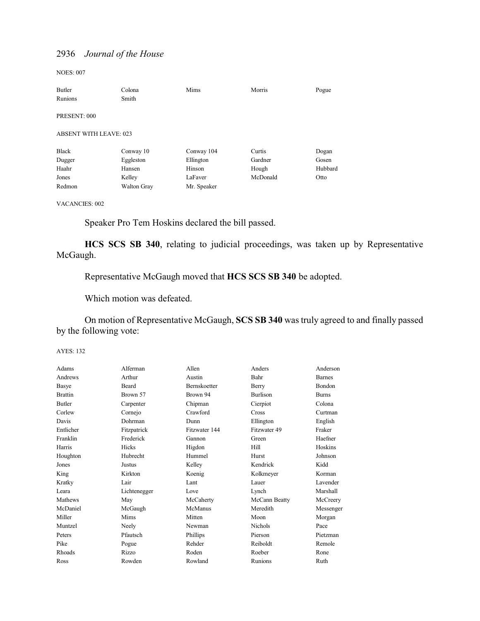NOES: 007

| Butler                        | Colona             | Mims        | Morris   | Pogue   |
|-------------------------------|--------------------|-------------|----------|---------|
| Runions                       | Smith              |             |          |         |
| PRESENT: 000                  |                    |             |          |         |
| <b>ABSENT WITH LEAVE: 023</b> |                    |             |          |         |
| <b>Black</b>                  | Conway 10          | Conway 104  | Curtis   | Dogan   |
| Dugger                        | Eggleston          | Ellington   | Gardner  | Gosen   |
| Haahr                         | Hansen             | Hinson      | Hough    | Hubbard |
| Jones                         | Kelley             | LaFaver     | McDonald | Otto    |
| Redmon                        | <b>Walton Gray</b> | Mr. Speaker |          |         |

### VACANCIES: 002

Speaker Pro Tem Hoskins declared the bill passed.

**HCS SCS SB 340**, relating to judicial proceedings, was taken up by Representative McGaugh.

Representative McGaugh moved that **HCS SCS SB 340** be adopted.

Which motion was defeated.

On motion of Representative McGaugh, **SCS SB 340** was truly agreed to and finally passed by the following vote:

| Adams          | Alferman     | Allen               | Anders          | Anderson      |
|----------------|--------------|---------------------|-----------------|---------------|
| Andrews        | Arthur       | Austin              | Bahr            | <b>Barnes</b> |
| Basye          | Beard        | <b>Bernskoetter</b> | Berry           | Bondon        |
| <b>Brattin</b> | Brown 57     | Brown 94            | <b>Burlison</b> | <b>Burns</b>  |
| Butler         | Carpenter    | Chipman             | Cierpiot        | Colona        |
| Corlew         | Cornejo      | Crawford            | <b>Cross</b>    | Curtman       |
| Davis          | Dohrman      | Dunn                | Ellington       | English       |
| Entlicher      | Fitzpatrick  | Fitzwater 144       | Fitzwater 49    | Fraker        |
| Franklin       | Frederick    | Gannon              | Green           | Haefner       |
| Harris         | Hicks        | Higdon              | Hill            | Hoskins       |
| Houghton       | Hubrecht     | Hummel              | Hurst           | Johnson       |
| Jones          | Justus       | Kelley              | Kendrick        | Kidd          |
| King           | Kirkton      | Koenig              | Kolkmeyer       | Korman        |
| Kratky         | Lair         | Lant                | Lauer           | Lavender      |
| Leara          | Lichtenegger | Love                | Lynch           | Marshall      |
| Mathews        | May          | McCaherty           | McCann Beatty   | McCreery      |
| McDaniel       | McGaugh      | McManus             | Meredith        | Messenger     |
| Miller         | Mims         | Mitten              | Moon            | Morgan        |
| Muntzel        | Neely        | Newman              | <b>Nichols</b>  | Pace          |
| Peters         | Pfautsch     | Phillips            | Pierson         | Pietzman      |
| Pike           | Pogue        | Rehder              | Reiboldt        | Remole        |
| <b>Rhoads</b>  | Rizzo        | Roden               | Roeber          | Rone          |
| Ross           | Rowden       | Rowland             | Runions         | Ruth          |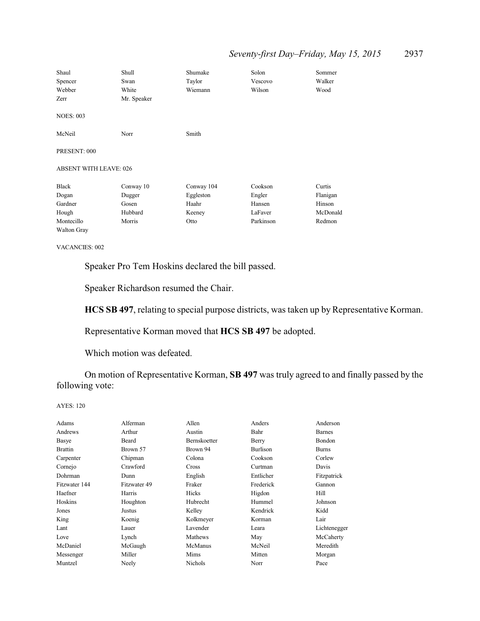# *Seventy-first Day–Friday, May 15, 2015* 2937

| Shaul<br>Spencer<br>Webber<br>Zerr | Shull<br>Swan<br>White<br>Mr. Speaker | Shumake<br>Taylor<br>Wiemann | Solon<br>Vescovo<br>Wilson | Sommer<br>Walker<br>Wood |
|------------------------------------|---------------------------------------|------------------------------|----------------------------|--------------------------|
| <b>NOES: 003</b>                   |                                       |                              |                            |                          |
| McNeil                             | Norr                                  | Smith                        |                            |                          |
| PRESENT: 000                       |                                       |                              |                            |                          |
| <b>ABSENT WITH LEAVE: 026</b>      |                                       |                              |                            |                          |
| <b>Black</b>                       | Conway 10                             | Conway 104                   | Cookson                    | Curtis                   |
| Dogan                              | Dugger                                | Eggleston                    | Engler                     | Flanigan                 |
| Gardner                            | Gosen                                 | Haahr                        | Hansen                     | Hinson                   |
| Hough                              | Hubbard                               | Keeney                       | LaFaver                    | McDonald                 |
| Montecillo                         | Morris                                | Otto                         | Parkinson                  | Redmon                   |
| Walton Gray                        |                                       |                              |                            |                          |

VACANCIES: 002

Speaker Pro Tem Hoskins declared the bill passed.

Speaker Richardson resumed the Chair.

**HCS SB 497**, relating to special purpose districts, was taken up by Representative Korman.

Representative Korman moved that **HCS SB 497** be adopted.

Which motion was defeated.

On motion of Representative Korman, **SB 497** was truly agreed to and finally passed by the following vote:

| Adams          | Alferman     | Allen               | Anders    | Anderson      |
|----------------|--------------|---------------------|-----------|---------------|
| Andrews        | Arthur       | Austin              | Bahr      | <b>Barnes</b> |
| Basye          | Beard        | <b>Bernskoetter</b> | Berry     | Bondon        |
| <b>Brattin</b> | Brown 57     | Brown 94            | Burlison  | <b>Burns</b>  |
| Carpenter      | Chipman      | Colona              | Cookson   | Corlew        |
| Cornejo        | Crawford     | Cross               | Curtman   | Davis         |
| Dohrman        | Dunn         | English             | Entlicher | Fitzpatrick   |
| Fitzwater 144  | Fitzwater 49 | Fraker              | Frederick | Gannon        |
| Haefner        | Harris       | Hicks               | Higdon    | Hill          |
| Hoskins        | Houghton     | Hubrecht            | Hummel    | Johnson       |
| Jones          | Justus       | Kelley              | Kendrick  | Kidd          |
| King           | Koenig       | Kolkmeyer           | Korman    | Lair          |
| Lant           | Lauer        | Lavender            | Leara     | Lichtenegger  |
| Love           | Lynch        | Mathews             | May       | McCaherty     |
| McDaniel       | McGaugh      | McManus             | McNeil    | Meredith      |
| Messenger      | Miller       | Mims                | Mitten    | Morgan        |
| Muntzel        | Neely        | <b>Nichols</b>      | Norr      | Pace          |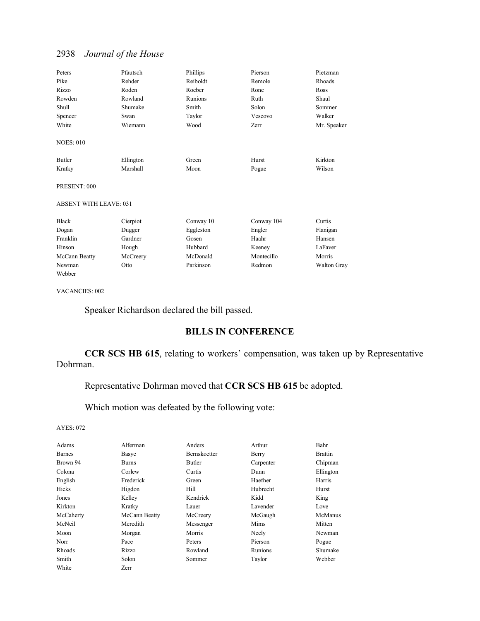| Peters                        | Pfautsch  | Phillips  | Pierson    | Pietzman           |
|-------------------------------|-----------|-----------|------------|--------------------|
| Pike                          | Rehder    | Reiboldt  | Remole     | Rhoads             |
| Rizzo                         | Roden     | Roeber    | Rone       | Ross               |
| Rowden                        | Rowland   | Runions   | Ruth       | Shaul              |
| Shull                         | Shumake   | Smith     | Solon      | Sommer             |
| Spencer                       | Swan      | Taylor    | Vescovo    | Walker             |
| White                         | Wiemann   | Wood      | Zerr       | Mr. Speaker        |
| <b>NOES: 010</b>              |           |           |            |                    |
| Butler                        | Ellington | Green     | Hurst      | Kirkton            |
| Kratky                        | Marshall  | Moon      | Pogue      | Wilson             |
| PRESENT: 000                  |           |           |            |                    |
| <b>ABSENT WITH LEAVE: 031</b> |           |           |            |                    |
| <b>Black</b>                  | Cierpiot  | Conway 10 | Conway 104 | Curtis             |
| Dogan                         | Dugger    | Eggleston | Engler     | Flanigan           |
| Franklin                      | Gardner   | Gosen     | Haahr      | Hansen             |
| Hinson                        | Hough     | Hubbard   | Keeney     | LaFaver            |
| McCann Beatty                 | McCreery  | McDonald  | Montecillo | Morris             |
| Newman                        | Otto      | Parkinson | Redmon     | <b>Walton Gray</b> |

VACANCIES: 002

Webber

Speaker Richardson declared the bill passed.

## **BILLS IN CONFERENCE**

**CCR SCS HB 615**, relating to workers' compensation, was taken up by Representative Dohrman.

### Representative Dohrman moved that **CCR SCS HB 615** be adopted.

Which motion was defeated by the following vote:

| Adams         | Alferman      | Anders              | Arthur    | Bahr           |
|---------------|---------------|---------------------|-----------|----------------|
| <b>Barnes</b> | Basye         | <b>Bernskoetter</b> | Berry     | <b>Brattin</b> |
| Brown 94      | <b>Burns</b>  | Butler              | Carpenter | Chipman        |
| Colona        | Corlew        | Curtis              | Dunn      | Ellington      |
| English       | Frederick     | Green               | Haefner   | Harris         |
| Hicks         | Higdon        | Hill                | Hubrecht  | Hurst          |
| Jones         | Kelley        | Kendrick            | Kidd      | King           |
| Kirkton       | Kratky        | Lauer               | Lavender  | Love           |
| McCaherty     | McCann Beatty | McCreery            | McGaugh   | McManus        |
| McNeil        | Meredith      | Messenger           | Mims      | Mitten         |
| Moon          | Morgan        | Morris              | Neely     | Newman         |
| Norr          | Pace          | Peters              | Pierson   | Pogue          |
| Rhoads        | Rizzo         | Rowland             | Runions   | Shumake        |
| Smith         | Solon         | Sommer              | Taylor    | Webber         |
| White         | Zerr          |                     |           |                |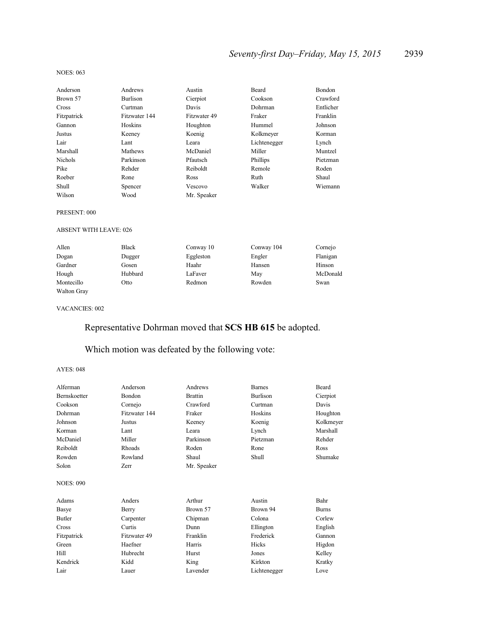# *Seventy-first Day–Friday, May 15, 2015* 2939

#### NOES: 063

| Anderson       | Andrews       | Austin       | Beard        | Bondon    |
|----------------|---------------|--------------|--------------|-----------|
| Brown 57       | Burlison      | Cierpiot     | Cookson      | Crawford  |
| Cross          | Curtman       | Davis        | Dohrman      | Entlicher |
| Fitzpatrick    | Fitzwater 144 | Fitzwater 49 | Fraker       | Franklin  |
| Gannon         | Hoskins       | Houghton     | Hummel       | Johnson   |
| Justus         | Keeney        | Koenig       | Kolkmeyer    | Korman    |
| Lair           | Lant          | Leara        | Lichtenegger | Lynch     |
| Marshall       | Mathews       | McDaniel     | Miller       | Muntzel   |
| <b>Nichols</b> | Parkinson     | Pfautsch     | Phillips     | Pietzman  |
| Pike           | Rehder        | Reiboldt     | Remole       | Roden     |
| Roeber         | Rone          | Ross         | Ruth         | Shaul     |
| Shull          | Spencer       | Vescovo      | Walker       | Wiemann   |
| Wilson         | Wood          | Mr. Speaker  |              |           |

#### PRESENT: 000

#### ABSENT WITH LEAVE: 026

| Allen       | <b>Black</b> | Conway 10 | Conway 104 | Cornejo  |
|-------------|--------------|-----------|------------|----------|
| Dogan       | Dugger       | Eggleston | Engler     | Flanigan |
| Gardner     | Gosen        | Haahr     | Hansen     | Hinson   |
| Hough       | Hubbard      | LaFaver   | May        | McDonald |
| Montecillo  | Otto         | Redmon    | Rowden     | Swan     |
| Walton Gray |              |           |            |          |

#### VACANCIES: 002

# Representative Dohrman moved that **SCS HB 615** be adopted.

### Which motion was defeated by the following vote:

| Alferman         | Anderson      | Andrews        | <b>Barnes</b> | Beard        |
|------------------|---------------|----------------|---------------|--------------|
| Bernskoetter     | Bondon        | <b>Brattin</b> | Burlison      | Cierpiot     |
| Cookson          | Cornejo       | Crawford       | Curtman       | Davis        |
| Dohrman          | Fitzwater 144 | Fraker         | Hoskins       | Houghton     |
| Johnson          | Justus        | Keeney         | Koenig        | Kolkmeyer    |
| Korman           | Lant          | Leara          | Lynch         | Marshall     |
| McDaniel         | Miller        | Parkinson      | Pietzman      | Rehder       |
| Reiboldt         | Rhoads        | Roden          | Rone          | Ross         |
| Rowden           | Rowland       | Shaul          | Shull         | Shumake      |
| Solon            | Zerr          | Mr. Speaker    |               |              |
| <b>NOES: 090</b> |               |                |               |              |
| Adams            | Anders        | Arthur         | Austin        | Bahr         |
| Basye            | Berry         | Brown 57       | Brown 94      | <b>Burns</b> |
| <b>Butler</b>    | Carpenter     | Chipman        | Colona        | Corlew       |
| Cross            | Curtis        | Dunn           | Ellington     | English      |
| Fitzpatrick      | Fitzwater 49  | Franklin       | Frederick     | Gannon       |
| Green            | Haefner       | Harris         | Hicks         | Higdon       |
| Hill             | Hubrecht      | Hurst          | Jones         | Kelley       |
| Kendrick         | Kidd          | King           | Kirkton       | Kratky       |
| Lair             | Lauer         | Lavender       | Lichtenegger  | Love         |
|                  |               |                |               |              |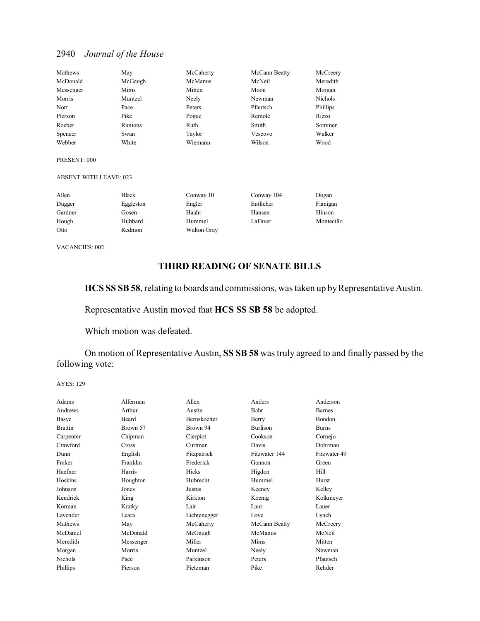| Mathews   | May     | McCaherty | McCann Beatty | McCreery       |
|-----------|---------|-----------|---------------|----------------|
| McDonald  | McGaugh | McManus   | McNeil        | Meredith       |
| Messenger | Mims    | Mitten    | Moon          | Morgan         |
| Morris    | Muntzel | Neely     | Newman        | <b>Nichols</b> |
| Norr      | Pace    | Peters    | Pfautsch      | Phillips       |
| Pierson   | Pike    | Pogue     | Remole        | Rizzo          |
| Roeber    | Runions | Ruth      | Smith         | Sommer         |
| Spencer   | Swan    | Taylor    | Vescovo       | Walker         |
| Webber    | White   | Wiemann   | Wilson        | Wood           |

#### PRESENT: 000

### ABSENT WITH LEAVE: 023

| Allen   | Black     | Conway 10          | Conway 104 | Dogan      |
|---------|-----------|--------------------|------------|------------|
| Dugger  | Eggleston | Engler             | Entlicher  | Flanigan   |
| Gardner | Gosen     | Haahr              | Hansen     | Hinson     |
| Hough   | Hubbard   | Hummel             | LaFaver    | Montecillo |
| Otto    | Redmon    | <b>Walton Gray</b> |            |            |

VACANCIES: 002

### **THIRD READING OF SENATE BILLS**

HCS SS SB 58, relating to boards and commissions, was taken up by Representative Austin.

Representative Austin moved that **HCS SS SB 58** be adopted.

Which motion was defeated.

On motion of Representative Austin, **SS SB 58** was truly agreed to and finally passed by the following vote:

| Adams          | Alferman     | Allen        | Anders        | Anderson      |
|----------------|--------------|--------------|---------------|---------------|
| Andrews        | Arthur       | Austin       | Bahr          | <b>Barnes</b> |
|                |              |              |               |               |
| Basye          | Beard        | Bernskoetter | Berry         | Bondon        |
| <b>Brattin</b> | Brown 57     | Brown 94     | Burlison      | <b>Burns</b>  |
| Carpenter      | Chipman      | Cierpiot     | Cookson       | Cornejo       |
| Crawford       | <b>Cross</b> | Curtman      | Davis         | Dohrman       |
| Dunn           | English      | Fitzpatrick  | Fitzwater 144 | Fitzwater 49  |
| Fraker         | Franklin     | Frederick    | Gannon        | Green         |
| Haefner        | Harris       | Hicks        | Higdon        | Hill          |
| Hoskins        | Houghton     | Hubrecht     | Hummel        | Hurst         |
| Johnson        | Jones        | Justus       | Keeney        | Kelley        |
| Kendrick       | King         | Kirkton      | Koenig        | Kolkmeyer     |
| Korman         | Kratky       | Lair         | Lant          | Lauer         |
| Lavender       | Leara        | Lichtenegger | Love          | Lynch         |
| Mathews        | May          | McCaherty    | McCann Beatty | McCreery      |
| McDaniel       | McDonald     | McGaugh      | McManus       | McNeil        |
| Meredith       | Messenger    | Miller       | Mims          | Mitten        |
| Morgan         | Morris       | Muntzel      | Neely         | Newman        |
| <b>Nichols</b> | Pace         | Parkinson    | Peters        | Pfautsch      |
| Phillips       | Pierson      | Pietzman     | Pike          | Rehder        |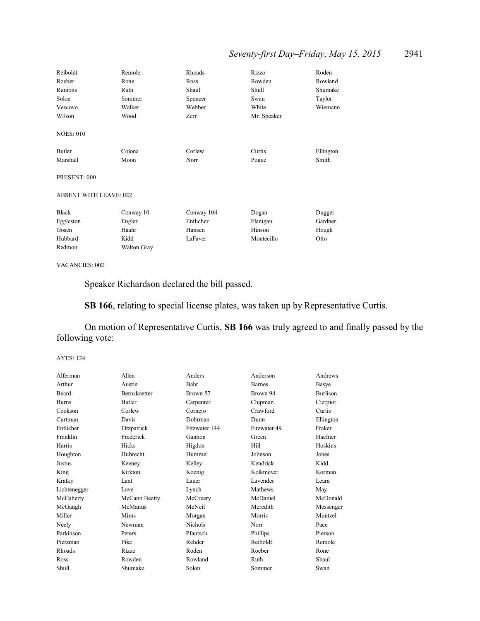# *Seventy-first Day–Friday, May 15, 2015* 2941

| Reiboldt                      | Remole             | Rhoads     | Rizzo       | Roden     |
|-------------------------------|--------------------|------------|-------------|-----------|
| Roeber                        | Rone               | Ross       | Rowden      | Rowland   |
| Runions                       | Ruth               | Shaul      | Shull       | Shumake   |
| Solon                         | Sommer             | Spencer    | Swan        | Taylor    |
| Vescovo                       | Walker             | Webber     | White       | Wiemann   |
| Wilson                        | Wood               | Zerr       | Mr. Speaker |           |
| <b>NOES: 010</b>              |                    |            |             |           |
| Butler                        | Colona             | Corlew     | Curtis      | Ellington |
| Marshall                      | Moon               | Norr       | Pogue       | Smith     |
| PRESENT: 000                  |                    |            |             |           |
| <b>ABSENT WITH LEAVE: 022</b> |                    |            |             |           |
| <b>Black</b>                  | Conway 10          | Conway 104 | Dogan       | Dugger    |
| Eggleston                     | Engler             | Entlicher  | Flanigan    | Gardner   |
| Gosen                         | Haahr              | Hansen     | Hinson      | Hough     |
| Hubbard                       | Kidd               | LaFaver    | Montecillo  | Otto      |
| Redmon                        | <b>Walton Gray</b> |            |             |           |

#### VACANCIES: 002

Speaker Richardson declared the bill passed.

**SB 166**, relating to special license plates, was taken up by Representative Curtis.

On motion of Representative Curtis, **SB 166** was truly agreed to and finally passed by the following vote:

| Alferman     | Allen               | Anders         | Anderson      | Andrews         |
|--------------|---------------------|----------------|---------------|-----------------|
| Arthur       | Austin              | Bahr           | <b>Barnes</b> | Basye           |
| <b>Beard</b> | <b>Bernskoetter</b> | Brown 57       | Brown 94      | <b>Burlison</b> |
| <b>Burns</b> | Butler              | Carpenter      | Chipman       | Cierpiot        |
| Cookson      | Corlew              | Cornejo        | Crawford      | Curtis          |
| Curtman      | Davis               | Dohrman        | Dunn          | Ellington       |
| Entlicher    | Fitzpatrick         | Fitzwater 144  | Fitzwater 49  | Fraker          |
| Franklin     | Frederick           | Gannon         | Green         | Haefner         |
| Harris       | Hicks               | Higdon         | Hill          | Hoskins         |
| Houghton     | Hubrecht            | Hummel         | Johnson       | Jones           |
| Justus       | Keeney              | Kelley         | Kendrick      | Kidd            |
| King         | Kirkton             | Koenig         | Kolkmeyer     | Korman          |
| Kratky       | Lant                | Lauer          | Lavender      | Leara           |
| Lichtenegger | Love                | Lynch          | Mathews       | May             |
| McCaherty    | McCann Beatty       | McCreery       | McDaniel      | McDonald        |
| McGaugh      | McManus             | McNeil         | Meredith      | Messenger       |
| Miller       | Mims                | Morgan         | Morris        | Muntzel         |
| Neely        | Newman              | <b>Nichols</b> | Norr          | Pace            |
| Parkinson    | Peters              | Pfautsch       | Phillips      | Pierson         |
| Pietzman     | Pike                | Rehder         | Reiboldt      | Remole          |
| Rhoads       | Rizzo               | Roden          | Roeber        | Rone            |
| Ross         | Rowden              | Rowland        | Ruth          | Shaul           |
| Shull        | Shumake             | Solon          | Sommer        | Swan            |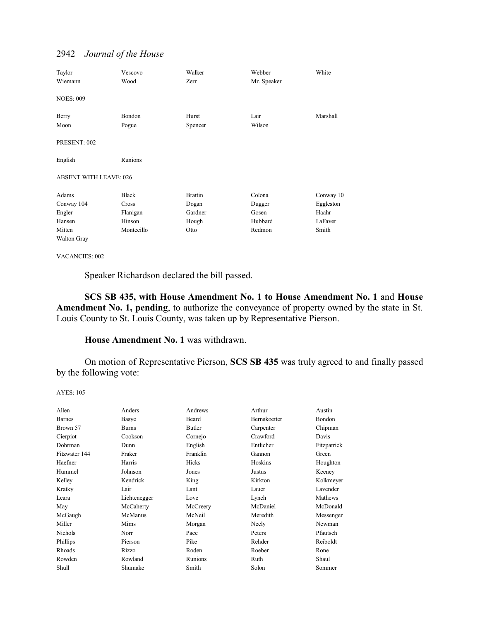| Taylor                        | Vescovo    | Walker         | Webber      | White     |
|-------------------------------|------------|----------------|-------------|-----------|
| Wiemann                       | Wood       | Zerr           | Mr. Speaker |           |
| <b>NOES: 009</b>              |            |                |             |           |
| Berry                         | Bondon     | Hurst          | Lair        | Marshall  |
| Moon                          | Pogue      | Spencer        | Wilson      |           |
| PRESENT: 002                  |            |                |             |           |
| English                       | Runions    |                |             |           |
| <b>ABSENT WITH LEAVE: 026</b> |            |                |             |           |
| Adams                         | Black      | <b>Brattin</b> | Colona      | Conway 10 |
| Conway 104                    | Cross      | Dogan          | Dugger      | Eggleston |
| Engler                        | Flanigan   | Gardner        | Gosen       | Haahr     |
| Hansen                        | Hinson     | Hough          | Hubbard     | LaFaver   |
| Mitten                        | Montecillo | Otto           | Redmon      | Smith     |
| <b>Walton Gray</b>            |            |                |             |           |

VACANCIES: 002

Speaker Richardson declared the bill passed.

**SCS SB 435, with House Amendment No. 1 to House Amendment No. 1** and **House Amendment No. 1, pending**, to authorize the conveyance of property owned by the state in St. Louis County to St. Louis County, was taken up by Representative Pierson.

### **House Amendment No. 1** was withdrawn.

On motion of Representative Pierson, **SCS SB 435** was truly agreed to and finally passed by the following vote:

```
AYES: 105
```

| Allen         | Anders       | Andrews  | Arthur       | Austin      |
|---------------|--------------|----------|--------------|-------------|
| <b>Barnes</b> | Basye        | Beard    | Bernskoetter | Bondon      |
| Brown 57      | <b>Burns</b> | Butler   | Carpenter    | Chipman     |
| Cierpiot      | Cookson      | Cornejo  | Crawford     | Davis       |
| Dohrman       | Dunn         | English  | Entlicher    | Fitzpatrick |
| Fitzwater 144 | Fraker       | Franklin | Gannon       | Green       |
| Haefner       | Harris       | Hicks    | Hoskins      | Houghton    |
| Hummel        | Johnson      | Jones    | Justus       | Keeney      |
| Kelley        | Kendrick     | King     | Kirkton      | Kolkmeyer   |
| Kratky        | Lair         | Lant     | Lauer        | Lavender    |
| Leara         | Lichtenegger | Love     | Lynch        | Mathews     |
| May           | McCaherty    | McCreery | McDaniel     | McDonald    |
| McGaugh       | McManus      | McNeil   | Meredith     | Messenger   |
| Miller        | Mims         | Morgan   | Neely        | Newman      |
| Nichols       | Norr         | Pace     | Peters       | Pfautsch    |
| Phillips      | Pierson      | Pike     | Rehder       | Reiboldt    |
| <b>Rhoads</b> | Rizzo        | Roden    | Roeber       | Rone        |
| Rowden        | Rowland      | Runions  | Ruth         | Shaul       |
| Shull         | Shumake      | Smith    | Solon        | Sommer      |
|               |              |          |              |             |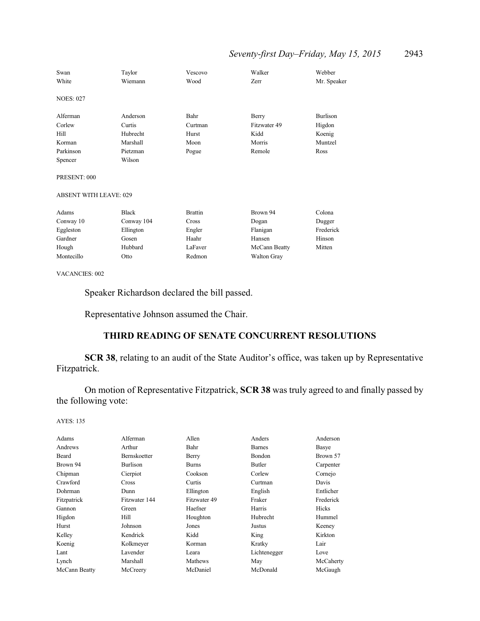## *Seventy-first Day–Friday, May 15, 2015* 2943

| Swan<br>White                                 | Taylor<br>Wiemann | Vescovo<br>Wood | Walker<br><b>Zerr</b> | Webber<br>Mr. Speaker |
|-----------------------------------------------|-------------------|-----------------|-----------------------|-----------------------|
| <b>NOES: 027</b>                              |                   |                 |                       |                       |
| Alferman                                      | Anderson          | Bahr            | Berry                 | <b>Burlison</b>       |
| Corlew                                        | Curtis            | Curtman         | Fitzwater 49          | Higdon                |
| Hill                                          | Hubrecht          | Hurst           | Kidd                  | Koenig                |
| Korman                                        | Marshall          | Moon            | Morris                | Muntzel               |
| Parkinson                                     | Pietzman          | Pogue           | Remole                | Ross                  |
| Spencer                                       | Wilson            |                 |                       |                       |
| PRESENT: 000<br><b>ABSENT WITH LEAVE: 029</b> |                   |                 |                       |                       |
|                                               |                   |                 |                       |                       |
| Adams                                         | <b>Black</b>      | <b>Brattin</b>  | Brown 94              | Colona                |
| Conway 10                                     | Conway 104        | Cross           | Dogan                 | Dugger                |
| Eggleston                                     | Ellington         | Engler          | Flanigan              | Frederick             |
| Gardner                                       | Gosen             | Haahr           | Hansen                | Hinson                |
| Hough                                         | Hubbard           | LaFaver         | McCann Beatty         | Mitten                |
| Montecillo                                    | Otto              | Redmon          | Walton Gray           |                       |
|                                               |                   |                 |                       |                       |

VACANCIES: 002

Speaker Richardson declared the bill passed.

Representative Johnson assumed the Chair.

### **THIRD READING OF SENATE CONCURRENT RESOLUTIONS**

**SCR 38**, relating to an audit of the State Auditor's office, was taken up by Representative Fitzpatrick.

On motion of Representative Fitzpatrick, **SCR 38** was truly agreed to and finally passed by the following vote:

| Adams         | Alferman            | Allen        | Anders        | Anderson  |
|---------------|---------------------|--------------|---------------|-----------|
| Andrews       | Arthur              | Bahr         | <b>Barnes</b> | Basye     |
| Beard         | <b>Bernskoetter</b> | Berry        | <b>Bondon</b> | Brown 57  |
| Brown 94      | Burlison            | <b>Burns</b> | Butler        | Carpenter |
| Chipman       | Cierpiot            | Cookson      | Corlew        | Cornejo   |
| Crawford      | Cross               | Curtis       | Curtman       | Davis     |
| Dohrman       | Dunn                | Ellington    | English       | Entlicher |
| Fitzpatrick   | Fitzwater 144       | Fitzwater 49 | Fraker        | Frederick |
| Gannon        | Green               | Haefner      | Harris        | Hicks     |
| Higdon        | Hill                | Houghton     | Hubrecht      | Hummel    |
| Hurst         | Johnson             | Jones        | Justus        | Keeney    |
| Kelley        | Kendrick            | Kidd         | King          | Kirkton   |
| Koenig        | Kolkmeyer           | Korman       | Kratky        | Lair      |
| Lant          | Lavender            | Leara        | Lichtenegger  | Love      |
| Lynch         | Marshall            | Mathews      | May           | McCaherty |
| McCann Beatty | McCreery            | McDaniel     | McDonald      | McGaugh   |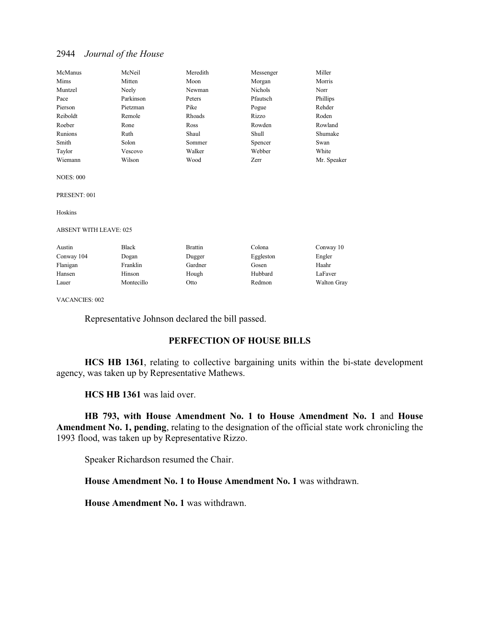| McManus  | McNeil    | Meredith | Messenger      | Miller      |
|----------|-----------|----------|----------------|-------------|
| Mims     | Mitten    | Moon     | Morgan         | Morris      |
| Muntzel  | Neely     | Newman   | <b>Nichols</b> | Norr        |
| Pace     | Parkinson | Peters   | Pfautsch       | Phillips    |
| Pierson  | Pietzman  | Pike     | Pogue          | Rehder      |
| Reiboldt | Remole    | Rhoads   | Rizzo          | Roden       |
| Roeber   | Rone      | Ross     | Rowden         | Rowland     |
| Runions  | Ruth      | Shaul    | Shull          | Shumake     |
| Smith    | Solon     | Sommer   | Spencer        | Swan        |
| Taylor   | Vescovo   | Walker   | Webber         | White       |
| Wiemann  | Wilson    | Wood     | Zerr           | Mr. Speaker |

NOES: 000

PRESENT: 001

Hoskins

ABSENT WITH LEAVE: 025

| Austin     | <b>Black</b> | <b>Brattin</b> | Colona    | Conway 10   |
|------------|--------------|----------------|-----------|-------------|
| Conway 104 | Dogan        | Dugger         | Eggleston | Engler      |
| Flanigan   | Franklin     | Gardner        | Gosen     | Haahr       |
| Hansen     | Hinson       | Hough          | Hubbard   | LaFaver     |
| Lauer      | Montecillo   | Otto           | Redmon    | Walton Gray |

VACANCIES: 002

Representative Johnson declared the bill passed.

### **PERFECTION OF HOUSE BILLS**

**HCS HB 1361**, relating to collective bargaining units within the bi-state development agency, was taken up by Representative Mathews.

**HCS HB 1361** was laid over.

**HB 793, with House Amendment No. 1 to House Amendment No. 1** and **House Amendment No. 1, pending**, relating to the designation of the official state work chronicling the 1993 flood, was taken up by Representative Rizzo.

Speaker Richardson resumed the Chair.

**House Amendment No. 1 to House Amendment No. 1** was withdrawn.

**House Amendment No. 1** was withdrawn.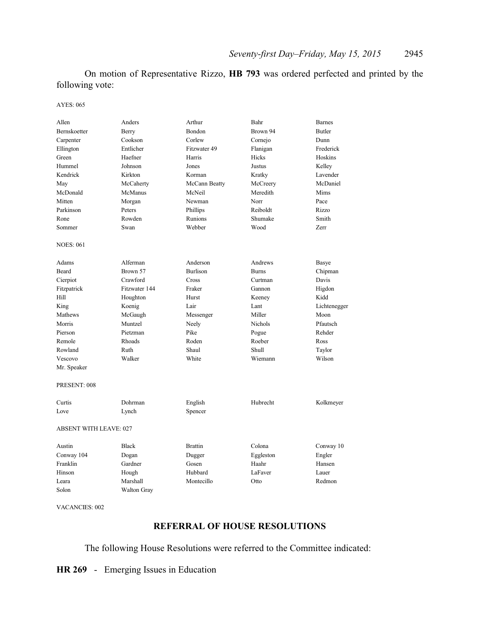On motion of Representative Rizzo, **HB 793** was ordered perfected and printed by the following vote:

AYES: 065

| Allen                         | Anders             | Arthur          | Bahr         | <b>Barnes</b> |
|-------------------------------|--------------------|-----------------|--------------|---------------|
| Bernskoetter                  | Berry              | <b>Bondon</b>   | Brown 94     | <b>Butler</b> |
| Carpenter                     | Cookson            | Corlew          | Cornejo      | Dunn          |
| Ellington                     | Entlicher          | Fitzwater 49    | Flanigan     | Frederick     |
| Green                         | Haefner            | Harris          | Hicks        | Hoskins       |
| Hummel                        | Johnson            | Jones           | Justus       | Kelley        |
| Kendrick                      | Kirkton            | Korman          | Kratky       | Lavender      |
| May                           | McCaherty          | McCann Beatty   | McCreery     | McDaniel      |
| McDonald                      | McManus            | McNeil          | Meredith     | Mims          |
| Mitten                        | Morgan             | Newman          | Norr         | Pace          |
| Parkinson                     | Peters             | Phillips        | Reiboldt     | Rizzo         |
| Rone                          | Rowden             | Runions         | Shumake      | Smith         |
| Sommer                        | Swan               | Webber          | Wood         | Zerr          |
| <b>NOES: 061</b>              |                    |                 |              |               |
| Adams                         | Alferman           | Anderson        | Andrews      | Basye         |
| Beard                         | Brown 57           | <b>Burlison</b> | <b>Burns</b> | Chipman       |
| Cierpiot                      | Crawford           | Cross           | Curtman      | Davis         |
| Fitzpatrick                   | Fitzwater 144      | Fraker          | Gannon       | Higdon        |
| Hill                          | Houghton           | Hurst           | Keeney       | Kidd          |
| King                          | Koenig             | Lair            | Lant         | Lichtenegger  |
| Mathews                       | McGaugh            | Messenger       | Miller       | Moon          |
| Morris                        | Muntzel            | Neely           | Nichols      | Pfautsch      |
| Pierson                       | Pietzman           | Pike            | Pogue        | Rehder        |
| Remole                        | Rhoads             | Roden           | Roeber       | Ross          |
| Rowland                       | Ruth               | Shaul           | Shull        | Taylor        |
| Vescovo                       | Walker             | White           | Wiemann      | Wilson        |
| Mr. Speaker                   |                    |                 |              |               |
| PRESENT: 008                  |                    |                 |              |               |
| Curtis                        | Dohrman            | English         | Hubrecht     | Kolkmeyer     |
| Love                          | Lynch              | Spencer         |              |               |
| <b>ABSENT WITH LEAVE: 027</b> |                    |                 |              |               |
| Austin                        | <b>Black</b>       | <b>Brattin</b>  | Colona       | Conway 10     |
| Conway 104                    | Dogan              | Dugger          | Eggleston    | Engler        |
| Franklin                      | Gardner            | Gosen           | Haahr        | Hansen        |
| Hinson                        | Hough              | Hubbard         | LaFaver      | Lauer         |
| Leara                         | Marshall           | Montecillo      | Otto         | Redmon        |
| Solon                         | <b>Walton Grav</b> |                 |              |               |

VACANCIES: 002

### **REFERRAL OF HOUSE RESOLUTIONS**

The following House Resolutions were referred to the Committee indicated:

**HR 269** - Emerging Issues in Education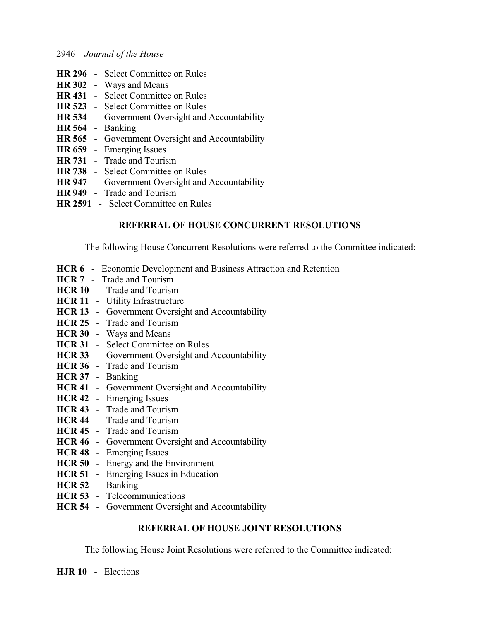- **HR 296** Select Committee on Rules
- **HR 302** Ways and Means
- **HR 431** Select Committee on Rules
- **HR 523** Select Committee on Rules
- **HR 534** Government Oversight and Accountability
- **HR 564** Banking
- **HR 565** Government Oversight and Accountability
- **HR 659** Emerging Issues
- **HR 731** Trade and Tourism
- **HR 738** Select Committee on Rules
- **HR 947** Government Oversight and Accountability
- **HR 949** Trade and Tourism
- **HR 2591** Select Committee on Rules

### **REFERRAL OF HOUSE CONCURRENT RESOLUTIONS**

The following House Concurrent Resolutions were referred to the Committee indicated:

- **HCR 6** Economic Development and Business Attraction and Retention
- **HCR 7** Trade and Tourism
- **HCR 10** Trade and Tourism
- **HCR 11** Utility Infrastructure
- **HCR 13** Government Oversight and Accountability
- **HCR 25** Trade and Tourism
- **HCR 30** Ways and Means
- **HCR 31** Select Committee on Rules
- **HCR 33** Government Oversight and Accountability
- **HCR 36** Trade and Tourism
- **HCR 37** Banking
- **HCR 41** Government Oversight and Accountability
- **HCR 42** Emerging Issues
- **HCR 43** Trade and Tourism
- **HCR 44** Trade and Tourism
- **HCR 45** Trade and Tourism
- **HCR 46** Government Oversight and Accountability
- **HCR 48** Emerging Issues
- **HCR 50** Energy and the Environment
- **HCR 51** Emerging Issues in Education
- **HCR 52** Banking
- **HCR 53** Telecommunications
- **HCR 54** Government Oversight and Accountability

### **REFERRAL OF HOUSE JOINT RESOLUTIONS**

The following House Joint Resolutions were referred to the Committee indicated:

**HJR 10** - Elections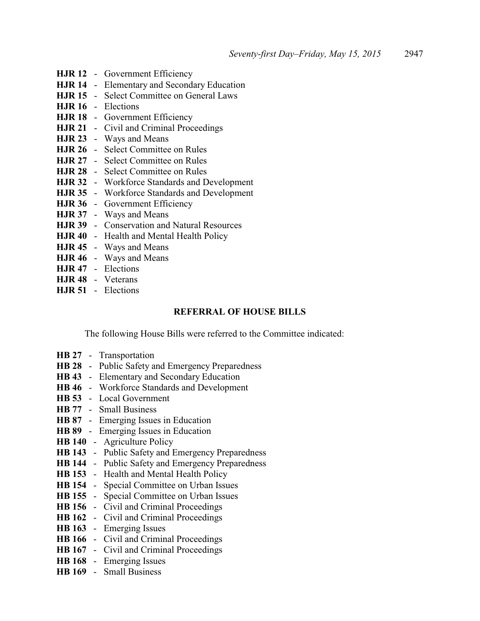- **HJR 12** Government Efficiency **HJR 14** - Elementary and Secondary Education **HJR 15** - Select Committee on General Laws **HJR 16** - Elections **HJR 18** - Government Efficiency **HJR 21** - Civil and Criminal Proceedings **HJR 23** - Ways and Means **HJR 26** - Select Committee on Rules **HJR 27** - Select Committee on Rules **HJR 28** - Select Committee on Rules **HJR 32** - Workforce Standards and Development **HJR 35** - Workforce Standards and Development **HJR 36** - Government Efficiency **HJR 37** - Ways and Means **HJR 39** - Conservation and Natural Resources **HJR 40** - Health and Mental Health Policy **HJR 45** - Ways and Means
- **HJR 46** Ways and Means
- **HJR 47** Elections
- **HJR 48** Veterans
- **HJR 51** Elections

### **REFERRAL OF HOUSE BILLS**

The following House Bills were referred to the Committee indicated:

- **HB 27** Transportation
- **HB 28** Public Safety and Emergency Preparedness
- **HB 43** Elementary and Secondary Education
- **HB 46** Workforce Standards and Development
- **HB 53** Local Government
- **HB 77** Small Business
- **HB 87** Emerging Issues in Education
- **HB 89** Emerging Issues in Education
- **HB 140** Agriculture Policy
- **HB 143** Public Safety and Emergency Preparedness
- **HB 144** Public Safety and Emergency Preparedness
- **HB 153** Health and Mental Health Policy
- **HB 154** Special Committee on Urban Issues
- **HB 155** Special Committee on Urban Issues
- **HB 156** Civil and Criminal Proceedings
- **HB 162** Civil and Criminal Proceedings
- **HB 163** Emerging Issues
- **HB 166** Civil and Criminal Proceedings
- **HB 167** Civil and Criminal Proceedings
- **HB 168** Emerging Issues
- **HB 169** Small Business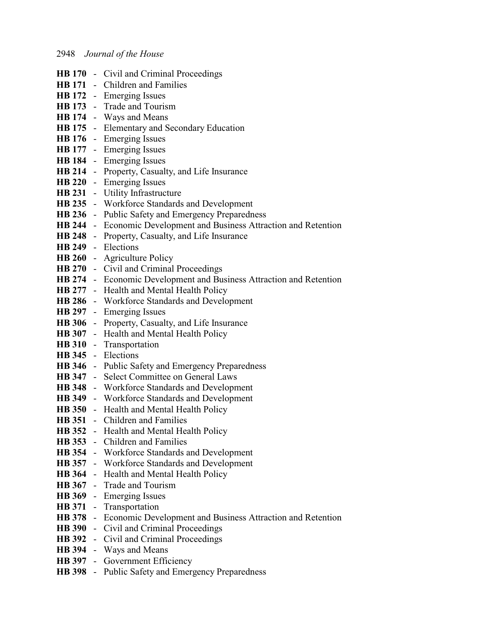- **HB 170** Civil and Criminal Proceedings **HB 171** - Children and Families **HB 172** - Emerging Issues **HB 173** - Trade and Tourism **HB 174** - Ways and Means **HB 175** - Elementary and Secondary Education **HB 176** - Emerging Issues **HB 177** - Emerging Issues **HB 184** - Emerging Issues **HB 214** - Property, Casualty, and Life Insurance **HB 220** - Emerging Issues **HB 231** - Utility Infrastructure **HB 235** - Workforce Standards and Development **HB 236** - Public Safety and Emergency Preparedness **HB 244** - Economic Development and Business Attraction and Retention **HB 248** - Property, Casualty, and Life Insurance **HB 249** - Elections **HB 260** - Agriculture Policy **HB 270** - Civil and Criminal Proceedings **HB 274** - Economic Development and Business Attraction and Retention **HB 277** - Health and Mental Health Policy **HB 286** - Workforce Standards and Development **HB 297** - Emerging Issues **HB 306** - Property, Casualty, and Life Insurance **HB 307** - Health and Mental Health Policy **HB 310** - Transportation **HB 345** - Elections **HB 346** - Public Safety and Emergency Preparedness **HB 347** - Select Committee on General Laws **HB 348** - Workforce Standards and Development **HB 349** - Workforce Standards and Development **HB 350** - Health and Mental Health Policy **HB 351** - Children and Families **HB 352** - Health and Mental Health Policy **HB 353** - Children and Families **HB 354** - Workforce Standards and Development **HB 357** - Workforce Standards and Development **HB 364** - Health and Mental Health Policy **HB 367** - Trade and Tourism **HB 369** - Emerging Issues **HB 371** - Transportation **HB 378** - Economic Development and Business Attraction and Retention **HB 390** - Civil and Criminal Proceedings **HB 392** - Civil and Criminal Proceedings **HB 394** - Ways and Means **HB 397** - Government Efficiency
- **HB 398** Public Safety and Emergency Preparedness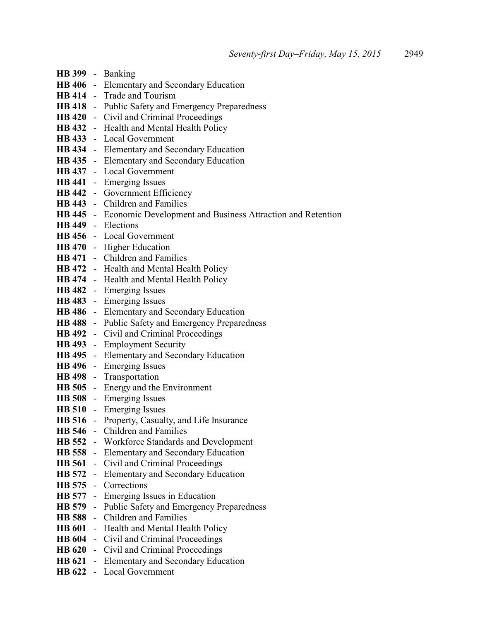- **HB 399** Banking **HB 406** - Elementary and Secondary Education **HB 414** - Trade and Tourism **HB 418** - Public Safety and Emergency Preparedness **HB 420** - Civil and Criminal Proceedings **HB 432** - Health and Mental Health Policy **HB 433** - Local Government **HB 434** - Elementary and Secondary Education **HB 435** - Elementary and Secondary Education **HB 437** - Local Government **HB 441** - Emerging Issues **HB 442** - Government Efficiency **HB 443** - Children and Families **HB 445** - Economic Development and Business Attraction and Retention **HB 449** - Elections **HB 456** - Local Government **HB 470** - Higher Education **HB 471** - Children and Families **HB 472** - Health and Mental Health Policy **HB 474** - Health and Mental Health Policy **HB 482** - Emerging Issues **HB 483** - Emerging Issues **HB 486** - Elementary and Secondary Education **HB 488** - Public Safety and Emergency Preparedness **HB 492** - Civil and Criminal Proceedings **HB 493** - Employment Security **HB 495** - Elementary and Secondary Education **HB 496** - Emerging Issues **HB 498** - Transportation **HB 505** - Energy and the Environment **HB 508** - Emerging Issues **HB 510** - Emerging Issues **HB 516** - Property, Casualty, and Life Insurance **HB 546** - Children and Families **HB 552** - Workforce Standards and Development **HB 558** - Elementary and Secondary Education **HB 561** - Civil and Criminal Proceedings **HB 572** - Elementary and Secondary Education **HB 575** - Corrections **HB 577** - Emerging Issues in Education **HB 579** - Public Safety and Emergency Preparedness **HB 588** - Children and Families **HB 601** - Health and Mental Health Policy **HB 604** - Civil and Criminal Proceedings **HB 620** - Civil and Criminal Proceedings **HB 621** - Elementary and Secondary Education
- **HB 622** Local Government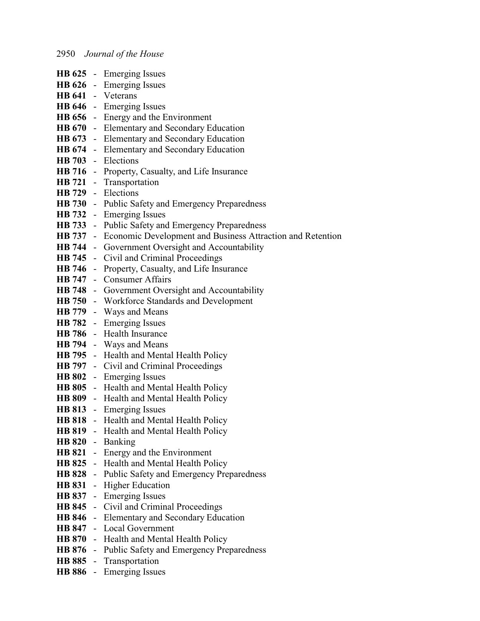|               |                | <b>HB 625</b> - Emerging Issues                              |
|---------------|----------------|--------------------------------------------------------------|
|               |                | HB 626 - Emerging Issues                                     |
|               |                | HB 641 - Veterans                                            |
|               |                | HB 646 - Emerging Issues                                     |
|               |                | HB 656 - Energy and the Environment                          |
|               |                | HB 670 - Elementary and Secondary Education                  |
|               |                | HB 673 - Elementary and Secondary Education                  |
|               |                | HB 674 - Elementary and Secondary Education                  |
| <b>HB</b> 703 |                | - Elections                                                  |
|               |                | HB 716 - Property, Casualty, and Life Insurance              |
|               |                | HB 721 - Transportation                                      |
|               |                | HB 729 - Elections                                           |
|               |                | <b>HB 730</b> - Public Safety and Emergency Preparedness     |
|               |                | <b>HB</b> 732 - Emerging Issues                              |
|               |                | <b>HB 733</b> - Public Safety and Emergency Preparedness     |
| <b>HB</b> 737 |                | - Economic Development and Business Attraction and Retention |
|               |                | <b>HB 744</b> - Government Oversight and Accountability      |
|               |                | <b>HB 745</b> - Civil and Criminal Proceedings               |
|               |                | <b>HB 746</b> - Property, Casualty, and Life Insurance       |
| <b>HB</b> 747 |                | - Consumer Affairs                                           |
|               |                | <b>HB 748</b> - Government Oversight and Accountability      |
|               |                | HB 750 - Workforce Standards and Development                 |
|               |                | HB 779 - Ways and Means                                      |
|               |                | <b>HB</b> 782 - Emerging Issues                              |
|               |                | HB 786 - Health Insurance                                    |
|               |                | HB 794 - Ways and Means                                      |
|               |                | <b>HB 795</b> - Health and Mental Health Policy              |
|               |                | <b>HB 797</b> - Civil and Criminal Proceedings               |
|               |                | HB 802 - Emerging Issues                                     |
|               |                | HB 805 - Health and Mental Health Policy                     |
|               |                | HB 809 - Health and Mental Health Policy                     |
| <b>HB 813</b> |                | - Emerging Issues                                            |
|               |                | HB 818 - Health and Mental Health Policy                     |
|               |                | HB 819 - Health and Mental Health Policy                     |
|               |                | HB 820 - Banking                                             |
| <b>HB 821</b> |                | - Energy and the Environment                                 |
| <b>HB 825</b> |                | - Health and Mental Health Policy                            |
|               |                | <b>HB 828</b> - Public Safety and Emergency Preparedness     |
| <b>HB 831</b> | $\blacksquare$ | <b>Higher Education</b>                                      |
| <b>HB 837</b> |                | - Emerging Issues                                            |
|               |                | HB 845 - Civil and Criminal Proceedings                      |
|               |                | HB 846 - Elementary and Secondary Education                  |
| <b>HB 847</b> |                | - Local Government                                           |
| <b>HB 870</b> |                | - Health and Mental Health Policy                            |
|               |                | <b>HB 876</b> - Public Safety and Emergency Preparedness     |
| <b>HB 885</b> |                | - Transportation                                             |
|               |                | HB 886 - Emerging Issues                                     |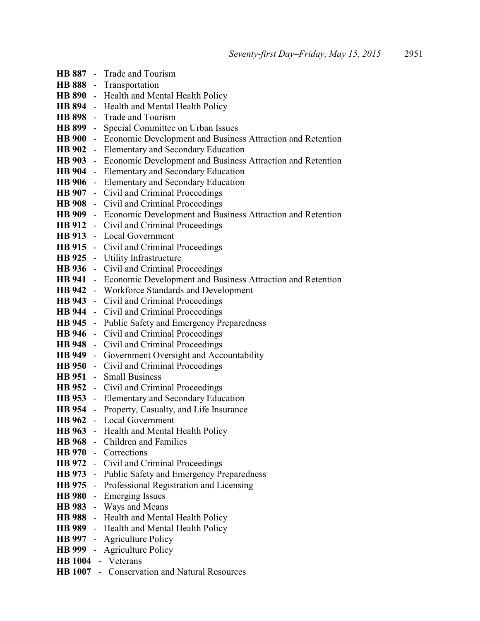|                    | <b>HB 887</b> - Trade and Tourism                                                   |  |  |
|--------------------|-------------------------------------------------------------------------------------|--|--|
|                    | HB 888 - Transportation                                                             |  |  |
|                    | HB 890 - Health and Mental Health Policy                                            |  |  |
|                    | HB 894 - Health and Mental Health Policy                                            |  |  |
|                    | HB 898 - Trade and Tourism                                                          |  |  |
|                    | HB 899 - Special Committee on Urban Issues                                          |  |  |
|                    | HB 900 - Economic Development and Business Attraction and Retention                 |  |  |
|                    | <b>HB 902</b> - Elementary and Secondary Education                                  |  |  |
| <b>HB</b> 903      | - Economic Development and Business Attraction and Retention                        |  |  |
|                    | HB 904 - Elementary and Secondary Education                                         |  |  |
|                    | HB 906 - Elementary and Secondary Education                                         |  |  |
|                    | HB 907 - Civil and Criminal Proceedings                                             |  |  |
|                    | <b>HB 908</b> - Civil and Criminal Proceedings                                      |  |  |
|                    | HB 909 - Economic Development and Business Attraction and Retention                 |  |  |
|                    | <b>HB 912</b> - Civil and Criminal Proceedings                                      |  |  |
|                    | <b>HB 913</b> - Local Government                                                    |  |  |
|                    | HB 915 - Civil and Criminal Proceedings                                             |  |  |
|                    | <b>HB 925</b> - Utility Infrastructure                                              |  |  |
|                    | HB 936 - Civil and Criminal Proceedings                                             |  |  |
|                    | HB 941 - Economic Development and Business Attraction and Retention                 |  |  |
|                    | <b>HB 942</b> - Workforce Standards and Development                                 |  |  |
|                    | <b>HB 943</b> - Civil and Criminal Proceedings                                      |  |  |
|                    | <b>HB 944</b> - Civil and Criminal Proceedings                                      |  |  |
|                    | HB 945 - Public Safety and Emergency Preparedness                                   |  |  |
|                    | <b>HB 946</b> - Civil and Criminal Proceedings                                      |  |  |
|                    | HB 948 - Civil and Criminal Proceedings                                             |  |  |
|                    | HB 949 - Government Oversight and Accountability                                    |  |  |
|                    | <b>HB 950</b> - Civil and Criminal Proceedings                                      |  |  |
|                    | HB 951 - Small Business                                                             |  |  |
|                    | <b>HB 952</b> - Civil and Criminal Proceedings                                      |  |  |
|                    | <b>HB 953</b> - Elementary and Secondary Education                                  |  |  |
|                    | HB 954 - Property, Casualty, and Life Insurance                                     |  |  |
|                    | <b>HB 962</b> - Local Government                                                    |  |  |
|                    | <b>HB 963</b> - Health and Mental Health Policy                                     |  |  |
|                    | HB 968 - Children and Families                                                      |  |  |
|                    | HB 970 - Corrections                                                                |  |  |
|                    | HB 972 - Civil and Criminal Proceedings                                             |  |  |
|                    | <b>HB 973</b> - Public Safety and Emergency Preparedness                            |  |  |
|                    | <b>HB 975</b> - Professional Registration and Licensing<br>HB 980 - Emerging Issues |  |  |
|                    |                                                                                     |  |  |
|                    | HB 983 - Ways and Means<br>HB 988 - Health and Mental Health Policy                 |  |  |
|                    | <b>HB 989</b> - Health and Mental Health Policy                                     |  |  |
|                    | <b>HB 997</b> - Agriculture Policy                                                  |  |  |
|                    | <b>HB 999</b> - Agriculture Policy                                                  |  |  |
| HB 1004 - Veterans |                                                                                     |  |  |
|                    | HB 1007 - Conservation and Natural Resources                                        |  |  |
|                    |                                                                                     |  |  |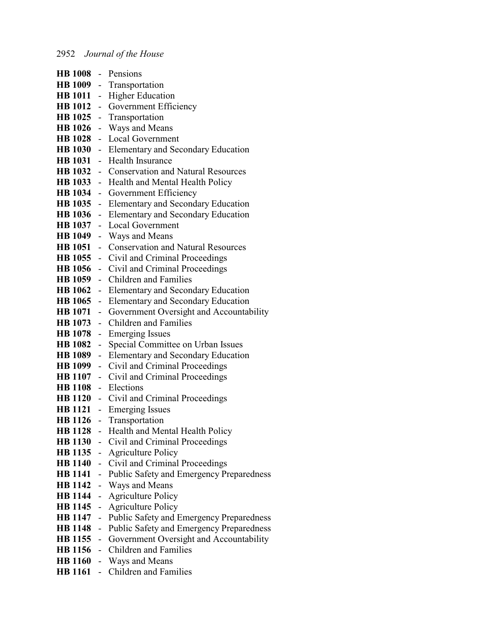| HB 1008 - Pensions |               |                                                          |
|--------------------|---------------|----------------------------------------------------------|
|                    |               | HB 1009 - Transportation                                 |
| HB 1011 -          |               | <b>Higher Education</b>                                  |
|                    |               | <b>HB 1012</b> - Government Efficiency                   |
|                    |               | HB 1025 - Transportation                                 |
| HB 1026 -          |               | Ways and Means                                           |
|                    |               | HB 1028 - Local Government                               |
|                    |               | HB 1030 - Elementary and Secondary Education             |
| HB 1031 -          |               | <b>Health Insurance</b>                                  |
|                    |               | <b>HB 1032</b> - Conservation and Natural Resources      |
|                    |               | HB 1033 - Health and Mental Health Policy                |
| HB 1034 -          |               | <b>Government Efficiency</b>                             |
| HB 1035 -          |               | Elementary and Secondary Education                       |
| HB 1036 -          |               | <b>Elementary and Secondary Education</b>                |
| HB 1037 -          |               | <b>Local Government</b>                                  |
|                    |               | HB 1049 - Ways and Means                                 |
|                    |               | <b>HB 1051</b> - Conservation and Natural Resources      |
|                    |               | HB 1055 - Civil and Criminal Proceedings                 |
|                    |               | <b>HB 1056</b> - Civil and Criminal Proceedings          |
|                    |               | HB 1059 - Children and Families                          |
| HB 1062 -          |               | <b>Elementary and Secondary Education</b>                |
| HB 1065 -          |               | Elementary and Secondary Education                       |
|                    |               | HB 1071 - Government Oversight and Accountability        |
| HB 1073 -          |               | <b>Children and Families</b>                             |
| HB 1078 -          |               | <b>Emerging Issues</b>                                   |
| HB 1082 -          |               | Special Committee on Urban Issues                        |
| <b>HB</b> 1089     | $\frac{1}{2}$ | Elementary and Secondary Education                       |
| HB 1099 -          |               | Civil and Criminal Proceedings                           |
|                    |               | <b>HB 1107</b> - Civil and Criminal Proceedings          |
|                    |               | HB 1108 - Elections                                      |
|                    |               | <b>HB 1120</b> - Civil and Criminal Proceedings          |
|                    |               | HB 1121 - Emerging Issues                                |
|                    |               | HB 1126 - Transportation                                 |
|                    |               | HB 1128 - Health and Mental Health Policy                |
|                    |               | <b>HB 1130</b> - Civil and Criminal Proceedings          |
|                    |               | <b>HB 1135</b> - Agriculture Policy                      |
|                    |               | HB 1140 - Civil and Criminal Proceedings                 |
| HB 1141 -          |               | Public Safety and Emergency Preparedness                 |
| HB 1142 -          |               | Ways and Means                                           |
| HB 1144 -          |               | <b>Agriculture Policy</b>                                |
| HB 1145 -          |               | <b>Agriculture Policy</b>                                |
| HB 1147 -          |               | Public Safety and Emergency Preparedness                 |
| HB 1148 -          |               | Public Safety and Emergency Preparedness                 |
|                    |               | <b>HB 1155</b> - Government Oversight and Accountability |
|                    |               | HB 1156 - Children and Families                          |
|                    |               | <b>HB 1160</b> - Ways and Means                          |
|                    |               | <b>HB 1161</b> - Children and Families                   |
|                    |               |                                                          |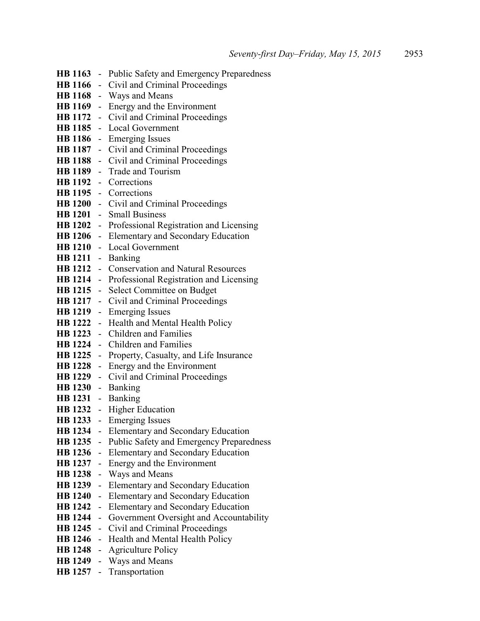|                                  |                                            | HB 1163 - Public Safety and Emergency Preparedness       |
|----------------------------------|--------------------------------------------|----------------------------------------------------------|
|                                  |                                            | HB 1166 - Civil and Criminal Proceedings                 |
|                                  |                                            | HB 1168 - Ways and Means                                 |
|                                  |                                            | HB 1169 - Energy and the Environment                     |
|                                  |                                            | HB 1172 - Civil and Criminal Proceedings                 |
|                                  |                                            | HB 1185 - Local Government                               |
| <b>HB</b> 1186                   |                                            | - Emerging Issues                                        |
|                                  |                                            | HB 1187 - Civil and Criminal Proceedings                 |
|                                  |                                            | <b>HB 1188</b> - Civil and Criminal Proceedings          |
|                                  |                                            | HB 1189 - Trade and Tourism                              |
|                                  |                                            | HB 1192 - Corrections                                    |
|                                  |                                            | HB 1195 - Corrections                                    |
|                                  |                                            | HB 1200 - Civil and Criminal Proceedings                 |
|                                  |                                            | HB 1201 - Small Business                                 |
|                                  |                                            | <b>HB 1202</b> - Professional Registration and Licensing |
|                                  |                                            | HB 1206 - Elementary and Secondary Education             |
|                                  |                                            | HB 1210 - Local Government                               |
| HB 1211 - Banking                |                                            |                                                          |
|                                  |                                            | <b>HB 1212</b> - Conservation and Natural Resources      |
| <b>HB</b> 1214                   |                                            | - Professional Registration and Licensing                |
|                                  |                                            | <b>HB 1215</b> - Select Committee on Budget              |
|                                  |                                            | HB 1217 - Civil and Criminal Proceedings                 |
| <b>HB</b> 1219                   |                                            | - Emerging Issues                                        |
|                                  |                                            | HB 1222 - Health and Mental Health Policy                |
| <b>HB</b> 1223                   |                                            | - Children and Families                                  |
| <b>HB</b> 1224                   |                                            | - Children and Families                                  |
| <b>HB</b> 1225                   |                                            | - Property, Casualty, and Life Insurance                 |
|                                  |                                            | HB 1228 - Energy and the Environment                     |
|                                  |                                            | <b>HB 1229</b> - Civil and Criminal Proceedings          |
| HB 1230 - Banking                |                                            |                                                          |
| HB 1231 - Banking                |                                            |                                                          |
|                                  |                                            | HB 1232 - Higher Education                               |
|                                  |                                            | <b>HB 1233</b> - Emerging Issues                         |
| <b>HB</b> 1234                   | ÷.                                         | Elementary and Secondary Education                       |
| <b>HB</b> 1235                   | $\blacksquare$                             | Public Safety and Emergency Preparedness                 |
| <b>HB</b> 1236                   | ÷.                                         | Elementary and Secondary Education                       |
| <b>HB</b> 1237                   | $\overline{\phantom{0}}$                   | Energy and the Environment                               |
| <b>HB</b> 1238                   | Ξ.                                         | Ways and Means                                           |
| <b>HB</b> 1239                   | Ξ.                                         | Elementary and Secondary Education                       |
| <b>HB</b> 1240                   | $\overline{\phantom{0}}$                   | Elementary and Secondary Education                       |
| <b>HB</b> 1242<br><b>HB</b> 1244 | $\blacksquare$                             | Elementary and Secondary Education                       |
|                                  | $\overline{\phantom{0}}$                   | Government Oversight and Accountability                  |
| <b>HB</b> 1245<br><b>HB</b> 1246 | $\blacksquare$                             | Civil and Criminal Proceedings                           |
| <b>HB</b> 1248                   | $\overline{\phantom{0}}$                   | Health and Mental Health Policy                          |
| <b>HB</b> 1249                   | $\overline{\phantom{0}}$<br>$\blacksquare$ | <b>Agriculture Policy</b><br>Ways and Means              |
| <b>HB</b> 1257                   |                                            | Transportation                                           |
|                                  |                                            |                                                          |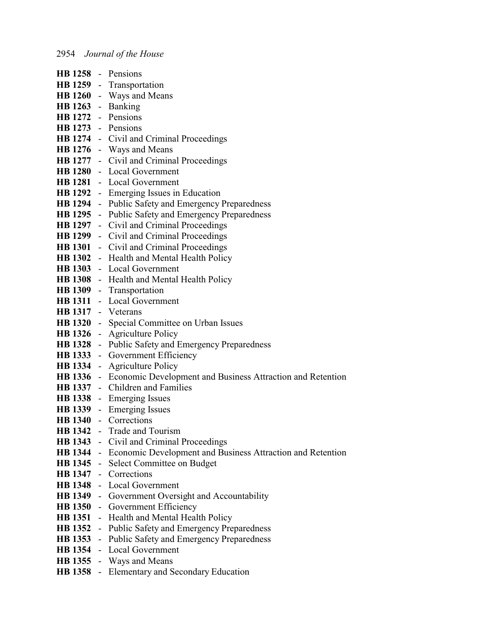|                | HB 1258 - Pensions                                                          |  |  |
|----------------|-----------------------------------------------------------------------------|--|--|
|                | HB 1259 - Transportation                                                    |  |  |
|                | HB 1260 - Ways and Means                                                    |  |  |
|                | HB 1263 - Banking                                                           |  |  |
|                | HB 1272 - Pensions                                                          |  |  |
|                | HB 1273 - Pensions                                                          |  |  |
|                | HB 1274 - Civil and Criminal Proceedings                                    |  |  |
|                | HB 1276 - Ways and Means                                                    |  |  |
|                | HB 1277 - Civil and Criminal Proceedings                                    |  |  |
|                | HB 1280 - Local Government                                                  |  |  |
|                | HB 1281 - Local Government                                                  |  |  |
|                | <b>HB 1292</b> - Emerging Issues in Education                               |  |  |
|                | <b>HB 1294</b> - Public Safety and Emergency Preparedness                   |  |  |
|                | <b>HB 1295</b> - Public Safety and Emergency Preparedness                   |  |  |
|                | HB 1297 - Civil and Criminal Proceedings                                    |  |  |
|                | HB 1299 - Civil and Criminal Proceedings                                    |  |  |
|                | HB 1301 - Civil and Criminal Proceedings                                    |  |  |
|                | HB 1302 - Health and Mental Health Policy                                   |  |  |
|                | HB 1303 - Local Government                                                  |  |  |
|                | HB 1308 - Health and Mental Health Policy                                   |  |  |
|                | HB 1309 - Transportation                                                    |  |  |
|                | <b>HB 1311</b> - Local Government                                           |  |  |
|                | HB 1317 - Veterans                                                          |  |  |
|                | HB 1320 - Special Committee on Urban Issues                                 |  |  |
|                | <b>HB 1326</b> - Agriculture Policy                                         |  |  |
|                | <b>HB 1328</b> - Public Safety and Emergency Preparedness                   |  |  |
|                | HB 1333 - Government Efficiency                                             |  |  |
|                | <b>HB 1334</b> - Agriculture Policy                                         |  |  |
|                | HB 1336 - Economic Development and Business Attraction and Retention        |  |  |
|                | HB 1337 - Children and Families                                             |  |  |
|                | HB 1338 - Emerging Issues                                                   |  |  |
|                | HB 1339 - Emerging Issues                                                   |  |  |
|                | <b>HB</b> 1340 - Corrections                                                |  |  |
|                | <b>HB 1342</b> - Trade and Tourism                                          |  |  |
|                | HB 1343 - Civil and Criminal Proceedings                                    |  |  |
|                | <b>HB 1344</b> - Economic Development and Business Attraction and Retention |  |  |
|                | HB 1345 - Select Committee on Budget                                        |  |  |
|                | HB 1347 - Corrections                                                       |  |  |
|                | <b>HB 1348</b> - Local Government                                           |  |  |
|                | HB 1349 - Government Oversight and Accountability                           |  |  |
|                | <b>HB 1350</b> - Government Efficiency                                      |  |  |
| <b>HB</b> 1351 | - Health and Mental Health Policy                                           |  |  |
| <b>HB</b> 1352 | - Public Safety and Emergency Preparedness                                  |  |  |
|                | <b>HB 1353</b> - Public Safety and Emergency Preparedness                   |  |  |
| <b>HB</b> 1354 | - Local Government                                                          |  |  |
|                | <b>HB 1355</b> - Ways and Means                                             |  |  |
|                | <b>HB 1358</b> - Elementary and Secondary Education                         |  |  |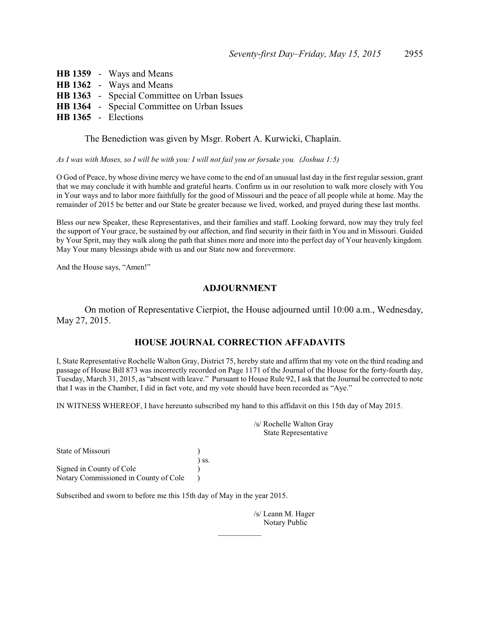**HB 1359** - Ways and Means **HB 1362** - Ways and Means **HB 1363** - Special Committee on Urban Issues **HB 1364** - Special Committee on Urban Issues **HB 1365** - Elections

The Benediction was given by Msgr. Robert A. Kurwicki, Chaplain.

*As I was with Moses, so I will be with you: I will not fail you or forsake you. (Joshua 1:5)*

O God of Peace, by whose divine mercy we have come to the end of an unusual last day in the first regular session, grant that we may conclude it with humble and grateful hearts. Confirm us in our resolution to walk more closely with You in Your ways and to labor more faithfully for the good of Missouri and the peace of all people while at home. May the remainder of 2015 be better and our State be greater because we lived, worked, and prayed during these last months.

Bless our new Speaker, these Representatives, and their families and staff. Looking forward, now may they truly feel the support of Your grace, be sustained by our affection, and find security in their faith in You and in Missouri. Guided by Your Sprit, may they walk along the path that shines more and more into the perfect day of Your heavenly kingdom. May Your many blessings abide with us and our State now and forevermore.

And the House says, "Amen!"

### **ADJOURNMENT**

On motion of Representative Cierpiot, the House adjourned until 10:00 a.m., Wednesday, May 27, 2015.

### **HOUSE JOURNAL CORRECTION AFFADAVITS**

I, State Representative Rochelle Walton Gray, District 75, hereby state and affirm that my vote on the third reading and passage of House Bill 873 was incorrectly recorded on Page 1171 of the Journal of the House for the forty-fourth day, Tuesday, March 31, 2015, as "absent with leave." Pursuant to House Rule 92, I ask that the Journal be corrected to note that I was in the Chamber, I did in fact vote, and my vote should have been recorded as "Aye."

 $\mathcal{L}$  , we have the set of  $\mathcal{L}$ 

IN WITNESS WHEREOF, I have hereunto subscribed my hand to this affidavit on this 15th day of May 2015.

| /s/ Rochelle Walton Gray<br>State Representative |
|--------------------------------------------------|
|                                                  |

) ss. Signed in County of Cole ) Notary Commissioned in County of Cole )

State of Missouri )

Subscribed and sworn to before me this 15th day of May in the year 2015.

/s/ Leann M. Hager Notary Public